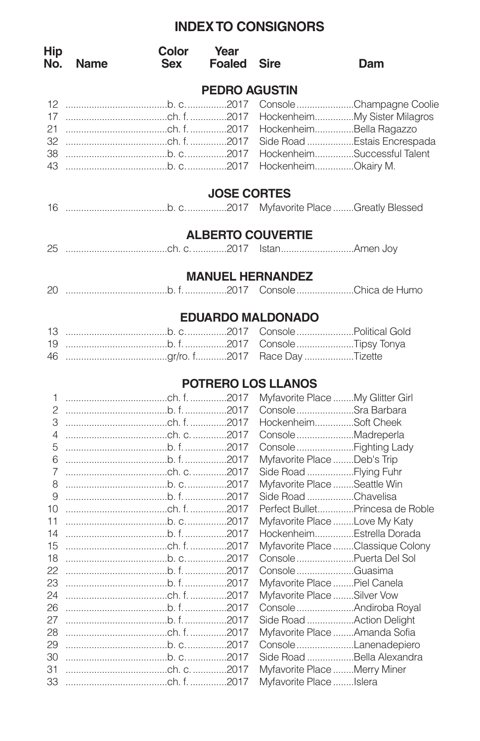## **INDEXTO CONSIGNORS**

| <b>Hip</b><br>No. | <b>Name</b> | Color<br><b>Sex</b>  | Year<br><b>Foaled</b> | Sire                             | Dam                                                        |
|-------------------|-------------|----------------------|-----------------------|----------------------------------|------------------------------------------------------------|
|                   |             |                      | <b>PEDRO AGUSTIN</b>  |                                  |                                                            |
| 12<br>17          |             |                      |                       |                                  | Console Champagne Coolie<br>HockenheimMy Sister Milagros   |
| 21<br>32<br>38    |             |                      |                       | HockenheimBella Ragazzo          | Side Road Estais Encrespada<br>HockenheimSuccessful Talent |
| 43                |             |                      |                       | HockenheimOkairy M.              |                                                            |
|                   |             |                      | <b>JOSE CORTES</b>    |                                  |                                                            |
|                   |             |                      |                       |                                  |                                                            |
|                   |             |                      |                       | <b>ALBERTO COUVERTIE</b>         |                                                            |
|                   |             |                      |                       |                                  |                                                            |
|                   |             |                      |                       | <b>MANUEL HERNANDEZ</b>          |                                                            |
|                   |             |                      |                       |                                  |                                                            |
|                   |             |                      |                       | <b>EDUARDO MALDONADO</b>         |                                                            |
|                   |             |                      |                       |                                  |                                                            |
| 19                |             | $b, f, \ldots, 2017$ |                       | ConsoleTipsy Tonya               |                                                            |
| 46                |             |                      |                       | Race Day Tizette                 |                                                            |
|                   |             |                      |                       | POTRERO LOS LLANOS               |                                                            |
| 1                 |             |                      |                       | Myfavorite Place My Glitter Girl |                                                            |
| $\overline{c}$    |             |                      |                       | Console Sra Barbara              |                                                            |
| 3                 |             |                      |                       | HockenheimSoft Cheek             |                                                            |
| $\overline{4}$    |             |                      |                       | Console Madreperla               |                                                            |
| 5                 |             | $b, f, \ldots, 2017$ |                       | ConsoleFighting Lady             |                                                            |
| 6                 |             |                      |                       | Myfavorite Place Deb's Trip      |                                                            |
| $\overline{7}$    |             |                      |                       | Side Road Flying Fuhr            |                                                            |
| 8                 |             |                      |                       | Myfavorite Place Seattle Win     |                                                            |
| 9                 |             |                      |                       | Side Road Chavelisa              |                                                            |
| 10                |             |                      |                       |                                  | Perfect BulletPrincesa de Roble                            |
| 11                |             |                      |                       | Myfavorite Place Love My Katy    |                                                            |
| 14                |             |                      |                       | HockenheimEstrella Dorada        |                                                            |
| 15                |             |                      |                       |                                  | Myfavorite Place Classique Colony                          |

 .......................................b. c................2017 Console......................Puerta Del Sol .......................................b. f.................2017 Console......................Guasima .......................................b. f.................2017 Myfavorite Place........Piel Canela

 .......................................b. f.................2017 Console......................Andiroba Royal .......................................b. f.................2017 Side Road ..................Action Delight .......................................ch. f...............2017 Myfavorite Place........Amanda Sofia .......................................b. c................2017 Console......................Lanenadepiero .......................................b. c................2017 Side Road ..................Bella Alexandra

.......................................ch. f...............2017 Myfavorite Place........Silver Vow

 .......................................ch. c..............2017 Myfavorite Place........Merry Miner .......................................ch. f...............2017 Myfavorite Place........Islera

| Myfavorite Place Islera |  |
|-------------------------|--|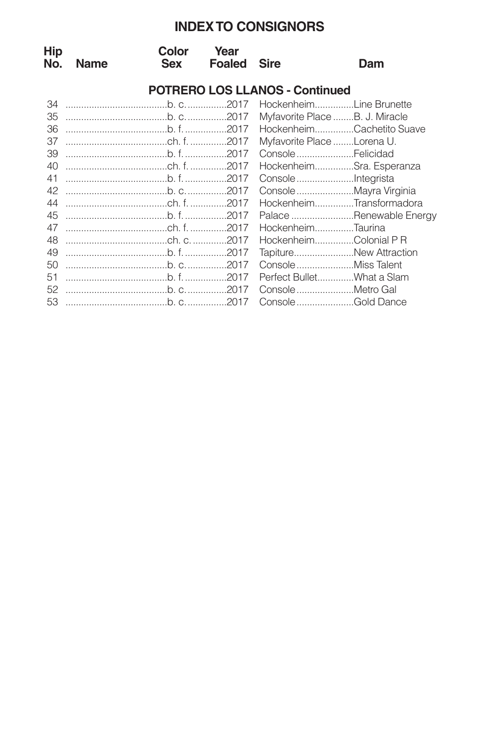## **INDEXTO CONSIGNORS**

| Hip<br>No. | <b>Name</b> | Color<br><b>Sex</b> | Year<br><b>Foaled</b> | <b>Sire</b>                           | Dam                            |
|------------|-------------|---------------------|-----------------------|---------------------------------------|--------------------------------|
|            |             |                     |                       | <b>POTRERO LOS LLANOS - Continued</b> |                                |
| 34         |             |                     |                       |                                       | HockenheimLine Brunette        |
| 35         |             |                     |                       |                                       | Myfavorite Place B. J. Miracle |
| 36         |             |                     |                       |                                       | HockenheimCachetito Suave      |
| 37         |             |                     |                       | Myfavorite Place Lorena U.            |                                |
| 39         |             |                     |                       | ConsoleFelicidad                      |                                |
| 40         |             |                     |                       |                                       | HockenheimSra. Esperanza       |
| 41         |             |                     |                       |                                       |                                |
| 42         |             |                     |                       |                                       |                                |
| 44         |             |                     |                       |                                       | HockenheimTransformadora       |
| 45         |             |                     |                       |                                       | Palace Renewable Energy        |
| 47         |             |                     |                       | HockenheimTaurina                     |                                |
| 48         |             |                     |                       |                                       | HockenheimColonial P R         |
| 49         |             |                     |                       |                                       | TapitureNew Attraction         |
| 50         |             |                     |                       |                                       |                                |
| 51         |             |                     |                       |                                       | Perfect BulletWhat a Slam      |
| 52         |             |                     |                       |                                       | ConsoleMetro Gal               |
| 53         |             |                     |                       |                                       | ConsoleGold Dance              |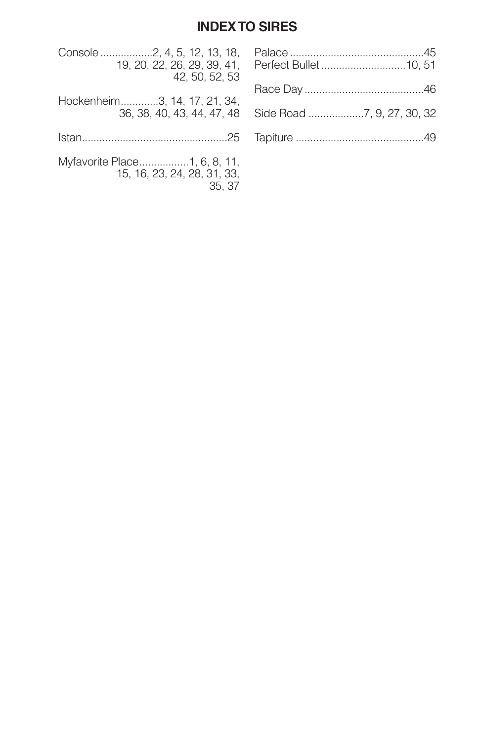## **INDEXTO SIRES**

| Console 2, 4, 5, 12, 13, 18,                                         |  |
|----------------------------------------------------------------------|--|
| 42, 50, 52, 53                                                       |  |
| Hockenheim3, 14, 17, 21, 34,                                         |  |
|                                                                      |  |
|                                                                      |  |
| Myfavorite Place1, 6, 8, 11,<br>15, 16, 23, 24, 28, 31, 33,<br>35.37 |  |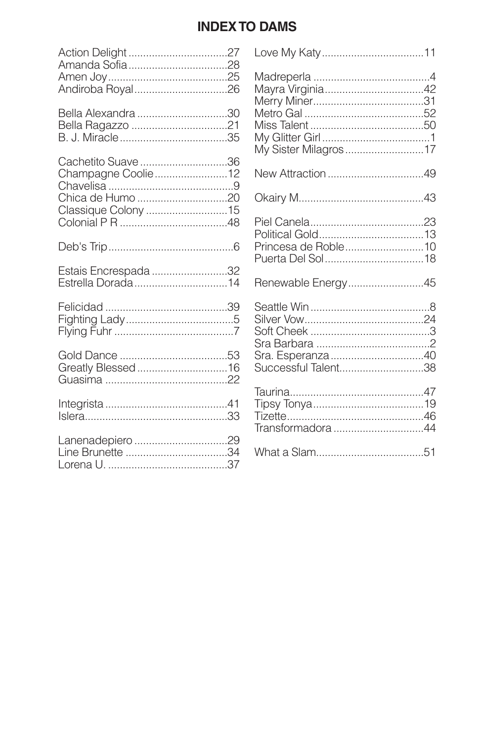## **INDEX TO DAMS**

| Bella Alexandra 30 |  |
|--------------------|--|
|                    |  |
|                    |  |

| Cachetito Suave 36  |  |
|---------------------|--|
| Champagne Coolie12  |  |
|                     |  |
| Chica de Humo 20    |  |
| Classique Colony 15 |  |
|                     |  |

| Estais Encrespada 32 |
|----------------------|
| Estrella Dorada14    |

| My Sister Milagros 17 |  |
|-----------------------|--|
|                       |  |
|                       |  |
| Princesa de Roble10   |  |
| Renewable Energy45    |  |
| Successful Talent38   |  |
| Transformadora 44     |  |
|                       |  |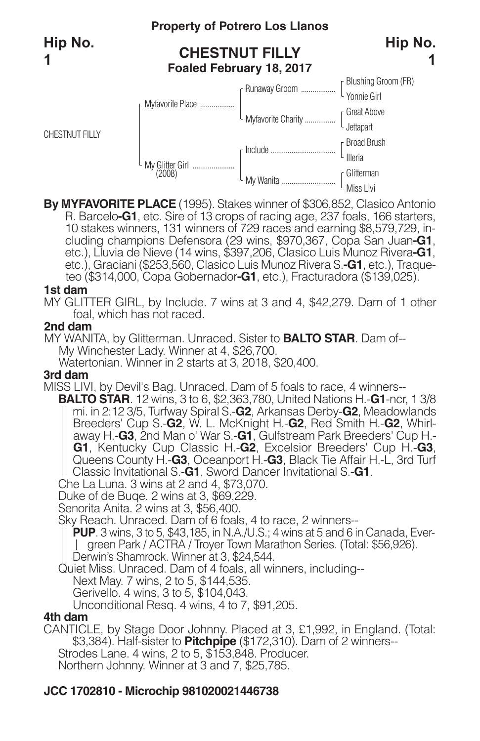CHESTNUT FILLY

## **Property of Potrero Los Llanos**

## **CHESTNUT FILLY Foaled February 18, 2017**



**By MYFAVORITE PLACE** (1995). Stakes winner of \$306,852, Clasico Antonio 10 stakes winners, 131 winners of 729 races and earning \$8,579,729, in-<br>cluding champions Defensora (29 wins, \$970,367, Copa San Juan-G1,<br>etc.), Lluvia de Nieve (14 wins, \$397,206, Clasico Luis Munoz Rivera-G1, etc.), Graciani (\$253,560, Clasico Luis Munoz Rivera S.**-G1**, etc.), Traqueteo (\$314,000, Copa Gobernador**-G1**, etc.), Fracturadora (\$139,025).

#### **1st dam**

MY GLITTER GIRL, by Include. 7 wins at 3 and 4, \$42,279. Dam of 1 other foal, which has not raced.

#### **2nd dam**

MY WANITA, by Glitterman. Unraced. Sister to **BALTO STAR**. Dam of-- My Winchester Lady. Winner at 4, \$26,700. Watertonian. Winner in 2 starts at 3, 2018, \$20,400.

#### **3rd dam**

MISS LIVI, by Devil's Bag. Unraced. Dam of 5 foals to race, 4 winners--

**BALTO STAR**. 12 wins, 3 to 6, \$2,363,780, United Nations H.-**G1**-ncr, 1 3/8 mi. in 2:12 3/5, Turfway Spiral S.-**G2**, Arkansas Derby-**G2**, Meadowlands Breeders' Cup S.-**G2**, W. L. McKnight H.-**G2**, Red Smith H.-**G2**, Whirlaway H.-**G3**, 2nd Man o' War S.-**G1**, Gulfstream Park Breeders' Cup H.- **G1**, Kentucky Cup Classic H.-**G2**, Excelsior Breeders' Cup H.-**G3**, Queens County H.-**G3**, Oceanport H.-**G3**, Black Tie Affair H.-L, 3rd Turf Classic Invitational S.-**G1**, Sword Dancer Invitational S.-**G1**. Che La Luna. <sup>3</sup> wins at <sup>2</sup> and 4, \$73,070. Duke of de Buqe. <sup>2</sup> wins at 3, \$69,229.

Senorita Anita. 2 wins at 3, \$56,400.

Sky Reach. Unraced. Dam of 6 foals, 4 to race, 2 winners--

**PUP**. 3 wins, 3 to 5, \$43,185, in N.A./U.S.; 4 wins at 5 and 6 in Canada, Evergreen Park / ACTRA / Troyer Town Marathon Series. (Total: \$56,926).

Derwin's Shamrock. Winner at 3, \$24,544.

Quiet Miss. Unraced. Dam of 4 foals, all winners, including--

Next May. 7 wins, 2 to 5, \$144,535.

Gerivello. 4 wins, 3 to 5, \$104,043.

Unconditional Resq. 4 wins, 4 to 7, \$91,205.

### **4th dam**

CANTICLE, by Stage Door Johnny. Placed at 3, £1,992, in England. (Total: \$3,384). Half-sister to **Pitchpipe** (\$172,310). Dam of 2 winners-- Strodes Lane. 4 wins, 2 to 5, \$153,848. Producer. Northern Johnny. Winner at 3 and 7, \$25,785.

## **JCC 1702810 - Microchip 981020021446738**

**Hip No.**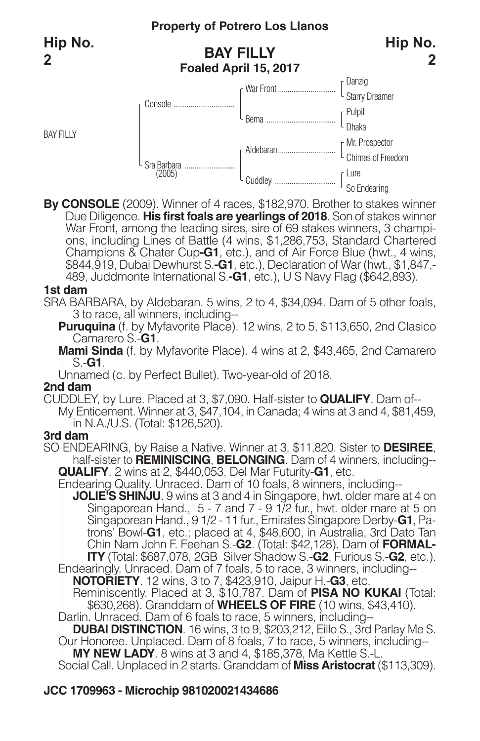BAY FILLY

## **BAY FILLY Foaled April 15, 2017**



**By CONSOLE** (2009). Winner of 4 races, \$182,970. Brother to stakes winner Due Diligence. **His first foals are yearlings of 2018**. Son of stakes winner War Front, among the leading sires, sire of 69 stakes winners, 3 champi-<br>ons, including Lines of Battle (4 wins, \$1,286,753, Standard Chartered Champions & Chater Cup**-G1**, etc.), and of Air Force Blue (hwt., 4 wins, \$844,919, Dubai Dewhurst S.**-G1**, etc.), Declaration of War (hwt., \$1,847,- 489, Juddmonte International S.**-G1**, etc.), U S Navy Flag (\$642,893).

#### **1st dam**

SRA BARBARA, by Aldebaran. 5 wins, 2 to 4, \$34,094. Dam of 5 other foals, 3 to race, all winners, including--

**Puruquina** (f. by Myfavorite Place). 12 wins, 2 to 5, \$113,650, 2nd Clasico Camarero S.-**G1**.

**Mami Sinda** (f. by Myfavorite Place). 4 wins at 2, \$43,465, 2nd Camarero S.-**G1**.

Unnamed (c. by Perfect Bullet). Two-year-old of 2018.

#### **2nd dam**

CUDDLEY, by Lure. Placed at 3, \$7,090. Half-sister to **QUALIFY**. Dam of-- My Enticement. Winner at 3, \$47,104, in Canada; 4 wins at 3 and 4, \$81,459, in N.A./U.S. (Total: \$126,520).

### **3rd dam**

SO ENDEARING, by Raise a Native. Winner at 3, \$11,820. Sister to **DESIREE**, half-sister to **REMINISCING**, **BELONGING**. Dam of 4 winners, including--<br>QUALIFY. 2 wins at 2, \$440,053, Del Mar Futurity-G1, etc.

**QUALIFY**. <sup>2</sup> wins at 2, \$440,053, Del Mar Futurity-**G1**, etc. Endearing Quality. Unraced. Dam of <sup>10</sup> foals, <sup>8</sup> winners, including--

**JOLIE'S SHINJU**. 9 wins at 3 and 4 in Singapore, hwt. older mare at 4 on Singaporean Hand., 5 - 7 and 7 - 9 1/2 fur., hwt. older mare at 5 on Singaporean Hand., 9 1/2 - 11 fur., Emirates Singapore Derby-**G1**, Patrons' Bowl-**G1**, etc.; placed at 4, \$48,600, in Australia, 3rd Dato Tan Chin Nam John F. Feehan S.-**G2**. (Total: \$42,128). Dam of **FORMAL-ITY** (Total: \$687,078, 2GB Silver Shadow S.-**G2**, Furious S.-**G2**, etc.).

Endearingly. Unraced. Dam of 7 foals, 5 to race, 3 winners, including-- **NOTORIETY**. 12 wins, 3 to 7, \$423,910, Jaipur H.-**G3**, etc.

Reminiscently. Placed at 3, \$10,787. Dam of **PISA NO KUKAI** (Total: \$630,268). Granddam of **WHEELS OF FIRE** (10 wins, \$43,410).

Darlin. Unraced. Dam of 6 foals to race, 5 winners, including--

**DUBAI DISTINCTION**. 16 wins, 3 to 9, \$203,212, Eillo S., 3rd Parlay Me S. Our Honoree. Unplaced. Dam of 8 foals, 7 to race, 5 winners, including--

**MY NEW LADY**. 8 wins at 3 and 4, \$185,378, Ma Kettle S.-L.

Social Call. Unplaced in 2 starts. Granddam of **Miss Aristocrat** (\$113,309).

## **JCC 1709963 - Microchip 981020021434686**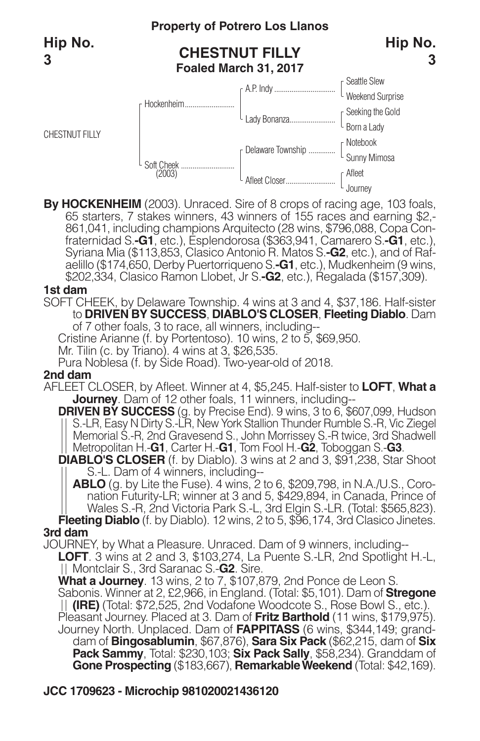CHESTNUT FILLY

## **Property of Potrero Los Llanos**

## **CHESTNUT FILLY Foaled March 31, 2017**



By HOCKENHEIM (2003). Unraced. Sire of 8 crops of racing age, 103 foals, 65 starters, 7 stakes winners, 43 winners of 155 races and earning \$2,-861,041, including champions Arquitecto (28 wins, \$796,088, Copa Confraternida aelillo (\$174,650, Derby Puertorriqueno S.**-G1**, etc.), Mudkenheim (9 wins, \$202,334, Clasico Ramon Llobet, Jr S.**-G2**, etc.), Regalada (\$157,309).

#### **1st dam**

SOFT CHEEK, by Delaware Township. 4 wins at 3 and 4, \$37,186. Half-sister to **DRIVEN BY SUCCESS**, **DIABLO'S CLOSER**, **Fleeting Diablo**. Dam of 7 other foals, 3 to race, all winners, including--

Cristine Arianne (f. by Portentoso). 10 wins, 2 to 5, \$69,950.

Mr. Tilin (c. by Triano). 4 wins at 3, \$26,535.

Pura Noblesa (f. by Side Road). Two-year-old of 2018.

#### **2nd dam**

AFLEET CLOSER, by Afleet. Winner at 4, \$5,245. Half-sister to **LOFT**, **What a Journey**. Dam of 12 other foals, 11 winners, including--

**DRIVEN BY SUCCESS** (g. by Precise End). 9 wins, 3 to 6, \$607,099, Hudson S.-LR, Easy N Dirty S.-LR, New York Stallion Thunder Rumble S.-R, Vic Ziegel Memorial S.-R, 2nd Gravesend S., John Morrissey S.-R twice, 3rd Shadwell Metropolitan H.-**G1**, Carter H.-**G1**, Tom Fool H.-**G2**, Toboggan S.-**G3**.

**DIABLO'S CLOSER** (f. by Diablo). 3 wins at 2 and 3, \$91,238, Star Shoot S.-L. Dam of 4 winners, including--<br>**ABLO** (g. by Lite the Fuse). 4 wins, 2 to 6, \$209,798, in N.A./U.S., Coro-

nation Futurity-LR; winner at 3 and 5, \$429,894, in Canada, Prince of Wales S.-R, 2nd Victoria Park S.-L, 3rd Elgin S.-LR. (Total: \$565,823).

**Fleeting Diablo** (f. by Diablo). 12 wins, 2 to 5, \$96, 174, 3rd Clasico Jinetes. **3rd dam**

JOURNEY, by What a Pleasure. Unraced. Dam of 9 winners, including-- **LOFT**. 3 wins at 2 and 3, \$103,274, La Puente S.-LR, 2nd Spotlight H.-L, Montclair S., 3rd Saranac S.-**G2**. Sire.

**What a Journey**. 13 wins, 2 to 7, \$107,879, 2nd Ponce de Leon S. Sabonis. Winner at 2, £2,966, in England. (Total: \$5,101). Dam of **Stregone (IRE)** (Total: \$72,525, 2nd Vodafone Woodcote S., Rose Bowl S., etc.). Pleasant Journey. Placed at 3. Dam of **Fritz Barthold** (11 wins, \$179,975). Journey North. Unplaced. Dam of **FAPPITASS** (6 wins, \$344,149; granddam of **Bingosablumin**, \$67,876), **Sara Six Pack** (\$62,215, dam of **Six Pack Sammy**, Total: \$230,103; **Six Pack Sally**, \$58,234). Granddam of **Gone Prospecting** (\$183,667), **RemarkableWeekend** (Total: \$42,169).

## **JCC 1709623 - Microchip 981020021436120**

**Hip No.**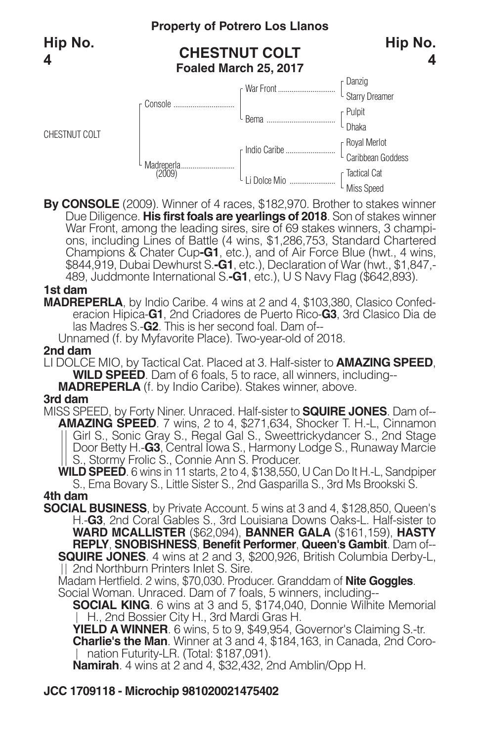CHESTNUT COLT

## **Property of Potrero Los Llanos**

## **CHESTNUT COLT Foaled March 25, 2017**





**By CONSOLE** (2009). Winner of 4 races, \$182,970. Brother to stakes winner Due Diligence. **His first foals are yearlings of 2018**. Son of stakes winner War Front, among the leading sires, sire of 69 stakes winners, 3 champi-<br>ons, including Lines of Battle (4 wins, \$1,286,753, Standard Chartered Champions & Chater Cup**-G1**, etc.), and of Air Force Blue (hwt., 4 wins, \$844,919, Dubai Dewhurst S.**-G1**, etc.), Declaration of War (hwt., \$1,847,- 489, Juddmonte International S.**-G1**, etc.), U S Navy Flag (\$642,893).

#### **1st dam**

**MADREPERLA**, by Indio Caribe. 4 wins at 2 and 4, \$103,380, Clasico Confederacion Hipica-**G1**, 2nd Criadores de Puerto Rico-**G3**, 3rd Clasico Dia de las Madres S.-**G2**. This is her second foal. Dam of--

Unnamed (f. by Myfavorite Place). Two-year-old of 2018.

### **2nd dam**

LI DOLCE MIO, by Tactical Cat. Placed at 3. Half-sister to **AMAZING SPEED**, **WILD SPEED**. Dam of 6 foals, 5 to race, all winners, including--

**MADREPERLA** (f. by Indio Caribe). Stakes winner, above.

### **3rd dam**

MISS SPEED, by Forty Niner. Unraced. Half-sister to **SQUIRE JONES**. Dam of-- **AMAZING SPEED**. 7 wins, 2 to 4, \$271,634, Shocker T. H.-L, Cinnamon Girl S., Sonic Gray S., Regal Gal S., Sweettrickydancer S., 2nd Stage Door Betty H.-**G3**, Central Iowa S., Harmony Lodge S., Runaway Marcie S., Stormy Frolic S., Connie Ann S. Producer.

**WILD SPEED**. 6 wins in 11 starts, 2 to 4, \$138,550, U Can Do It H.-L, Sandpiper S., Ema Bovary S., Little Sister S., 2nd Gasparilla S., 3rd Ms Brookski S. **4th dam**

**SOCIAL BUSINESS**, by Private Account. 5 wins at 3 and 4, \$128,850, Queen's H.-**G3**, 2nd Coral Gables S., 3rd Louisiana Downs Oaks-L. Half-sister to **WARD MCALLISTER** (\$62,094), **BANNER GALA** (\$161,159), **HASTY REPLY**, **SNOBISHNESS**, **Benefit Performer**, **Queen's Gambit**. Dam of-- **SQUIRE JONES**. 4 wins at 2 and 3, \$200,926, British Columbia Derby-L, 2nd Northburn Printers Inlet S. Sire.

Madam Hertfield. 2 wins, \$70,030. Producer. Granddam of **Nite Goggles**.

Social Woman. Unraced. Dam of 7 foals, 5 winners, including--

**SOCIAL KING**. 6 wins at 3 and 5, \$174,040, Donnie Wilhite Memorial H., 2nd Bossier City H., 3rd Mardi Gras H.

**YIELD AWINNER**. 6 wins, 5 to 9, \$49,954, Governor's Claiming S.-tr. **Charlie's the Man**. Winner at 3 and 4, \$184,163, in Canada, 2nd Coro-| nation Futurity-LR. (Total: \$187,091).

**Namirah**. 4 wins at 2 and 4, \$32,432, 2nd Amblin/Opp H.

## **JCC 1709118 - Microchip 981020021475402**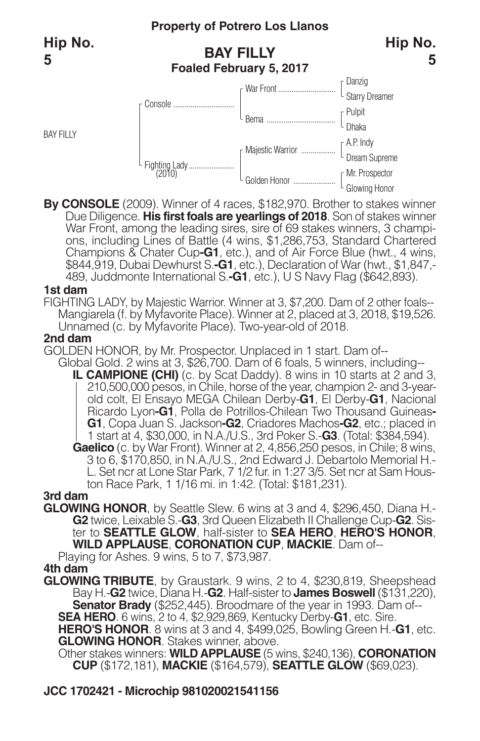BAY FILLY

## **Property of Potrero Los Llanos**

## **BAY FILLY Foaled February 5, 2017**



**5**



**By CONSOLE** (2009). Winner of 4 races, \$182,970. Brother to stakes winner Due Diligence. **His first foals are yearlings of 2018**. Son of stakes winner War Front, among the leading sires, sire of 69 stakes winners, 3 champi-<br>ons, including Lines of Battle (4 wins, \$1,286,753, Standard Chartered Champions & Chater Cup**-G1**, etc.), and of Air Force Blue (hwt., 4 wins, \$844,919, Dubai Dewhurst S.**-G1**, etc.), Declaration of War (hwt., \$1,847,- 489, Juddmonte International S.**-G1**, etc.), U S Navy Flag (\$642,893).

#### **1st dam**

FIGHTING LADY, by Majestic Warrior. Winner at 3, \$7,200. Dam of 2 other foals-- Mangiarela (f. by Myfavorite Place). Winner at 2, placed at 3, 2018, \$19,526. Unnamed (c. by Myfavorite Place). Two-year-old of 2018.

#### **2nd dam**

GOLDEN HONOR, by Mr. Prospector. Unplaced in 1 start. Dam of--

Global Gold. 2 wins at 3, \$26,700. Dam of 6 foals, 5 winners, including-- **IL CAMPIONE (CHI)** (c. by Scat Daddy). 8 wins in 10 starts at 2 and 3, 210,500,000 pesos, in Chile, horse of the year, champion 2- and 3-yearold colt, El Ensayo MEGA Chilean Derby-**G1**, El Derby-**G1**, Nacional Ricardo Lyon**-G1**, Polla de Potrillos-Chilean Two Thousand Guineas**-G1**, Copa Juan S. Jackson**-G2**, Criadores Machos**-G2**, etc.; placed in 1 start at 4, \$30,000, in N.A./U.S., 3rd Poker S.-**G3**. (Total: \$384,594). Gaelico (c. by War Front). Winner at 2, 4,856,250 pesos, in Chile; 8 wins,<br>3 to 6, \$170,850, in N.A./U.S., 2nd Edward J. Debartolo Memorial H.-<br>L. Set ncr at Lone Star Park, 7 1/2 fur. in 1:27 3/5. Set ncr at Sam Houston R

**3rd dam**

**GLOWING HONOR**, by Seattle Slew. 6 wins at 3 and 4, \$296,450, Diana H.- **G2** twice, Leixable S.-**G3**, 3rd Queen Elizabeth II Challenge Cup-**G2**. Sister to **SEATTLE GLOW**, half-sister to **SEA HERO**, **HERO'S HONOR**, **WILD APPLAUSE**, **CORONATION CUP**, **MACKIE**. Dam of--

Playing for Ashes. 9 wins, 5 to 7, \$73,987.

#### **4th dam**

**GLOWING TRIBUTE**, by Graustark. 9 wins, 2 to 4, \$230,819, Sheepshead Bay H.-**G2** twice, Diana H.-**G2**. Half-sister to **James Boswell** (\$131,220), **Senator Brady** (\$252,445). Broodmare of the year in 1993. Dam of--

**SEA HERO.** 6 wins, 2 to 4, \$2,929,869, Kentucky Derby-**G1**, etc. Sire.

**HERO'S HONOR**. 8 wins at 3 and 4, \$499,025, Bowling Green H.-**G1**, etc. **GLOWING HONOR**. Stakes winner, above.

Other stakes winners: **WILD APPLAUSE** (5 wins, \$240,136), **CORONATION CUP** (\$172,181), **MACKIE** (\$164,579), **SEATTLE GLOW** (\$69,023).

## **JCC 1702421 - Microchip 981020021541156**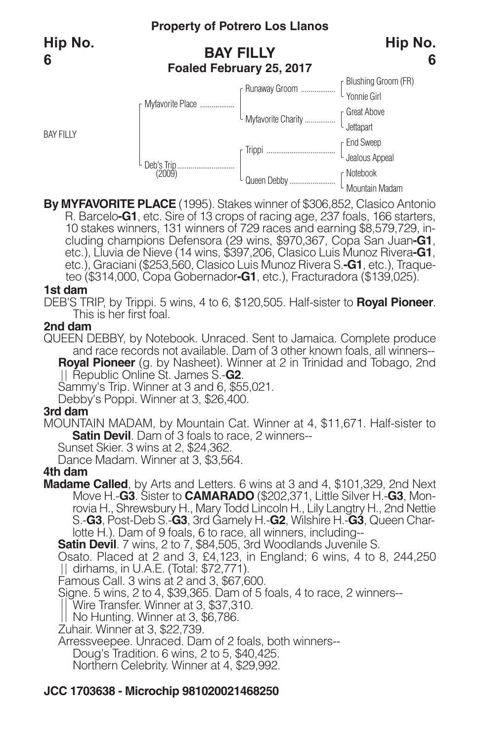## **Property of Potrero Los Llanos BAY FILLY**

## **Hip No. 6**

**Foaled February 25, 2017**



**By MYFAVORITE PLACE** (1995). Stakes winner of \$306,852, Clasico Antonio 10 stakes winners, 131 winners of 729 races and earning \$8,579,729, in-<br>cluding champions Defensora (29 wins, \$970,367, Copa San Juan-G1,<br>etc.), Lluvia de Nieve (14 wins, \$397,206, Clasico Luis Munoz Rivera-G1, etc.), Graciani (\$253,560, Clasico Luis Munoz Rivera S.**-G1**, etc.), Traqueteo (\$314,000, Copa Gobernador**-G1**, etc.), Fracturadora (\$139,025).

### **1st dam**

BAY FILLY

**6**

DEB'S TRIP, by Trippi. 5 wins, 4 to 6, \$120,505. Half-sister to **Royal Pioneer**. This is her first foal.

#### **2nd dam**

QUEEN DEBBY, by Notebook. Unraced. Sent to Jamaica. Complete produce and race records not available. Dam of 3 other known foals, all winners-- **Royal Pioneer** (g. by Nasheet). Winner at 2 in Trinidad and Tobago, 2nd Republic Online St. James S.-**G2**.

Sammy's Trip. Winner at 3 and 6, \$55,021.

Debby's Poppi. Winner at 3, \$26,400.

### **3rd dam**

MOUNTAIN MADAM, by Mountain Cat. Winner at 4, \$11,671. Half-sister to **Satin Devil**. Dam of 3 foals to race, 2 winners--

Sunset Skier. 3 wins at 2, \$24,362.

Dance Madam. Winner at 3, \$3,564.

### **4th dam**

**Madame Called**, by Arts and Letters. 6 wins at 3 and 4, \$101,329, 2nd Next Move H.-**G3**. Sister to **CAMARADO** (\$202,371, Little Silver H.-**G3**, Monrovia H., Shrewsbury H., Mary Todd Lincoln H., Lily Langtry H., 2nd Nettie S.-**G3**, Post-Deb S.-**G3**, 3rd Gamely H.-**G2**, Wilshire H.-**G3**, Queen Charlotte H.). Dam of 9 foals, 6 to race, all winners, including--

**Satin Devil**. 7 wins, 2 to 7, \$84,505, 3rd Woodlands Juvenile S.

Osato. Placed at 2 and 3, £4,123, in England; 6 wins, 4 to 8, 244,250 dirhams, in U.A.E. (Total: \$72,771).

Famous Call. 3 wins at 2 and 3, \$67,600.

Signe. 5 wins, 2 to 4, \$39,365. Dam of 5 foals, 4 to race, 2 winners--

Wire Transfer. Winner at 3, \$37,310.

No Hunting. Winner at 3, \$6,786.

Zuhair. Winner at 3, \$22,739.

Arressveepee. Unraced. Dam of 2 foals, both winners--

Doug's Tradition. 6 wins, 2 to 5, \$40,425.

Northern Celebrity. Winner at 4, \$29,992.

## **JCC 1703638 - Microchip 981020021468250**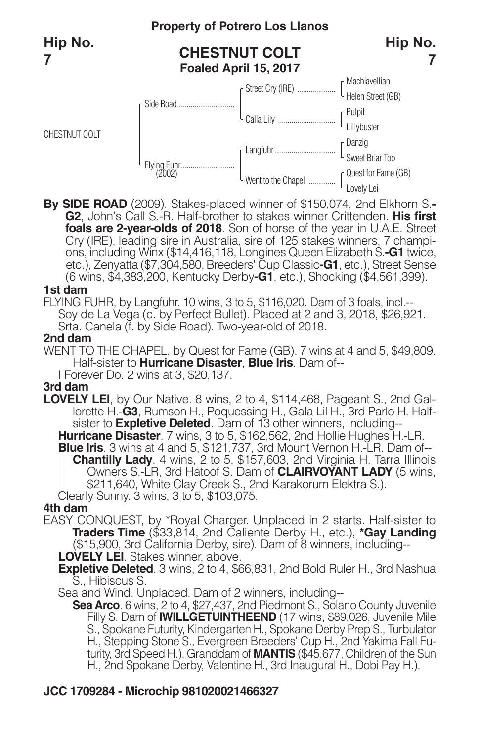CHESTNUT COLT

## **Property of Potrero Los Llanos**

## **CHESTNUT COLT Foaled April 15, 2017**





**By SIDE ROAD** (2009). Stakes-placed winner of \$150,074, 2nd Elkhorn S.**- G2**, John's Call S.-R. Half-brother to stakes winner Crittenden. **His first foals are 2-year-olds of 2018**. Son of horse of the year in U.A.E. Street Cry (IRE), leading sire in Australia, sire of <sup>125</sup> stakes winners, <sup>7</sup> champi- ons, including Winx (\$14,416,118, Longines Queen Elizabeth S.**-G1** twice, etc.), Zenyatta (\$7,304,580,Breeders' Cup Classic**-G1**, etc.), Street Sense (6 wins, \$4,383,200, Kentucky Derby**-G1**, etc.), Shocking (\$4,561,399).

#### **1st dam**

FLYING FUHR, by Langfuhr. 10 wins, 3 to 5, \$116,020. Dam of 3 foals, incl.-- Soy de La Vega (c. by Perfect Bullet). Placed at 2 and 3, 2018, \$26,921. Srta. Canela (f. by Side Road). Two-year-old of 2018.

#### **2nd dam**

WENT TO THE CHAPEL, by Quest for Fame (GB). 7 wins at 4 and 5, \$49,809. Half-sister to **Hurricane Disaster**, **Blue Iris**. Dam of--

I Forever Do. 2 wins at 3, \$20,137.

#### **3rd dam**

**LOVELY LEI**, by Our Native. 8 wins, 2 to 4, \$114,468, Pageant S., 2nd Gallorette H.-**G3**, Rumson H., Poquessing H., Gala Lil H., 3rd Parlo H. Halfsister to **Expletive Deleted**. Dam of 13 other winners, including-- **Blue Iris**. 3 wins at 4 and 5, \$121,737, 3rd Mount Vernon H.-LR. Dam of--<br>
|| **Chantilly Lady**. 4 wins, 2 to 5, \$157,603, 2nd Virginia H. Tarra Illinois<br>
Owners S.-LR, 3rd Hatoof S. Dam of **CLAIRVOYANT LADY** (5 wins, <sup>|</sup>| \$211,640, White Clay Creek S., 2nd Karakorum Elektra S.).<br>Clearly Sunny. 3 wins, 3 to 5, \$103,075.

#### **4th dam**

EASY CONQUEST, by \*Royal Charger. Unplaced in 2 starts. Half-sister to **Traders Time** (\$33,814, 2nd Caliente Derby H., etc.), **\*Gay Landing** (\$15,900, 3rd California Derby, sire). Dam of 8 winners, including--

**LOVELY LEI**. Stakes winner, above.

**Expletive Deleted**. 3 wins, 2 to 4, \$66,831, 2nd Bold Ruler H., 3rd Nashua S., Hibiscus S.

Sea and Wind. Unplaced. Dam of 2 winners, including--

**Sea Arco**. 6 wins, 2 to 4, \$27,437, 2nd Piedmont S., Solano County Juvenile Filly S. Dam of **IWILLGETUINTHEEND** (17 wins, \$89,026, Juvenile Mile S., Spokane Futurity, Kindergarten H., Spokane Derby Prep S., Turbulator H., Stepping Stone S., Evergreen Breeders' Cup H., 2nd Yakima Fall Futurity, 3rd Speed H.). Granddam of **MANTIS** (\$45,677, Children of the Sun H., 2nd Spokane Derby, Valentine H., 3rd Inaugural H., Dobi Pay H.).

## **JCC 1709284 - Microchip 981020021466327**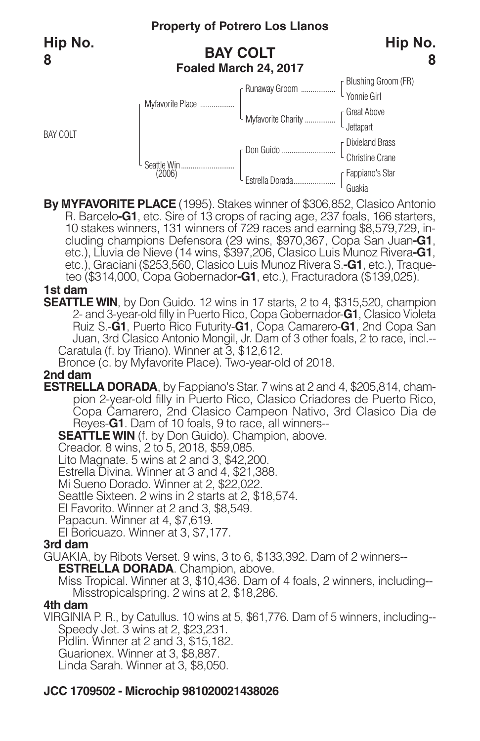BAY COLT

## **Property of Potrero Los Llanos**

## **BAY COLT Foaled March 24, 2017**



| F Myfavorite Place    |                      | [Blushing Groom (FR)<br>Yonnie Girl                    |
|-----------------------|----------------------|--------------------------------------------------------|
|                       |                      |                                                        |
|                       | L Myfavorite Charity | <sub>r</sub> Great Above                               |
|                       |                      | $\begin{bmatrix} 1 & 1 & 1 \\ 1 & 1 & 1 \end{bmatrix}$ |
| Seattle Win<br>(2006) | г Don Guido          | $\,$ r Dixieland Brass                                 |
|                       |                      | Christine Crane                                        |
|                       | Estrella Dorada      | $\mathsf{\scriptstyle\mathsf{F}}$ Fappiano's Star      |
|                       |                      |                                                        |

**By MYFAVORITE PLACE** (1995). Stakes winner of \$306,852, Clasico Antonio 10 stakes winners, 131 winners of 729 races and earning \$8,579,729, in-<br>cluding champions Defensora (29 wins, \$970,367, Copa San Juan-G1,<br>etc.), Lluvia de Nieve (14 wins, \$397,206, Clasico Luis Munoz Rivera-G1, etc.), Graciani (\$253,560, Clasico Luis Munoz Rivera S.**-G1**, etc.), Traqueteo (\$314,000, Copa Gobernador**-G1**, etc.), Fracturadora (\$139,025).

#### **1st dam**

**SEATTLE WIN**, by Don Guido. 12 wins in 17 starts, 2 to 4, \$315,520, champion 2- and 3-year-old filly in Puerto Rico, Copa Gobernador-**G1**, Clasico Violeta Ruiz S.-**G1**, Puerto Rico Futurity-**G1**, Copa Camarero-**G1**, 2nd Copa San Juan, 3rd Clasico Antonio Mongil, Jr. Dam of 3 other foals, 2 to race, incl.-- Caratula (f. by Triano). Winner at 3, \$12,612.

Bronce (c. by Myfavorite Place). Two-year-old of 2018.

**2nd dam**

**ESTRELLA DORADA**, by Fappiano's Star. 7 wins at 2 and 4, \$205,814, champion 2-year-old filly in Puerto Rico, Clasico Criadores de Puerto Rico, Copa Camarero, 2nd Clasico Campeon Nativo, 3rd Clasico Dia de Reyes-**G1**. Dam of 10 foals, 9 to race, all winners--

**SEATTLE WIN** (f. by Don Guido). Champion, above.

Creador. 8 wins, 2 to 5, 2018, \$59,085.

Lito Magnate. 5 wins at 2 and 3, \$42,200.

Estrella Divina. Winner at 3 and 4, \$21,388.

Mi Sueno Dorado. Winner at 2, \$22,022.

Seattle Sixteen. 2 wins in 2 starts at 2, \$18,574.

El Favorito. Winner at 2 and 3, \$8,549.

Papacun. Winner at 4, \$7,619.

El Boricuazo. Winner at 3, \$7,177.

### **3rd dam**

GUAKIA, by Ribots Verset. 9 wins, 3 to 6, \$133,392. Dam of 2 winners--

**ESTRELLA DORADA**. Champion, above.

Miss Tropical. Winner at 3, \$10,436. Dam of 4 foals, 2 winners, including-- Misstropicalspring. 2 wins at 2, \$18,286.

## **4th dam**

VIRGINIA P. R., by Catullus. 10 wins at 5, \$61,776. Dam of 5 winners, including-- Speedy Jet. 3 wins at 2, \$23,231. Pidlin. Winner at 2 and 3, \$15,182.

Guarionex. Winner at 3, \$8,887.

Linda Sarah. Winner at 3, \$8,050.

## **JCC 1709502 - Microchip 981020021438026**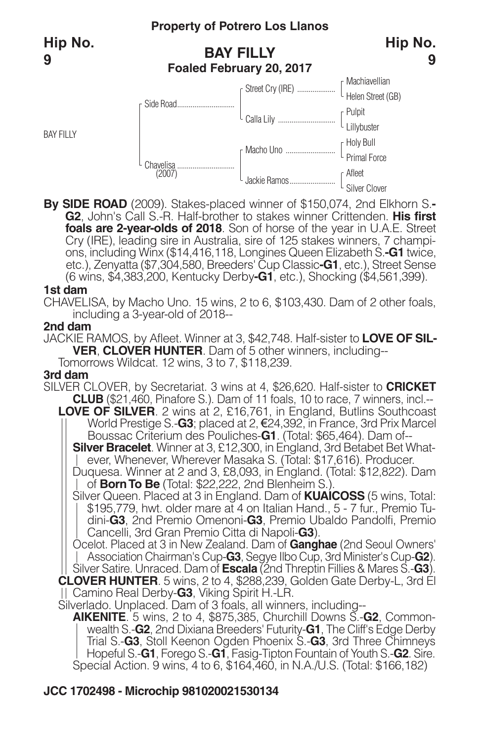BAY FILLY

## **Property of Potrero Los Llanos**

## **BAY FILLY Foaled February 20, 2017**





**By SIDE ROAD** (2009). Stakes-placed winner of \$150,074, 2nd Elkhorn S.**- G2**, John's Call S.-R. Half-brother to stakes winner Crittenden. **His first foals are 2-year-olds of 2018**. Son of horse of the year in U.A.E. Street ons, including Winx (\$14,416,118, Longines Queen Elizabeth S.-G1 twice, etc.), Zenyatta (\$7,304,580, Breeders' Cup Classic**-G1**, etc.), Street Sense (6 wins, \$4,383,200, Kentucky Derby**-G1**, etc.), Shocking (\$4,561,399).

#### **1st dam**

CHAVELISA, by Macho Uno. 15 wins, 2 to 6, \$103,430. Dam of 2 other foals, including a 3-year-old of 2018--

#### **2nd dam**

JACKIE RAMOS, by Afleet. Winner at 3, \$42,748. Half-sister to **LOVE OF SIL-VER**, **CLOVER HUNTER**. Dam of 5 other winners, including-- Tomorrows Wildcat. 12 wins, 3 to 7, \$118,239.

#### **3rd dam**

SILVER CLOVER, by Secretariat. 3 wins at 4, \$26,620. Half-sister to **CRICKET CLUB** (\$21,460, Pinafore S.). Dam of 11 foals, 10 to race, 7 winners, incl.--

**LOVE OF SILVER**. 2 wins at 2, £16,761, in England, Butlins Southcoast World Prestige S.**-G3**; placed at 2, €24,392, in France, 3rd Prix Marcel<br>Boussac Criterium des Pouliches**-G1**. (Total: \$65,464). Dam of--

**Silver Bracelet**. Winner at 3, £12,300, in England, 3rd Betabet Bet What-<br>| ever, Whenever, Wherever Masaka S. (Total: \$17,616). Producer.<br>Duquesa. Winner at 2 and 3, £8,093, in England. (Total: \$12,822). Dam<br>| of **Born T** 

Silver Queen. Placed at 3 in England. Dam of **KUAICOSS** (5 wins, Total: \$195,779, hwt. older mare at 4 on Italian Hand., 5 - 7 fur., Premio Tudini-**G3**, 2nd Premio Omenoni-**G3**, Premio Ubaldo Pandolfi, Premio Cancelli, 3rd Gran Premio Citta di Napoli-**G3**).

Ocelot. Placed at 3 in New Zealand. Dam of **Ganghae** (2nd Seoul Owners' Association Chairman's Cup-**G3**, Segye Ilbo Cup, 3rd Minister's Cup-**G2**). Silver Satire. Unraced. Dam of **Escala** (2nd Threptin Fillies & Mares S.-**G3**). **CLOVER HUNTER**. 5 wins, 2 to 4, \$288,239, Golden Gate Derby-L, 3rd El Camino Real Derby-**G3**, Viking Spirit H.-LR.

Silverlado. Unplaced. Dam of 3 foals, all winners, including--

**AIKENITE**. 5 wins, 2 to 4, \$875,385, Churchill Downs S.-**G2**, Commonwealth S.-**G2**, 2nd Dixiana Breeders' Futurity-**G1**, The Cliff's Edge Derby Trial S.-**G3**, Stoll Keenon Ogden Phoenix S.-**G3**, 3rd Three Chimneys Hopeful S.-**G1**, Forego S.-**G1**, Fasig-Tipton Fountain of Youth S.-**G2**. Sire. Special Action. 9 wins, 4 to 6, \$164,460, in N.A./U.S. (Total: \$166,182)

## **JCC 1702498 - Microchip 981020021530134**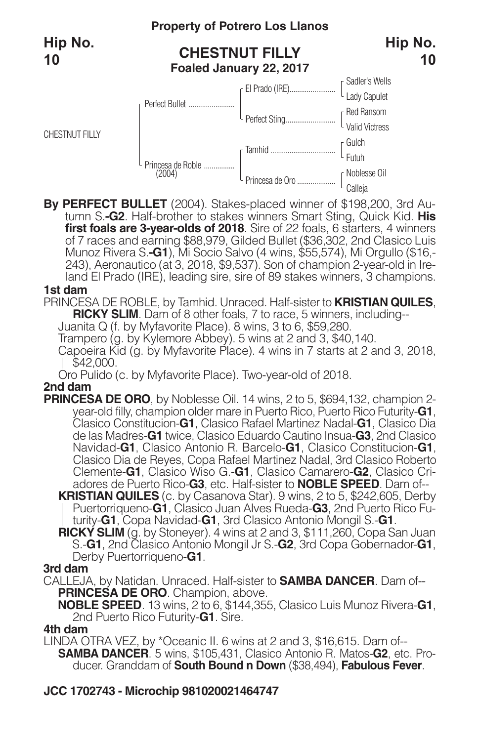

**By PERFECT BULLET** (2004). Stakes-placed winner of \$198,200, 3rd Au- tumn S.**-G2**. Half-brother to stakes winners Smart Sting, Quick Kid. **His first foals are 3-year-olds of 2018**. Sire of 22 foals, 6 starters, 4 winners of 7 races and earning \$88,979, Gilded Bullet (\$36,302, 2nd Clasico Luis Munoz Rivera S.**-G1**), Mi Socio Salvo (4 wins, \$55,574), Mi Orgullo (\$16,- 243), Aeronautico (at 3, 2018, \$9,537). Son of champion 2-year-old in Ireland El Prado (IRE), leading sire, sire of 89 stakes winners, 3 champions.

#### **1st dam**

PRINCESA DE ROBLE, by Tamhid. Unraced. Half-sister to **KRISTIAN QUILES**, **RICKY SLIM**. Dam of 8 other foals, 7 to race, 5 winners, including--

Juanita Q (f. by Myfavorite Place). 8 wins, 3 to 6, \$59,280.

Trampero (g. by Kylemore Abbey). 5 wins at 2 and 3, \$40,140.

Capoeira Kid (g. by Myfavorite Place). 4 wins in 7 starts at 2 and 3, 2018,  $||$  \$42,000.

Oro Pulido (c. by Myfavorite Place). Two-year-old of 2018.

#### **2nd dam**

**PRINCESA DE ORO**, by Noblesse Oil. 14 wins, 2 to 5, \$694,132, champion 2 year-old filly, champion older mare in Puerto Rico, Puerto Rico Futurity-**G1**, Clasico Constitucion-**G1**, Clasico Rafael Martinez Nadal-**G1**, Clasico Dia de las Madres-**G1** twice, Clasico Eduardo Cautino Insua-**G3**, 2nd Clasico Navidad-**G1**, Clasico Antonio R. Barcelo-**G1**, Clasico Constitucion-**G1**, Clasico Dia de Reyes, Copa Rafael Martinez Nadal, 3rd Clasico Roberto Clemente-**G1**, Clasico Wiso G.-**G1**, Clasico Camarero-**G2**, Clasico Criadores de Puerto Rico-**G3**, etc. Half-sister to **NOBLE SPEED**. Dam of-- **KRISTIAN QUILES** (c. by Casanova Star). 9 wins, 2 to 5, \$242,605, Derby

Puertorriqueno-**G1**, Clasico Juan Alves Rueda-**G3**, 2nd Puerto Rico Futurity-**G1**, Copa Navidad-**G1**, 3rd Clasico Antonio Mongil S.-**G1**.

**RICKY SLIM** (g. by Stoneyer). 4 wins at 2 and 3, \$111,260, Copa San Juan S.-**G1**, 2nd Clasico Antonio Mongil Jr S.-**G2**, 3rd Copa Gobernador-**G1**, Derby Puertorriqueno-**G1**.

#### **3rd dam**

CALLEJA, by Natidan. Unraced. Half-sister to **SAMBA DANCER**. Dam of-- **PRINCESA DE ORO**. Champion, above.

**NOBLE SPEED**. 13 wins, 2 to 6, \$144,355, Clasico Luis Munoz Rivera-**G1**, 2nd Puerto Rico Futurity-**G1**. Sire.

#### **4th dam**

LINDA OTRA VEZ, by \*Oceanic II. 6 wins at 2 and 3, \$16,615. Dam of-- **SAMBA DANCER**. 5 wins, \$105,431, Clasico Antonio R. Matos-**G2**, etc. Producer. Granddam of **South Bound n Down** (\$38,494), **Fabulous Fever**.

#### **JCC 1702743 - Microchip 981020021464747**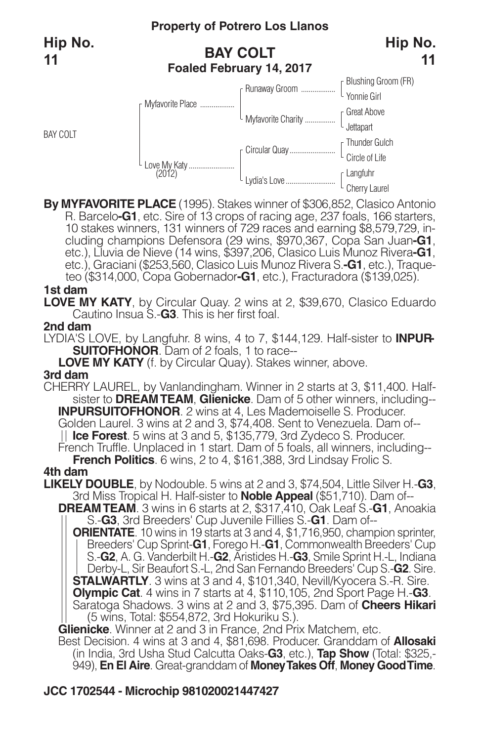BAY COLT

## **BAY COLT Foaled February 14, 2017**



**By MYFAVORITE PLACE** (1995). Stakes winner of \$306,852, Clasico Antonio 10 stakes winners, 131 winners of 729 races and earning \$8,579,729, including champions Defensora (29 wins, \$970,367, Copa San Juan-G1, etc.), Lluvia de Nieve (14 wins, \$397,206, Clasico Luis Munoz Rivera-G1, etc.), Graciani (\$253,560, Clasico Luis Munoz Rivera S.**-G1**, etc.), Traqueteo (\$314,000, Copa Gobernador**-G1**, etc.), Fracturadora (\$139,025).

#### **1st dam**

**LOVE MY KATY**, by Circular Quay. 2 wins at 2, \$39,670, Clasico Eduardo Cautino Insua S.-**G3**. This is her first foal.

#### **2nd dam**

LYDIA'S LOVE, by Langfuhr. 8 wins, 4 to 7, \$144,129. Half-sister to **INPUR-SUITOFHONOR**. Dam of 2 foals, 1 to race--

**LOVE MY KATY** (f. by Circular Quay). Stakes winner, above.

### **3rd dam**

CHERRY LAUREL, by Vanlandingham. Winner in 2 starts at 3, \$11,400. Halfsister to **DREAMTEAM**, **Glienicke**. Dam of 5 other winners, including-- **INPURSUITOFHONOR**. 2 wins at 4, Les Mademoiselle S. Producer. Golden Laurel. 3 wins at 2 and 3, \$74,408. Sent to Venezuela. Dam of-- **Ice Forest**. 5 wins at 3 and 5, \$135,779, 3rd Zydeco S. Producer. French Truffle. Unplaced in 1 start. Dam of 5 foals, all winners, including--

**French Politics**. <sup>6</sup> wins, <sup>2</sup> to 4, \$161,388, 3rd Lindsay Frolic S. **4th dam**

**LIKELY DOUBLE**, by Nodouble. 5 wins at 2 and 3, \$74,504, Little Silver H.-**G3**, 3rd Miss Tropical H. Half-sister to **Noble Appeal** (\$51,710). Dam of--

**DREAMTEAM**. 3 wins in 6 starts at 2, \$317,410, Oak Leaf S.-**G1**, Anoakia S.-**G3**, 3rd Breeders' Cup Juvenile Fillies S.-**G1**. Dam of--

**ORIENTATE**. 10 wins in 19 starts at 3 and 4, \$1,716,950, champion sprinter, Breeders' Cup Sprint-**G1**, Forego H.-**G1**, Commonwealth Breeders' Cup S.-**G2**, A. G. Vanderbilt H.-**G2**, Aristides H.-**G3**, Smile Sprint H.-L, Indiana Derby-L, Sir Beaufort S.-L, 2nd San Fernando Breeders' Cup S.-**G2**. Sire. **STALWARTLY**. 3 wins at 3 and 4, \$101,340, Nevill/Kyocera S.-R. Sire. **Olympic Cat**. 4 wins in 7 starts at 4, \$110,105, 2nd Sport Page H.-**G3**. Saratoga Shadows. 3 wins at 2 and 3, \$75,395. Dam of **Cheers Hikari** (5 wins, Total: \$554,872, 3rd Hokuriku S.).

**Glienicke**. Winner at 2 and 3 in France, 2nd Prix Matchem, etc.

Best Decision. 4 wins at 3 and 4, \$81,698. Producer. Granddam of **Allosaki** (in India, 3rd Usha Stud Calcutta Oaks-**G3**, etc.), **Tap Show** (Total: \$325,- 949), **En El Aire**. Great-granddam of **MoneyTakes Off**, **Money GoodTime**.

## **JCC 1702544 - Microchip 981020021447427**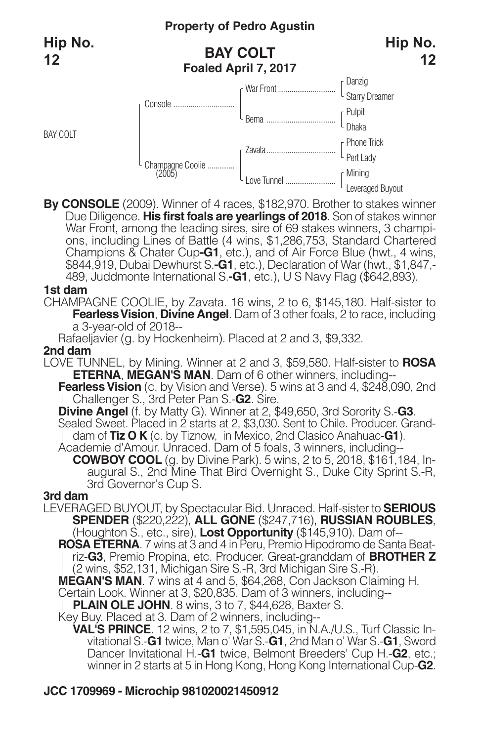BAY COLT

## **BAY COLT Foaled April 7, 2017**



**By CONSOLE** (2009). Winner of 4 races, \$182,970. Brother to stakes winner Due Diligence. **His first foals are yearlings of 2018**. Son of stakes winner ons, including Lines of Battle (4 wins, \$1,286,753, Standard Chartered Champions & Chater Cup**-G1**, etc.), and of Air Force Blue (hwt., 4 wins, \$844,919, Dubai Dewhurst S.**-G1**, etc.), Declaration of War (hwt., \$1,847,- 489, Juddmonte International S.**-G1**, etc.), U S Navy Flag (\$642,893).

#### **1st dam**

CHAMPAGNE COOLIE, by Zavata. 16 wins, 2 to 6, \$145,180. Half-sister to **FearlessVision**, **Divine Angel**. Dam of 3 other foals, 2 to race, including a 3-year-old of 2018--

Rafaeljavier (g. by Hockenheim). Placed at 2 and 3, \$9,332.

### **2nd dam**

LOVE TUNNEL, by Mining. Winner at 2 and 3, \$59,580. Half-sister to **ROSA ETERNA**, **MEGAN'S MAN**. Dam of 6 other winners, including--

**Fearless Vision** (c. by Vision and Verse). 5 wins at 3 and 4, \$248,090, 2nd Challenger S., 3rd Peter Pan S.-**G2**. Sire.

**Divine Angel** (f. by Matty G). Winner at 2, \$49,650, 3rd Sorority S.-**G3**.

Sealed Sweet. Placed in 2 starts at 2, \$3,030. Sent to Chile. Producer. Granddam of **Tiz O K** (c. by Tiznow, in Mexico, 2nd Clasico Anahuac-**G1**).

Academie d'Amour. Unraced. Dam of 5 foals, 3 winners, including--

**COWBOY COOL** (g. by Divine Park). <sup>5</sup> wins, <sup>2</sup> to 5, 2018, \$161,184, In- augural S., 2nd Mine That Bird Overnight S., Duke City Sprint S.-R, 3rd Governor's Cup S.

#### **3rd dam**

LEVERAGED BUYOUT, by Spectacular Bid. Unraced. Half-sister to **SERIOUS SPENDER** (\$220,222), **ALL GONE** (\$247,716), **RUSSIAN ROUBLES**, (Houghton S., etc., sire), **Lost Opportunity** (\$145,910). Dam of--

**ROSA ETERNA**. 7 wins at 3 and 4 in Peru, Premio Hipodromo de Santa Beatriz-**G3**, Premio Propina, etc. Producer. Great-granddam of **BROTHER Z** (2 wins, \$52,131, Michigan Sire S.-R, 3rd Michigan Sire S.-R).

**MEGAN'S MAN**. 7 wins at 4 and 5, \$64,268, Con Jackson Claiming H.

Certain Look. Winner at 3, \$20,835. Dam of 3 winners, including--

**PLAIN OLE JOHN**. 8 wins, 3 to 7, \$44,628, Baxter S.

Key Buy. Placed at 3. Dam of 2 winners, including--

**VAL'S PRINCE**. 12 wins, 2 to 7, \$1,595,045, in N.A./U.S., Turf Classic Invitational S.-**G1** twice, Man o' War S.-**G1**, 2nd Man o' War S.-**G1**, Sword Dancer Invitational H.-**G1** twice, Belmont Breeders' Cup H.-**G2**, etc.; winner in 2 starts at 5 in Hong Kong, Hong Kong International Cup-**G2**.

## **JCC 1709969 - Microchip 981020021450912**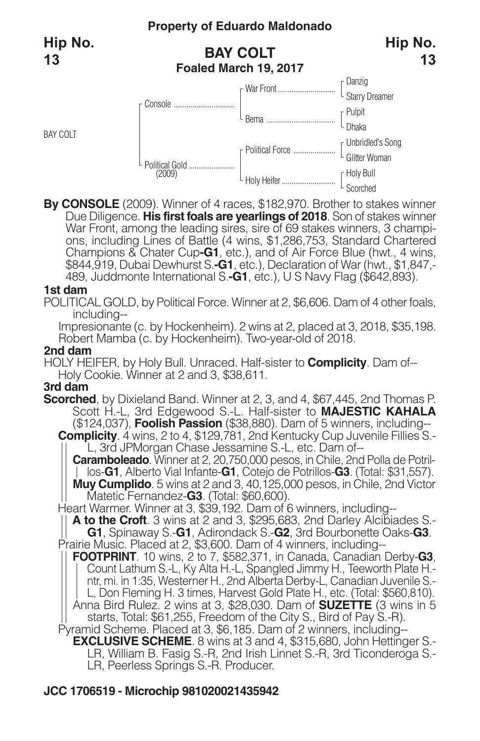BAY COLT

## **BAY COLT Foaled March 19, 2017**



**By CONSOLE** (2009). Winner of 4 races, \$182,970. Brother to stakes winner Due Diligence. **His first foals are yearlings of 2018**. Son of stakes winner War Front, among the leading sires, sire of 69 stakes winners, 3 champi-<br>ons, including Lines of Battle (4 wins, \$1,286,753, Standard Chartered Champions & Chater Cup**-G1**, etc.), and of Air Force Blue (hwt., 4 wins, \$844,919, Dubai Dewhurst S.**-G1**, etc.), Declaration of War (hwt., \$1,847,- 489, Juddmonte International S.**-G1**, etc.), U S Navy Flag (\$642,893).

#### **1st dam**

POLITICAL GOLD, by Political Force. Winner at 2, \$6,606. Dam of 4 other foals, including--

Impresionante (c. by Hockenheim). 2 wins at 2, placed at 3, 2018, \$35,198. Robert Mamba (c. by Hockenheim). Two-year-old of 2018.

#### **2nd dam**

HOLY HEIFER, by Holy Bull. Unraced. Half-sister to **Complicity**. Dam of-- Holy Cookie. Winner at 2 and 3, \$38,611.

### **3rd dam**

**Scorched**, by Dixieland Band. Winner at 2, 3, and 4, \$67,445, 2nd Thomas P. Scott H.-L, 3rd Edgewood S.-L. Half-sister to **MAJESTIC KAHALA** (\$124,037), **Foolish Passion** (\$38,880). Dam of 5 winners, including--

**Complicity**. 4 wins, 2 to 4, \$129,781, 2nd Kentucky Cup Juvenile Fillies S.- L, 3rd JPMorgan Chase Jessamine S.-L, etc. Dam of--

**Caramboleado**. Winner at 2, 20,750,000 pesos, in Chile, 2nd Polla de Potrillos-**G1**, Alberto Vial Infante-**G1**, Cotejo de Potrillos-**G3**. (Total: \$31,557). **Muy Cumplido**. 5 wins at 2 and 3, 40, 125,000 pesos, in Chile, 2nd Victor Matetic Fernandez-**G3**. (Total: \$60,600).

Heart Warmer. Winner at 3, \$39,192. Dam of 6 winners, including--

**A to the Croft**. 3 wins at 2 and 3, \$295,683, 2nd Darley Alcibiades S.-

**G1**, Spinaway S.-**G1**, Adirondack S.-**G2**, 3rd Bourbonette Oaks-**G3**. Prairie Music. Placed at 2, \$3,600. Dam of 4 winners, including--

**FOOTPRINT**. 10 wins, 2 to 7, \$582,371, in Canada, Canadian Derby-**G3**, Count Lathum S.-L, Ky Alta H.-L, Spangled Jimmy H., Teeworth Plate H. ntr, mi. in 1:35, Westerner H., 2nd Alberta Derby-L, Canadian Juvenile S.- L, Don Fleming H. 3 times, Harvest Gold Plate H., etc. (Total: \$560,810). Anna Bird Rulez. 2 wins at 3, \$28,030. Dam of **SUZETTE** (3 wins in 5 starts, Total: \$61,255, Freedom of the City S., Bird of Pay S.-R).

Pyramid Scheme. Placed at 3, \$6,185. Dam of 2 winners, including-- **EXCLUSIVE SCHEME**. 8 wins at 3 and 4, \$315,680, John Hettinger S.- LR, William B. Fasig S.-R, 2nd Irish Linnet S.-R, 3rd Ticonderoga S.-

LR, Peerless Springs S.-R. Producer.

## **JCC 1706519 - Microchip 981020021435942**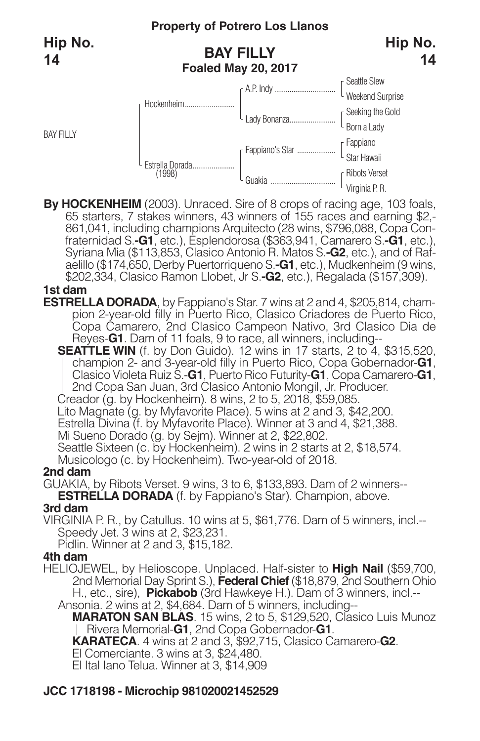## **BAY FILLY Foaled May 20, 2017**



**Hip No.**





By HOCKENHEIM (2003). Unraced. Sire of 8 crops of racing age, 103 foals, 65 starters, 7 stakes winners, 43 winners of 155 races and earning \$2,-861,041, including champions Arquitecto (28 wins, \$796,088, Copa Confraternida aelillo (\$174,650, Derby Puertorriqueno S.**-G1**, etc.), Mudkenheim (9 wins, \$202,334, Clasico Ramon Llobet, Jr S.**-G2**, etc.), Regalada (\$157,309).

#### **1st dam**

**ESTRELLA DORADA**, by Fappiano's Star. 7 wins at 2 and 4, \$205,814, champion 2-year-old filly in Puerto Rico, Clasico Criadores de Puerto Rico, Copa Camarero, 2nd Clasico Campeon Nativo, 3rd Clasico Dia de Reyes-**G1**. Dam of 11 foals, 9 to race, all winners, including--

**SEATTLE WIN** (f. by Don Guido). 12 wins in 17 starts, 2 to 4, \$315,520, champion 2- and 3-year-old filly in Puerto Rico, Copa Gobernador-**G1**, Clasico Violeta Ruiz S.-**G1**, Puerto Rico Futurity-**G1**, Copa Camarero-**G1**, 2nd Copa San Juan, 3rd Clasico Antonio Mongil, Jr. Producer.

Creador (g. by Hockenheim). 8 wins, 2 to 5, 2018, \$59,085.

Lito Magnate (g. by Myfavorite Place). 5 wins at 2 and 3, \$42,200.

Estrella Divina (f. by Myfavorite Place). Winner at 3 and 4, \$21,388.

Mi Sueno Dorado (g. by Sejm). Winner at 2, \$22,802.

Seattle Sixteen (c. by Hockenheim). 2 wins in 2 starts at 2, \$18,574.

Musicologo (c. by Hockenheim). Two-year-old of 2018.

### **2nd dam**

GUAKIA, by Ribots Verset. 9 wins, 3 to 6, \$133,893. Dam of 2 winners-- **ESTRELLA DORADA** (f. by Fappiano's Star). Champion, above.

### **3rd dam**

VIRGINIA P. R., by Catullus. 10 wins at 5, \$61,776. Dam of 5 winners, incl.-- Speedy Jet. 3 wins at 2, \$23,231.

Pidlin. Winner at 2 and 3, \$15,182.

### **4th dam**

HELIOJEWEL, by Helioscope. Unplaced. Half-sister to **High Nail** (\$59,700, 2nd Memorial Day Sprint S.), **Federal Chief** (\$18,879, 2nd Southern Ohio H., etc., sire), **Pickabob** (3rd Hawkeye H.). Dam of 3 winners, incl.--Ansonia. 2 wins at 2, \$4,684. Dam of 5 winners, including--

**MARATON SAN BLAS**. 15 wins, 2 to 5, \$129,520, Clasico Luis Munoz Rivera Memorial-**G1**, 2nd Copa Gobernador-**G1**.

**KARATECA**. 4 wins at 2 and 3, \$92,715, Clasico Camarero-**G2**.

El Comerciante. 3 wins at 3, \$24,480.

El Ital Iano Telua. Winner at 3, \$14,909

## **JCC 1718198 - Microchip 981020021452529**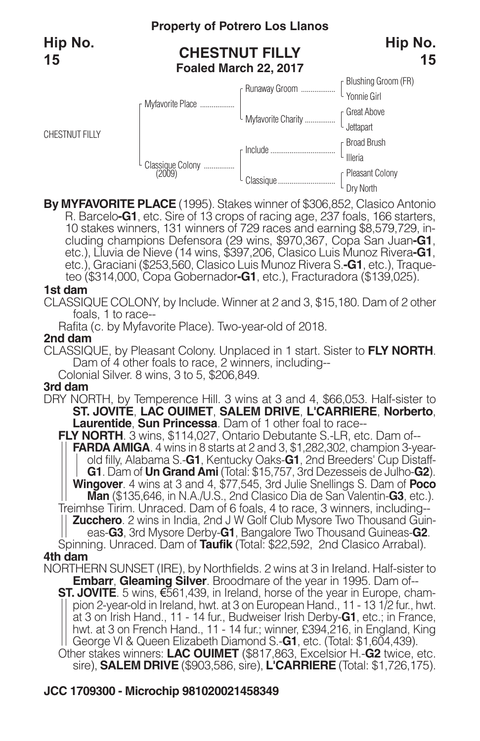

**By MYFAVORITE PLACE** (1995). Stakes winner of \$306,852, Clasico Antonio 10 stakes winners, 131 winners of 729 races and earning \$8,579,729, in-<br>cluding champions Defensora (29 wins, \$970,367, Copa San Juan-G1,<br>etc.), Lluvia de Nieve (14 wins, \$397,206, Clasico Luis Munoz Rivera-G1, etc.), Graciani (\$253,560, Clasico Luis Munoz Rivera S.**-G1**, etc.), Traqueteo (\$314,000, Copa Gobernador**-G1**, etc.), Fracturadora (\$139,025).

#### **1st dam**

CLASSIQUE COLONY, by Include. Winner at 2 and 3, \$15,180. Dam of 2 other foals, 1 to race--

Rafita (c. by Myfavorite Place). Two-year-old of 2018.

#### **2nd dam**

CLASSIQUE, by Pleasant Colony. Unplaced in 1 start. Sister to **FLY NORTH**. Dam of 4 other foals to race, 2 winners, including--

Colonial Silver. 8 wins, 3 to 5, \$206,849.

#### **3rd dam**

DRY NORTH, by Temperence Hill. 3 wins at 3 and 4, \$66,053. Half-sister to **ST. JOVITE**, **LAC OUIMET**, **SALEM DRIVE**, **L'CARRIERE**, **Norberto**, **Laurentide**, **Sun Princessa**. Dam of 1 other foal to race--

**FLY NORTH**. 3 wins, \$114,027, Ontario Debutante S.-LR, etc. Dam of-- **FARDA AMIGA**. 4 wins in 8 starts at 2 and 3, \$1,282,302, champion 3-yearold filly, Alabama S.-**G1**, Kentucky Oaks-**G1**, 2nd Breeders' Cup Distaff-**G1**. Dam of **Un Grand Ami** (Total: \$15,757, 3rd Dezesseis de Julho-**G2**). **Wingover**. 4 wins at 3 and 4, \$77,545, 3rd Julie Snellings S. Dam of **Poco Man** (\$135,646, in N.A./U.S., 2nd Clasico Dia de San Valentin-**G3**, etc.). Treimhse Tirim. Unraced. Dam of 6 foals, 4 to race, 3 winners, including-- **Zucchero**. 2 wins in India, 2nd J W Golf Club Mysore Two Thousand Guineas-**G3**, 3rd Mysore Derby-**G1**, Bangalore Two Thousand Guineas-**G2**.

Spinning. Unraced. Dam of **Taufik** (Total: \$22,592, 2nd Clasico Arrabal). **4th dam**

NORTHERN SUNSET (IRE), by Northfields. 2 wins at 3 in Ireland. Half-sister to **Embarr**, **Gleaming Silver**. Broodmare of the year in 1995. Dam of--

**ST. JOVITE**. 5 wins, €561,439, in Ireland, horse of the year in Europe, champion 2-year-old in Ireland, hwt. at 3 on European Hand., 11 - 13 1/2 fur., hwt. at 3 on Irish Hand., 11 - 14 fur., Budweiser Irish Derby-**G1**, etc.; in France, hwt. at 3 on French Hand., 11 - 14 fur.; winner, £394,216, in England, King George VI & Queen Elizabeth Diamond S.-**G1**, etc. (Total: \$1,604,439).

Other stakes winners: **LAC OUIMET** (\$817,863, Excelsior H.-**G2** twice, etc. sire), **SALEM DRIVE** (\$903,586, sire), **L'CARRIERE** (Total: \$1,726,175).

#### **JCC 1709300 - Microchip 981020021458349**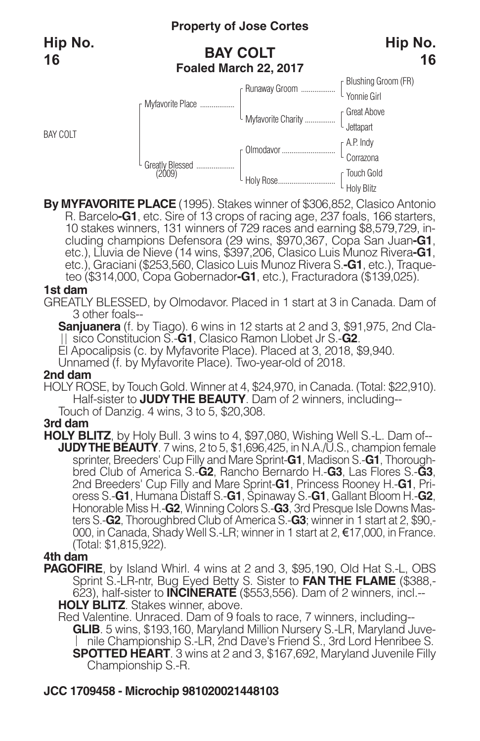BAY COLT

## **Property of Jose Cortes**

## **BAY COLT Foaled March 22, 2017**





**By MYFAVORITE PLACE** (1995). Stakes winner of \$306,852, Clasico Antonio 10 stakes winners, 131 winners of 729 races and earning \$8,579,729, including champions Defensora (29 wins, \$970,367, Copa San Juan-G1, etc.), Lluvia de Nieve (14 wins, \$397,206, Clasico Luis Munoz Rivera-G1, etc.), Graciani (\$253,560, Clasico Luis Munoz Rivera S.**-G1**, etc.), Traqueteo (\$314,000, Copa Gobernador**-G1**, etc.), Fracturadora (\$139,025).

#### **1st dam**

GREATLY BLESSED, by Olmodavor. Placed in 1 start at 3 in Canada. Dam of 3 other foals--

**Sanjuanera** (f. by Tiago). 6 wins in 12 starts at 2 and 3, \$91,975, 2nd Clasico Constitucion S.-**G1**, Clasico Ramon Llobet Jr S.-**G2**.

El Apocalipsis (c. by Myfavorite Place). Placed at 3, 2018, \$9,940.

Unnamed (f. by Myfavorite Place). Two-year-old of 2018.

#### **2nd dam**

HOLY ROSE, by Touch Gold. Winner at 4, \$24,970, in Canada. (Total: \$22,910). Half-sister to **JUDYTHE BEAUTY**. Dam of 2 winners, including-- Touch of Danzig. 4 wins, 3 to 5, \$20,308.

### **3rd dam**

**HOLY BLITZ**, by Holy Bull. 3 wins to 4, \$97,080, Wishing Well S.-L. Dam of-- **JUDYTHE BEAUTY**. 7 wins, 2 to 5, \$1,696,425, in N.A./U.S., champion female sprinter, Breeders' Cup Filly and Mare Sprint-**G1**, Madison S.-**G1**, Thoroughbred Club of America S.-**G2**, Rancho Bernardo H.-**G3**, Las Flores S.-**G3**, 2nd Breeders' Cup Filly and Mare Sprint-**G1**, Princess Rooney H.-**G1**, Prioress S.-**G1**, Humana Distaff S.-**G1**, Spinaway S.-**G1**, Gallant Bloom H.-**G2**, Honorable Miss H.-**G2**, Winning Colors S.-**G3**, 3rd Presque Isle Downs Masters S.-**G2**, Thoroughbred Club of America S.-**G3**; winner in 1 start at 2, \$90,- 000, in Canada, Shady Well S.-LR; winner in 1 start at 2, €17,000, in France. (Total: \$1,815,922).

## **4th dam**

**PAGOFIRE**, by Island Whirl. 4 wins at 2 and 3, \$95,190, Old Hat S.-L, OBS Sprint S.-LR-ntr, Bug Eyed Betty S. Sister to **FAN THE FLAME** (\$388,- 623), half-sister to **INCINERATE** (\$553,556). Dam of 2 winners, incl.-- **HOLY BLITZ**. Stakes winner, above.

Red Valentine. Unraced. Dam of 9 foals to race, 7 winners, including-- **GLIB**. 5 wins, \$193,160, Maryland Million Nursery S.-LR, Maryland Juvenile Championship S.-LR, 2nd Dave's Friend S., 3rd Lord Henribee S. **SPOTTED HEART**. 3 wins at 2 and 3, \$167,692, Maryland Juvenile Filly Championship S.-R.

## **JCC 1709458 - Microchip 981020021448103**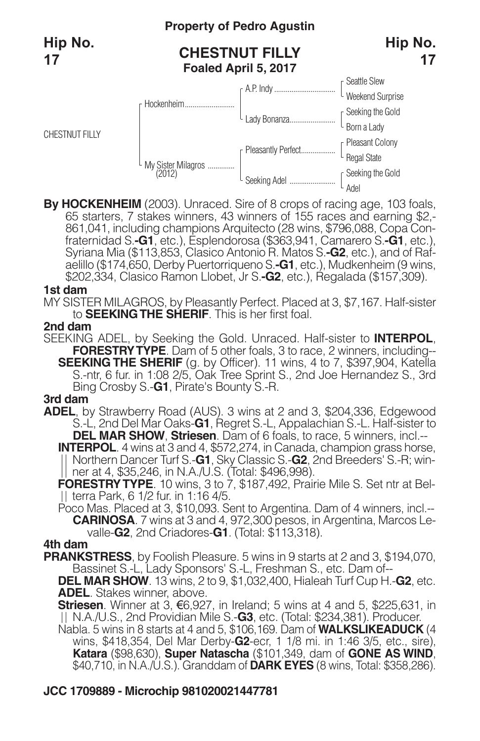CHESTNUT FILLY

## **Property of Pedro Agustin**

## **CHESTNUT FILLY Foaled April 5, 2017**





By HOCKENHEIM (2003). Unraced. Sire of 8 crops of racing age, 103 foals, 65 starters, 7 stakes winners, 43 winners of 155 races and earning \$2,-861,041, including champions Arquitecto (28 wins, \$796,088, Copa Confraternida aelillo (\$174,650, Derby Puertorriqueno S.**-G1**, etc.), Mudkenheim (9 wins, \$202,334, Clasico Ramon Llobet, Jr S.**-G2**, etc.), Regalada (\$157,309).

#### **1st dam**

MY SISTER MILAGROS, by Pleasantly Perfect. Placed at 3, \$7,167. Half-sister to **SEEKINGTHE SHERIF**. This is her first foal.

#### **2nd dam**

SEEKING ADEL, by Seeking the Gold. Unraced. Half-sister to **INTERPOL**, **FORESTRYTYPE**. Dam of 5 other foals, 3 to race, 2 winners, including-- **SEEKING THE SHERIF** (g. by Officer). 11 wins, 4 to 7, \$397,904, Katella S.-ntr, 6 fur. in 1:08 2/5, Oak Tree Sprint S., 2nd Joe Hernandez S., 3rd Bing Crosby S.-**G1**, Pirate's Bounty S.-R.

#### **3rd dam**

**ADEL**, by Strawberry Road (AUS). 3 wins at 2 and 3, \$204,336, Edgewood S.-L, 2nd Del Mar Oaks-**G1**, Regret S.-L, Appalachian S.-L. Half-sister to

**INTERPOL**. 4 wins at 3 and 4, \$572,274, in Canada, champion grass horse,<br>|| Northern Dancer Turf S.-**G1**, Sky Classic S.-**G2**, 2nd Breeders' S.-R; win-<br>|| ner at 4, \$35,246, in N.A./U.S. (Total: \$496,998).

**FORESTRY TYPE.** 10 wins, 3 to 7, \$187,492, Prairie Mile S. Set ntr at Bel-<br>| terra Park, 6 1/2 fur. in 1:16 4/5.

Poco Mas. Placed at 3, \$10,093. Sent to Argentina. Dam of 4 winners, incl.-- **CARINOSA**. 7 wins at 3 and 4, 972,300 pesos, in Argentina, Marcos Levalle-**G2**, 2nd Criadores-**G1**. (Total: \$113,318).

#### **4th dam**

**PRANKSTRESS**, by Foolish Pleasure. 5 wins in 9 starts at 2 and 3, \$194,070, Bassinet S.-L, Lady Sponsors' S.-L, Freshman S., etc. Dam of--

**DEL MAR SHOW**. 13 wins, 2 to 9, \$1,032,400, Hialeah Turf Cup H.-**G2**, etc. **ADEL**. Stakes winner, above.

**Striesen**. Winner at 3, €6,927, in Ireland; 5 wins at 4 and 5, \$225,631, in N.A./U.S., 2nd Providian Mile S.-**G3**, etc. (Total: \$234,381). Producer.

Nabla. 5 wins in 8 starts at 4 and 5, \$106,169. Dam of **WALKSLIKEADUCK** (4 wins, \$418,354, Del Mar Derby-**G2**-ecr, 1 1/8 mi. in 1:46 3/5, etc., sire), **Katara** (\$98,630), **Super Natascha** (\$101,349, dam of **GONE AS WIND**, \$40,710, in N.A./U.S.). Granddam of **DARK EYES** (8 wins, Total: \$358,286).

## **JCC 1709889 - Microchip 981020021447781**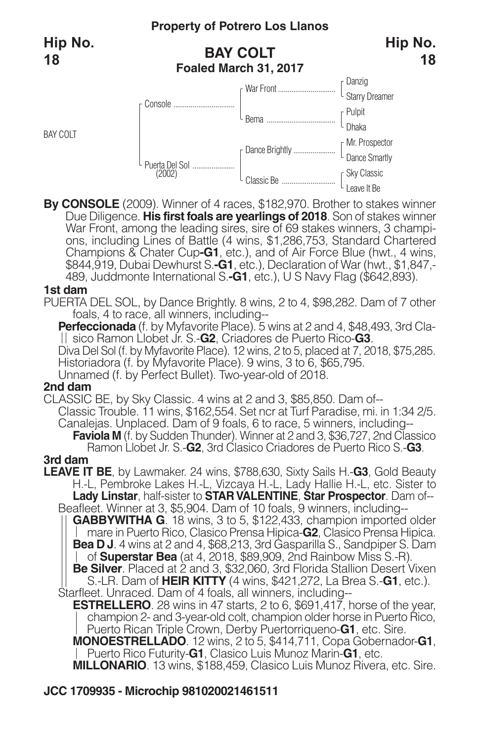BAY COLT

## **BAY COLT Foaled March 31, 2017**



**By CONSOLE** (2009). Winner of 4 races, \$182,970. Brother to stakes winner Due Diligence. **His first foals are yearlings of 2018**. Son of stakes winner War Front, among the leading sires, sire of 69 stakes winners, 3 champi-<br>ons, including Lines of Battle (4 wins, \$1,286,753, Standard Chartered Champions & Chater Cup**-G1**, etc.), and of Air Force Blue (hwt., 4 wins, \$844,919, Dubai Dewhurst S.**-G1**, etc.), Declaration of War (hwt., \$1,847,- 489, Juddmonte International S.**-G1**, etc.), U S Navy Flag (\$642,893).

#### **1st dam**

PUERTA DEL SOL, by Dance Brightly. 8 wins, 2 to 4, \$98,282. Dam of 7 other foals, 4 to race, all winners, including--

**Perfeccionada** (f. by Myfavorite Place). 5 wins at 2 and 4, \$48,493, 3rd Clasico Ramon Llobet Jr. S.-**G2**, Criadores de Puerto Rico-**G3**.

Diva Del Sol (f. by Myfavorite Place). 12 wins, 2 to 5, placed at 7, 2018, \$75,285. Historiadora (f. by Myfavorite Place). 9 wins, 3 to 6, \$65,795.

Unnamed (f. by Perfect Bullet). Two-year-old of 2018.

#### **2nd dam**

CLASSIC BE, by Sky Classic. 4 wins at 2 and 3, \$85,850. Dam of-- Classic Trouble. 11 wins, \$162,554. Set ncr at Turf Paradise, mi. in 1:34 2/5. Canalejas. Unplaced. Dam of 9 foals, 6 to race, 5 winners, including-- **Faviola M** (f. by Sudden Thunder). Winner at 2 and 3, \$36,727, 2nd Classico Ramon Llobet Jr. S.-**G2**, 3rd Clasico Criadores de Puerto Rico S.-**G3**.

#### **3rd dam**

**LEAVE IT BE**, by Lawmaker. 24 wins, \$788,630, Sixty Sails H.-**G3**, Gold Beauty H.-L, Pembroke Lakes H.-L, Vizcaya H.-L, Lady Hallie H.-L, etc. Sister to **Lady Linstar**, half-sister to **STAR VALENTINE**, **Star Prospector**. Dam of-- Beafleet. Winner at 3, \$5,904. Dam of 10 foals, 9 winners, including--

**GABBYWITHA G**. 18 wins, 3 to 5, \$122,433, champion imported older mare in Puerto Rico, Clasico Prensa Hipica-**G2**, Clasico Prensa Hipica. **Bea D J**. 4 wins at 2 and 4, \$68,213, 3rd Gasparilla S., Sandpiper S. Dam of **Superstar Bea** (at 4, 2018, \$89,909, 2nd Rainbow Miss S.-R). **Be Silver**. Placed at 2 and 3, \$32,060, 3rd Florida Stallion Desert Vixen S.-LR. Dam of **HEIR KITTY** (4 wins, \$421,272, La Brea S.-**G1**, etc.).

Starfleet. Unraced. Dam of 4 foals, all winners, including--

**ESTRELLERO**. 28 wins in 47 starts, 2 to 6, \$691,417, horse of the year, champion 2- and 3-year-old colt, champion older horse in Puerto Rico, Puerto Rican Triple Crown, Derby Puertorriqueno-**G1**, etc. Sire.

**MONOESTRELLADO**. 12 wins, 2 to 5, \$414,711, Copa Gobernador-**G1**, Puerto Rico Futurity-**G1**, Clasico Luis Munoz Marin-**G1**, etc.

**MILLONARIO**. 13 wins, \$188,459, Clasico Luis Munoz Rivera, etc. Sire.

### **JCC 1709935 - Microchip 981020021461511**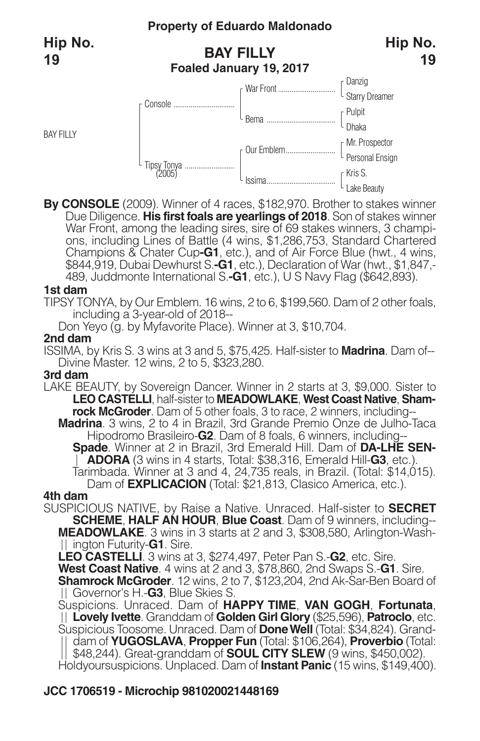BAY FILLY

## **BAY FILLY Foaled January 19, 2017**



**By CONSOLE** (2009). Winner of 4 races, \$182,970. Brother to stakes winner Due Diligence. **His first foals are yearlings of 2018**. Son of stakes winner ons, including Lines of Battle (4 wins, \$1,286,753, Standard Chartered Champions & Chater Cup**-G1**, etc.), and of Air Force Blue (hwt., 4 wins, \$844,919, Dubai Dewhurst S.**-G1**, etc.), Declaration of War (hwt., \$1,847,- 489, Juddmonte International S.**-G1**, etc.), U S Navy Flag (\$642,893).

#### **1st dam**

TIPSY TONYA, by Our Emblem. 16 wins, 2 to 6, \$199,560. Dam of 2 other foals, including a 3-year-old of 2018--

Don Yeyo (g. by Myfavorite Place). Winner at 3, \$10,704.

#### **2nd dam**

ISSIMA, by Kris S. 3 wins at 3 and 5, \$75,425. Half-sister to **Madrina**. Dam of-- Divine Master. 12 wins, 2 to 5, \$323,280.

#### **3rd dam**

LAKE BEAUTY, by Sovereign Dancer. Winner in 2 starts at 3, \$9,000. Sister to **LEO CASTELLI**, half-sister to **MEADOWLAKE**, **West Coast Native**, **Shamrock McGroder**. Dam of 5 other foals, 3 to race, 2 winners, including--

**Madrina**. 3 wins, 2 to 4 in Brazil, 3rd Grande Premio Onze de Julho-Taca Hipodromo Brasileiro-**G2**. Dam of 8 foals, 6 winners, including--

**Spade**. Winner at 2 in Brazil, 3rd Emerald Hill. Dam of **DA-LHE SEN-**<br>| **ADORA** (3 wins in 4 starts, Total: \$38,316, Emerald Hill-G3, etc.).<br>Tarimbada. Winner at 3 and 4, 24,735 reals, in Brazil. (Total: \$14,015).<br>Dam of

SUSPICIOUS NATIVE, by Raise a Native. Unraced. Half-sister to **SECRET SCHEME**, **HALF AN HOUR**, **Blue Coast**. Dam of 9 winners, including-- **MEADOWLAKE**. 3 wins in 3 starts at 2 and 3, \$308,580, Arlington-Washington Futurity-**G1**. Sire.

**LEO CASTELLI**. 3 wins at 3, \$274,497, Peter Pan S.-**G2**, etc. Sire. **West Coast Native**. 4 wins at 2 and 3, \$78,860, 2nd Swaps S.-**G1**. Sire. **Shamrock McGroder**. 12 wins, 2 to 7, \$123,204, 2nd Ak-Sar-Ben Board of Governor's H.-**G3**, Blue Skies S.

Suspicions. Unraced. Dam of **HAPPY TIME**, **VAN GOGH**, **Fortunata**, **Lovely Ivette**. Granddam of **Golden Girl Glory** (\$25,596), **Patroclo**, etc. Suspicious Toosome. Unraced. Dam of **DoneWell** (Total: \$34,824). Granddam of **YUGOSLAVA**, **Propper Fun** (Total: \$106,264), **Proverbio** (Total: \$48,244). Great-granddam of **SOUL CITY SLEW** (9 wins, \$450,002). Holdyoursuspicions. Unplaced. Dam of **Instant Panic** (15 wins, \$149,400).

## **JCC 1706519 - Microchip 981020021448169**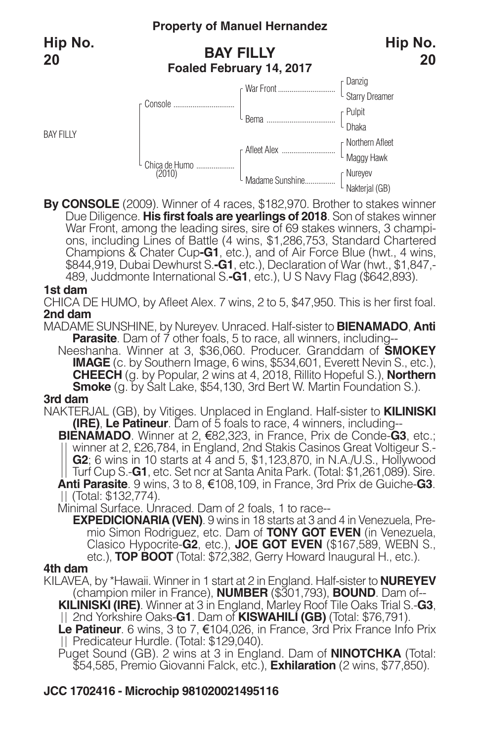BAY FILLY



**20**

**By CONSOLE** (2009). Winner of 4 races, \$182,970. Brother to stakes winner Due Diligence. **His first foals are yearlings of 2018**. Son of stakes winner War Front, among the leading sires, sire of 69 stakes winners, 3 champi-<br>ons, including Lines of Battle (4 wins, \$1,286,753, Standard Chartered Champions & Chater Cup**-G1**, etc.), and of Air Force Blue (hwt., 4 wins, \$844,919, Dubai Dewhurst S.**-G1**, etc.), Declaration of War (hwt., \$1,847,- 489, Juddmonte International S.**-G1**, etc.), U S Navy Flag (\$642,893).

#### **1st dam**

CHICA DE HUMO, by Afleet Alex. 7 wins, 2 to 5, \$47,950. This is her first foal. **2nd dam**

MADAME SUNSHINE, by Nureyev. Unraced. Half-sister to **BIENAMADO**, **Anti Parasite**. Dam of 7 other foals, 5 to race, all winners, including--

Neeshanha. Winner at 3, \$36,060. Producer. Granddam of **SMOKEY IMAGE** (c. by Southern Image, 6 wins, \$534,601, Everett Nevin S., etc.), **CHEECH** (g. by Popular, 2 wins at 4, 2018, Rillito Hopeful S.), **Northern Smoke** (g. by Salt Lake, \$54,130, 3rd Bert W. Martin Foundation S.). **3rd dam**

NAKTERJAL (GB), by Vitiges. Unplaced in England. Half-sister to **KILINISKI (IRE)**, **Le Patineur**. Dam of 5 foals to race, 4 winners, including--

**BIENAMADO**. Winner at 2, €82,323, in France, Prix de Conde-**G3**, etc.; winner at 2, £26,784, in England, 2nd Stakis Casinos Great Voltigeur S.- **G2**; 6 wins in 10 starts at 4 and 5, \$1,123,870, in N.A./U.S., Hollywood<br>Turf Cup S.**-G1**, etc. Set ncr at Santa Anita Park. (Total: \$1,261,089). Sire. **Anti Parasite**. 9 wins, 3 to 8, €108,109, in France, 3rd Prix de Guiche-**G3**. (Total: \$132,774).

Minimal Surface. Unraced. Dam of 2 foals, 1 to race--

**EXPEDICIONARIA (VEN)**. 9 wins in 18 starts at 3 and 4 in Venezuela, Pre mio Simon Rodriguez, etc. Dam of **TONY GOT EVEN** (in Venezuela, Clasico Hypocrite-**G2**, etc.), **JOE GOT EVEN** (\$167,589, WEBN S., etc.), **TOP BOOT** (Total: \$72,382, Gerry Howard Inaugural H., etc.).

#### **4th dam**

KILAVEA, by \*Hawaii. Winner in 1 start at 2 in England. Half-sister to **NUREYEV** (champion miler in France), **NUMBER** (\$301,793), **BOUND**. Dam of--

**KILINISKI (IRE)**. Winner at 3 in England, Marley Roof Tile Oaks Trial S.-**G3**, 2nd Yorkshire Oaks-**G1**. Dam of **KISWAHILI (GB)** (Total: \$76,791).

**Le Patineur**. 6 wins, 3 to 7, €104,026, in France, 3rd Prix France Info Prix Predicateur Hurdle. (Total: \$129,040).

Puget Sound (GB). 2 wins at 3 in England. Dam of **NINOTCHKA** (Total: \$54,585, Premio Giovanni Falck, etc.), **Exhilaration** (2 wins, \$77,850).

## **JCC 1702416 - Microchip 981020021495116**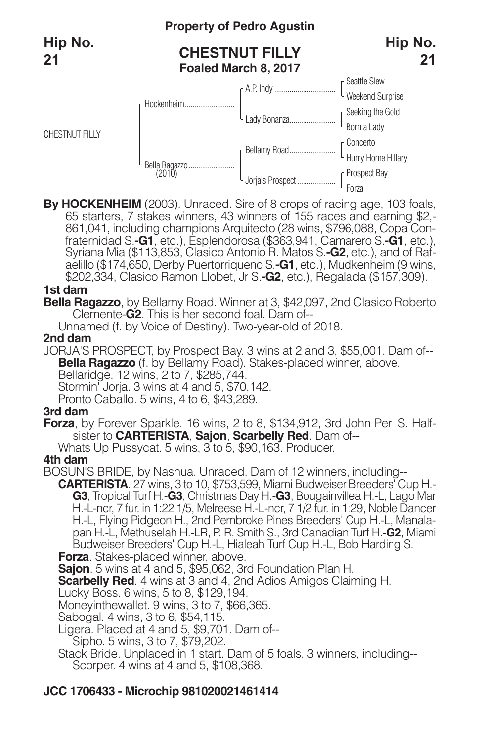## **Property of Pedro Agustin**

## **CHESTNUT FILLY Foaled March 8, 2017**





By HOCKENHEIM (2003). Unraced. Sire of 8 crops of racing age, 103 foals, 65 starters, 7 stakes winners, 43 winners of 155 races and earning \$2,-861,041, including champions Arquitecto (28 wins, \$796,088, Copa Confraternida aelillo (\$174,650, Derby Puertorriqueno S.**-G1**, etc.), Mudkenheim (9 wins, \$202,334, Clasico Ramon Llobet, Jr S.**-G2**, etc.), Regalada (\$157,309).

#### **1st dam**

**Bella Ragazzo**, by Bellamy Road. Winner at 3, \$42,097, 2nd Clasico Roberto Clemente-**G2**. This is her second foal. Dam of--

Unnamed (f. by Voice of Destiny). Two-year-old of 2018.

#### **2nd dam**

JORJA'S PROSPECT, by Prospect Bay. 3 wins at 2 and 3, \$55,001. Dam of-- **Bella Ragazzo** (f. by Bellamy Road). Stakes-placed winner, above. Bellaridge. 12 wins, 2 to 7, \$285,744. Stormin<sup>'</sup> Joria. 3 wins at 4 and 5, \$70,142. Pronto Caballo. 5 wins, 4 to 6, \$43,289.

### **3rd dam**

**Forza**, by Forever Sparkle. 16 wins, 2 to 8, \$134,912, 3rd John Peri S. Halfsister to **CARTERISTA**, **Sajon**, **Scarbelly Red**. Dam of--

Whats Up Pussycat. 5 wins, 3 to 5, \$90,163. Producer.

#### **4th dam**

BOSUN'S BRIDE, by Nashua. Unraced. Dam of 12 winners, including--

**CARTERISTA**. 27 wins, 3 to 10, \$753,599, Miami Budweiser Breeders' Cup H.- **G3**, Tropical Turf H.-**G3**, Christmas Day H.-**G3**, Bougainvillea H.-L, Lago Mar H.-L-ncr, 7 fur. in 1:22 1/5, Melreese H.-L-ncr, 7 1/2 fur. in 1:29, Noble Dancer H.-L, Flying Pidgeon H., 2nd Pembroke Pines Breeders' Cup H.-L, Manalapan H.-L, Methuselah H.-LR, P. R. Smith S., 3rd Canadian Turf H.-**G2**, Miami Budweiser Breeders' Cup H.-L, Hialeah Turf Cup H.-L, Bob Harding S.

**Forza**. Stakes-placed winner, above.

**Sajon**. 5 wins at 4 and 5, \$95,062, 3rd Foundation Plan H.

**Scarbelly Red**. 4 wins at 3 and 4, 2nd Adios Amigos Claiming H.

Lucky Boss. 6 wins, 5 to 8, \$129,194.

Moneyinthewallet. 9 wins, 3 to 7, \$66,365.

Sabogal. 4 wins, 3 to 6, \$54,115.

Ligera. Placed at 4 and 5, \$9,701. Dam of--

Sipho. 5 wins, 3 to 7, \$79,202.

Stack Bride. Unplaced in 1 start. Dam of 5 foals, 3 winners, including-- Scorper. 4 wins at 4 and 5, \$108,368.

## **JCC 1706433 - Microchip 981020021461414**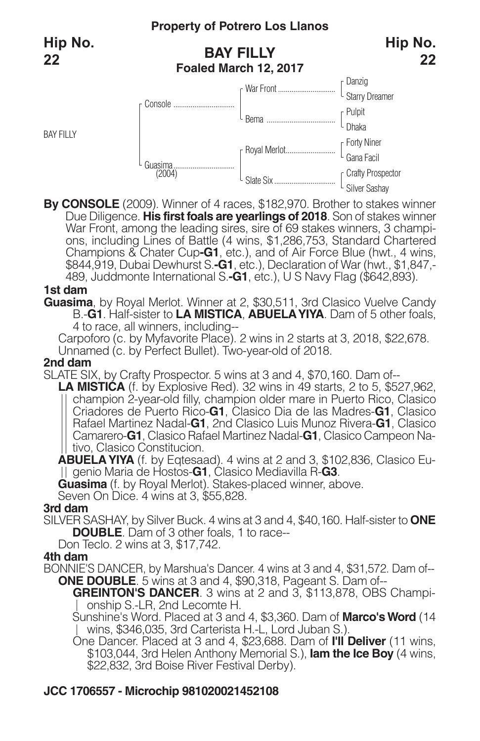BAY FILLY

## **BAY FILLY Foaled March 12, 2017**



**By CONSOLE** (2009). Winner of 4 races, \$182,970. Brother to stakes winner Due Diligence. **His first foals are yearlings of 2018**. Son of stakes winner War Front, among the leading sires, sire of 69 stakes winners, 3 champi-<br>ons, including Lines of Battle (4 wins, \$1,286,753, Standard Chartered Champions & Chater Cup**-G1**, etc.), and of Air Force Blue (hwt., 4 wins, \$844,919, Dubai Dewhurst S.**-G1**, etc.), Declaration of War (hwt., \$1,847,- 489, Juddmonte International S.**-G1**, etc.), U S Navy Flag (\$642,893).

#### **1st dam**

**Guasima**, by Royal Merlot. Winner at 2, \$30,511, 3rd Clasico Vuelve Candy B.-**G1**. Half-sister to **LA MISTICA**, **ABUELAYIYA**. Dam of 5 other foals, 4 to race, all winners, including--

Carpoforo (c. by Myfavorite Place). 2 wins in 2 starts at 3, 2018, \$22,678. Unnamed (c. by Perfect Bullet). Two-year-old of 2018.

#### **2nd dam**

SLATE SIX, by Crafty Prospector. 5 wins at 3 and 4, \$70,160. Dam of--

**LA MISTICA** (f. by Explosive Red). 32 wins in 49 starts, 2 to 5, \$527,962, champion 2-year-old filly, champion older mare in Puerto Rico, Clasico Criadores de Puerto Rico-**G1**, Clasico Dia de las Madres-**G1**, Clasico Rafael Martinez Nadal-**G1**, 2nd Clasico Luis Munoz Rivera-**G1**, Clasico Camarero-**G1**, Clasico Rafael Martinez Nadal-**G1**, Clasico Campeon Na-| tivo, Clasico Constitucion.

**ABUELAYIYA** (f. by Eqtesaad). 4 wins at 2 and 3, \$102,836, Clasico Eugenio Maria de Hostos-**G1**, Clasico Mediavilla R-**G3**.

**Guasima** (f. by Royal Merlot). Stakes-placed winner, above.

Seven On Dice. 4 wins at 3, \$55,828.

### **3rd dam**

SILVER SASHAY, by Silver Buck. 4 wins at 3 and 4, \$40,160. Half-sister to **ONE DOUBLE**. Dam of 3 other foals, 1 to race--

Don Teclo. 2 wins at 3, \$17,742.

### **4th dam**

BONNIE'S DANCER, by Marshua's Dancer. 4 wins at 3 and 4, \$31,572. Dam of-- **ONE DOUBLE**. 5 wins at 3 and 4, \$90,318, Pageant S. Dam of--

**GREINTON'S DANCER**. 3 wins at 2 and 3, \$113,878, OBS Championship S.-LR, 2nd Lecomte H.

Sunshine's Word. Placed at 3 and 4, \$3,360. Dam of **Marco'sWord** (14 wins, \$346,035, 3rd Carterista H.-L, Lord Juban S.).

One Dancer. Placed at 3 and 4, \$23,688. Dam of **I'll Deliver** (11 wins, \$103,044, 3rd Helen Anthony Memorial S.), **Iam the Ice Boy** (4 wins, \$22,832, 3rd Boise River Festival Derby).

## **JCC 1706557 - Microchip 981020021452108**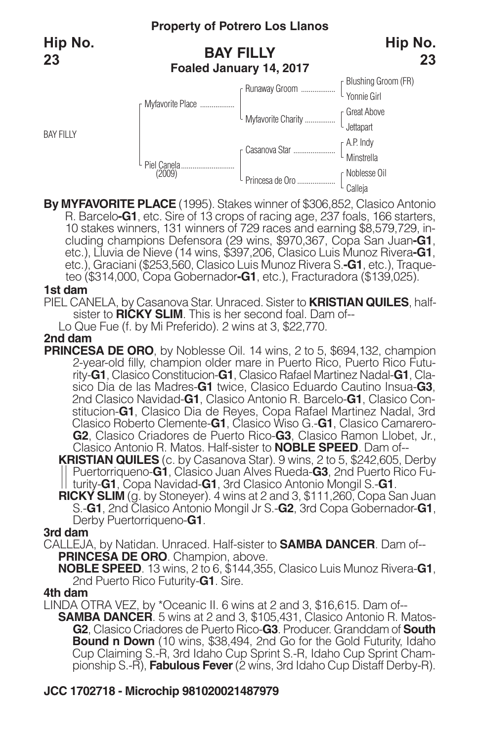BAY FILLY

## **BAY FILLY Foaled January 14, 2017**





**By MYFAVORITE PLACE** (1995). Stakes winner of \$306,852, Clasico Antonio 10 stakes winners, 131 winners of 729 races and earning \$8,579,729, in-<br>cluding champions Defensora (29 wins, \$970,367, Copa San Juan-G1,<br>etc.), Lluvia de Nieve (14 wins, \$397,206, Clasico Luis Munoz Rivera-G1, etc.), Graciani (\$253,560, Clasico Luis Munoz Rivera S.**-G1**, etc.), Traqueteo (\$314,000, Copa Gobernador**-G1**, etc.), Fracturadora (\$139,025).

#### **1st dam**

PIEL CANELA, by Casanova Star. Unraced. Sister to **KRISTIAN QUILES**, halfsister to **RICKY SLIM**. This is her second foal. Dam of--

Lo Que Fue (f. by Mi Preferido). 2 wins at 3, \$22,770.

#### **2nd dam**

**PRINCESA DE ORO**, by Noblesse Oil. 14 wins, 2 to 5, \$694,132, champion 2-year-old filly, champion older mare in Puerto Rico, Puerto Rico Futurity-**G1**, Clasico Constitucion-**G1**, Clasico Rafael Martinez Nadal-**G1**, Clasico Dia de las Madres-**G1** twice, Clasico Eduardo Cautino Insua-**G3**, 2nd Clasico Navidad-**G1**, Clasico Antonio R. Barcelo-**G1**, Clasico Constitucion-**G1**, Clasico Dia de Reyes, Copa Rafael Martinez Nadal, 3rd Clasico Roberto Clemente-**G1**, Clasico Wiso G.-**G1**, Clasico Camarero-**G2**, Clasico Criadores de Puerto Rico-**G3**, Clasico Ramon Llobet, Jr., Clasico Antonio R. Matos. Half-sister to **NOBLE SPEED**. Dam of--

**KRISTIAN QUILES** (c. by Casanova Star). 9 wins, 2 to 5, \$242,605, Derby Puertorriqueno-**G1**, Clasico Juan Alves Rueda-**G3**, 2nd Puerto Rico Futurity-**G1**, Copa Navidad-**G1**, 3rd Clasico Antonio Mongil S.-**G1**.

**RICKY SLIM** (g. by Stoneyer). 4 wins at 2 and 3, \$111,260, Copa San Juan S.-**G1**, 2nd Clasico Antonio Mongil Jr S.-**G2**, 3rd Copa Gobernador-**G1**, Derby Puertorriqueno-**G1**.

#### **3rd dam**

CALLEJA, by Natidan. Unraced. Half-sister to **SAMBA DANCER**. Dam of-- **PRINCESA DE ORO**. Champion, above.

**NOBLE SPEED**. 13 wins, 2 to 6, \$144,355, Clasico Luis Munoz Rivera-**G1**, 2nd Puerto Rico Futurity-**G1**. Sire.

#### **4th dam**

LINDA OTRA VEZ, by \*Oceanic II. 6 wins at 2 and 3, \$16,615. Dam of-- **SAMBA DANCER**. 5 wins at 2 and 3, \$105,431, Clasico Antonio R. Matos-**G2**, Clasico Criadores de Puerto Rico-**G3**. Producer. Granddam of **South Bound n Down** (10 wins, \$38,494, 2nd Go for the Gold Futurity, Idaho Cup Claiming S.-R, 3rd Idaho Cup Sprint S.-R, Idaho Cup Sprint Championship S.-R), **Fabulous Fever**(2 wins, 3rd Idaho Cup Distaff Derby-R).

## **JCC 1702718 - Microchip 981020021487979**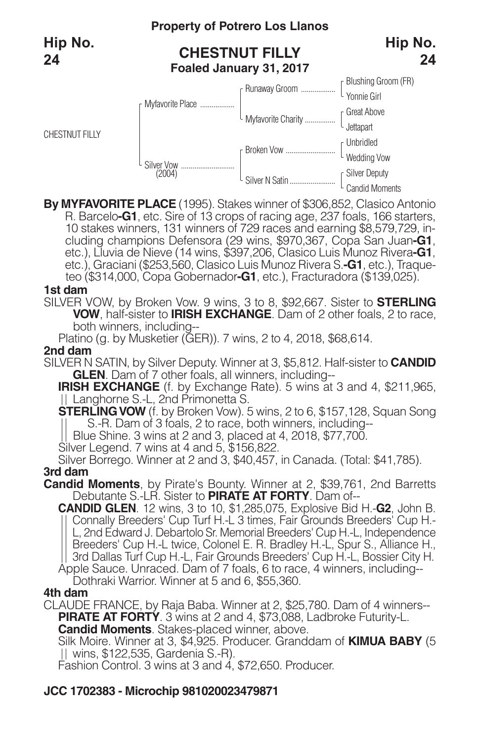

**By MYFAVORITE PLACE** (1995). Stakes winner of \$306,852, Clasico Antonio 10 stakes winners, 131 winners of 729 races and earning \$8,579,729, including champions Defensora (29 wins, \$970,367, Copa San Juan-G1, etc.), Lluvia de Nieve (14 wins, \$397,206, Clasico Luis Munoz Rivera-G1, etc.), Graciani (\$253,560, Clasico Luis Munoz Rivera S.**-G1**, etc.), Traqueteo (\$314,000, Copa Gobernador**-G1**, etc.), Fracturadora (\$139,025).

#### **1st dam**

SILVER VOW, by Broken Vow. 9 wins, 3 to 8, \$92,667. Sister to **STERLING VOW**, half-sister to **IRISH EXCHANGE**. Dam of 2 other foals, 2 to race, both winners, including--

Platino (g. by Musketier (GER)). 7 wins, 2 to 4, 2018, \$68,614.

#### **2nd dam**

SILVER N SATIN, by Silver Deputy. Winner at 3, \$5,812. Half-sister to **CANDID GLEN**. Dam of 7 other foals, all winners, including--

**IRISH EXCHANGE** (f. by Exchange Rate). 5 wins at 3 and 4, \$211,965, || Langhorne S.-L, 2nd Primonetta S.

**STERLING VOW** (f. by Broken Vow). 5 wins, 2 to 6, \$157, 128, Squan Song S.-R. Dam of 3 foals, 2 to race, both winners, including--

Blue Shine. 3 wins at 2 and 3, placed at 4, 2018, \$77,700.

Silver Legend. <sup>7</sup> wins at <sup>4</sup> and 5, \$156,822. Silver Borrego. Winner at <sup>2</sup> and 3, \$40,457, in Canada. (Total: \$41,785).

#### **3rd dam**

**Candid Moments**, by Pirate's Bounty. Winner at 2, \$39,761, 2nd Barretts Debutante S.-LR. Sister to **PIRATE AT FORTY**. Dam of--

**CANDID GLEN**. 12 wins, 3 to 10, \$1,285,075, Explosive Bid H.-**G2**, John B. Connally Breeders' Cup Turf H.-L 3 times, Fair Grounds Breeders' Cup H.- L, 2nd Edward J. Debartolo Sr. Memorial Breeders' Cup H.-L, Independence Breeders' Cup H.-L twice, Colonel E. R. Bradley H.-L, Spur S., Alliance H., 3rd Dallas Turf Cup H.-L, Fair Grounds Breeders' Cup H.-L, Bossier City H. Apple Sauce. Unraced. Dam of 7 foals, 6 to race, 4 winners, including--

Dothraki Warrior. Winner at 5 and 6, \$55,360.

#### **4th dam**

CLAUDE FRANCE, by Raja Baba. Winner at 2, \$25,780. Dam of 4 winners-- **PIRATE AT FORTY**. 3 wins at 2 and 4, \$73,088, Ladbroke Futurity-L.

**Candid Moments**. Stakes-placed winner, above.

Silk Moire. Winner at 3, \$4,925. Producer. Granddam of **KIMUA BABY** (5 wins, \$122,535, Gardenia S.-R).

Fashion Control. 3 wins at 3 and 4, \$72,650. Producer.

## **JCC 1702383 - Microchip 981020023479871**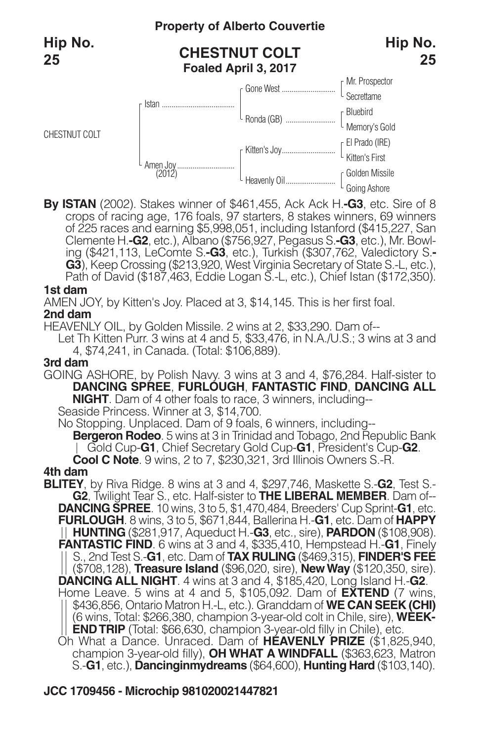CHESTNUT COLT

## **Property of Alberto Couvertie**

## **CHESTNUT COLT Foaled April 3, 2017**



**By ISTAN** (2002). Stakes winner of \$461,455, Ack Ack H.**-G3**, etc. Sire of 8 crops of racing age, 176 foals, 97 starters, 8 stakes winners, 69 winners of 225 races and earning \$5,998,051, including Istanford (\$415,227, San<br>Clemente H.**-G2**, etc.), Albano (\$756,927, Pegasus S.**-G3**, etc.), Mr. Bowl-Clemente H.**-G2**, etc.), Albano (\$756,927, Pegasus S.**-G3**, etc.), Mr. Bowl- ing (\$421,113, LeComte S.**-G3**, etc.), Turkish (\$307,762, Valedictory S.**- G3**), Keep Crossing (\$213,920, West Virginia Secretary of State S.-L, etc.), Path of David (\$187,463, Eddie Logan S.-L, etc.), Chief Istan (\$172,350).

#### **1st dam**

AMEN JOY, by Kitten's Joy. Placed at 3, \$14,145. This is her first foal.

#### **2nd dam**

HEAVENLY OIL, by Golden Missile. 2 wins at 2, \$33,290. Dam of--

Let Th Kitten Purr. 3 wins at 4 and 5, \$33,476, in N.A./U.S.; 3 wins at 3 and 4, \$74,241, in Canada. (Total: \$106,889).

### **3rd dam**

GOING ASHORE, by Polish Navy. 3 wins at 3 and 4, \$76,284. Half-sister to **DANCING SPREE**, **FURLOUGH**, **FANTASTIC FIND**, **DANCING ALL NIGHT**. Dam of 4 other foals to race, 3 winners, including-- Seaside Princess. Winner at 3, \$14,700.

No Stopping. Unplaced. Dam of 9 foals, 6 winners, including-- **Bergeron Rodeo**. 5 wins at 3 in Trinidad and Tobago, 2nd Republic Bank

Gold Cup-**G1**, Chief Secretary Gold Cup-**G1**, President's Cup-**G2**.

**Cool <sup>C</sup> Note**. <sup>9</sup> wins, <sup>2</sup> to 7, \$230,321, 3rd Illinois Owners S.-R. **4th dam**

**BLITEY**, by Riva Ridge. 8 wins at 3 and 4, \$297,746, Maskette S.-**G2**, Test S.- **G2**, Twilight Tear S., etc. Half-sister to **THE LIBERAL MEMBER**. Dam of-- **DANCING SPREE**. 10 wins, 3 to 5, \$1,470,484, Breeders' Cup Sprint-**G1**, etc. **FURLOUGH**. 8 wins, 3 to 5, \$671,844, Ballerina H.-**G1**, etc. Dam of **HAPPY HUNTING** (\$281,917, Aqueduct H.-**G3**, etc., sire), **PARDON** (\$108,908). **FANTASTIC FIND**. 6 wins at 3 and 4, \$335,410, Hempstead H.-**G1**, Finely S., 2nd Test S.-**G1**, etc. Dam of **TAX RULING** (\$469,315), **FINDER'S FEE** (\$708,128), **Treasure Island** (\$96,020, sire), **NewWay** (\$120,350, sire). **DANCING ALL NIGHT**. 4 wins at 3 and 4, \$185,420, Long Island H.-**G2**. Home Leave. 5 wins at 4 and 5, \$105,092. Dam of **EXTEND** (7 wins, \$436,856, Ontario Matron H.-L, etc.). Granddam of **WE CAN SEEK (CHI)** (6 wins, Total: \$266,380, champion 3-year-old colt in Chile, sire), **WEEK-ENDTRIP** (Total: \$66,630, champion 3-year-old filly in Chile), etc. Oh What a Dance. Unraced. Dam of **HEAVENLY PRIZE** (\$1,825,940, champion 3-year-old filly), **OH WHAT A WINDFALL** (\$363,623, Matron S.-**G1**, etc.), **Dancinginmydreams** (\$64,600), **Hunting Hard** (\$103,140).

## **JCC 1709456 - Microchip 981020021447821**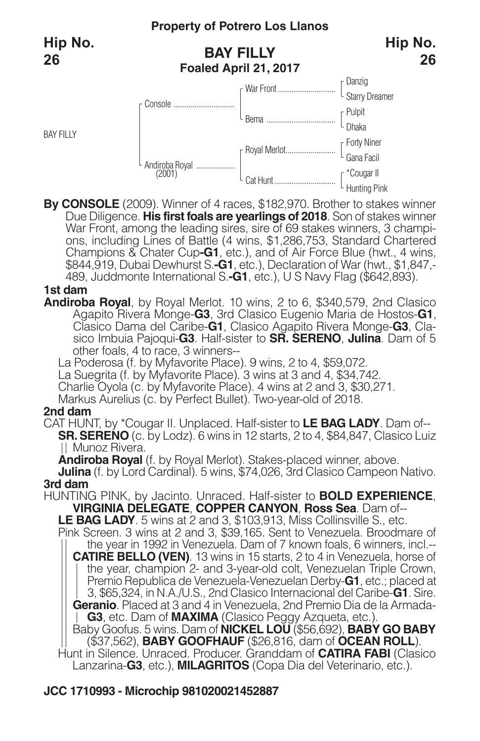BAY FILLY

## **BAY FILLY Foaled April 21, 2017**



**By CONSOLE** (2009). Winner of 4 races, \$182,970. Brother to stakes winner Due Diligence. **His first foals are yearlings of 2018**. Son of stakes winner War Front, among the leading sires, sire of 69 stakes winners, 3 champi-<br>ons, including Lines of Battle (4 wins, \$1,286,753, Standard Chartered Champions & Chater Cup**-G1**, etc.), and of Air Force Blue (hwt., 4 wins, \$844,919, Dubai Dewhurst S.**-G1**, etc.), Declaration of War (hwt., \$1,847,- 489, Juddmonte International S.**-G1**, etc.), U S Navy Flag (\$642,893).

#### **1st dam**

**Andiroba Royal**, by Royal Merlot. 10 wins, 2 to 6, \$340,579, 2nd Clasico Agapito Rivera Monge-**G3**, 3rd Clasico Eugenio Maria de Hostos-**G1**, Clasico Dama del Caribe-**G1**, Clasico Agapito Rivera Monge-**G3**, Clasico Imbuia Pajoqui-**G3**. Half-sister to **SR. SERENO**, **Julina**. Dam of 5 other foals, 4 to race, 3 winners--

La Poderosa (f. by Myfavorite Place). 9 wins, 2 to 4, \$59,072.

La Suegrita (f. by Myfavorite Place). 3 wins at 3 and 4, \$34,742.

Charlie Oyola (c. by Myfavorite Place). 4 wins at 2 and 3, \$30,271.

Markus Aurelius (c. by Perfect Bullet). Two-year-old of 2018.

### **2nd dam**

CAT HUNT, by \*Cougar II. Unplaced. Half-sister to **LE BAG LADY**. Dam of-- **SR. SERENO** (c. by Lodz). 6 wins in 12 starts, 2 to 4, \$84,847, Clasico Luiz || Munoz Rivera.<br>**Andiroba Royal** (f. by Royal Merlot). Stakes-placed winner, above.

**Aulina** (f. by Lord Cardinal). 5 wins, \$74,026, 3rd Clasico Campeon Nativo. **3rd dam** 

HUNTING PINK, by Jacinto. Unraced. Half-sister to **BOLD EXPERIENCE**, **VIRGINIA DELEGATE**, **COPPER CANYON**, **Ross Sea**. Dam of-- **LE BAG LADY**. 5 wins at 2 and 3, \$103,913, Miss Collinsville S., etc.

Pink Screen. 3 wins at 2 and 3, \$39,165. Sent to Venezuela. Broodmare of the year in 1992 in Venezuela. Dam of 7 known foals, 6 winners, incl.-- **CATIRE BELLO (VEN)**. 13 wins in 15 starts, 2 to 4 in Venezuela, horse of the year, champion 2- and 3-year-old colt, Venezuelan Triple Crown, Premio Republica de Venezuela-Venezuelan Derby-**G1**, etc.; placed at 3, \$65,324, in N.A./U.S., 2nd Clasico Internacional del Caribe-**G1**. Sire. **Geranio**. Placed at 3 and 4 in Venezuela, 2nd Premio Dia de la Armada-**G3**, etc. Dam of **MAXIMA** (Clasico Peggy Azqueta, etc.).

Baby Goofus. 5 wins. Dam of **NICKEL LOU** (\$56,692), **BABY GO BABY** (\$37,562), **BABY GOOFHAUF** (\$26,816, dam of **OCEAN ROLL**). Hunt in Silence. Unraced. Producer. Granddam of **CATIRA FABI** (Clasico

Lanzarina-**G3**, etc.), **MILAGRITOS** (Copa Dia del Veterinario, etc.).

## **JCC 1710993 - Microchip 981020021452887**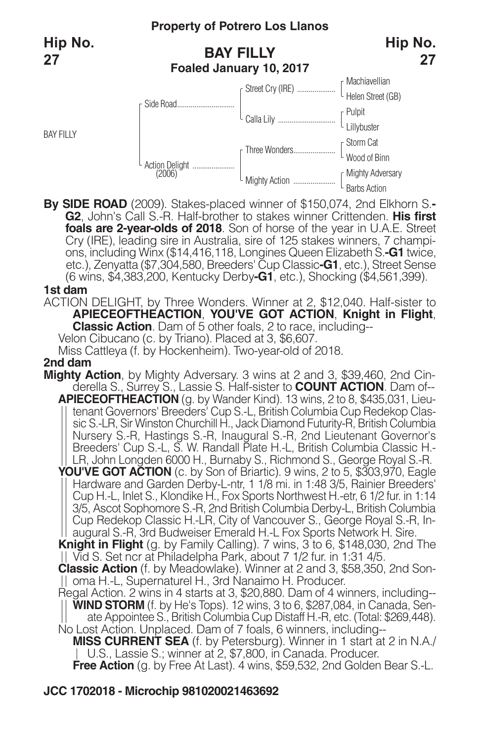BAY FILLY

## **Property of Potrero Los Llanos**

## **BAY FILLY Foaled January 10, 2017**



**By SIDE ROAD** (2009). Stakes-placed winner of \$150,074, 2nd Elkhorn S.**- G2**, John's Call S.-R. Half-brother to stakes winner Crittenden. **His first foals are 2-year-olds of 2018**. Son of horse of the year in U.A.E. Street ons, including Winx (\$14,416,118, Longines Queen Elizabeth S.**-G1** twice, etc.), Zenyatta (\$7,304,580, Breeders' Cup Classic**-G1**, etc.), Street Sense (6 wins, \$4,383,200, Kentucky Derby**-G1**, etc.), Shocking (\$4,561,399).

#### **1st dam**

ACTION DELIGHT, by Three Wonders. Winner at 2, \$12,040. Half-sister to **APIECEOFTHEACTION**, **YOU'VE GOT ACTION**, **Knight in Flight**, **Classic Action**. Dam of 5 other foals, 2 to race, including--

Velon Cibucano (c. by Triano). Placed at 3, \$6,607.

Miss Cattleya (f. by Hockenheim). Two-year-old of 2018.

### **2nd dam**

- **Mighty Action**, by Mighty Adversary. 3 wins at 2 and 3, \$39,460, 2nd Cinderella S., Surrey S., Lassie S. Half-sister to **COUNT ACTION**. Dam of--
	- **APIECEOFTHEACTION** (g. by Wander Kind). 13 wins, 2 to 8, \$435,031, Lieutenant Governors' Breeders' Cup S.-L, British Columbia Cup Redekop Classic S.-LR, Sir Winston Churchill H., Jack Diamond Futurity-R, British Columbia Nursery S.-R, Hastings S.-R, Inaugural S.-R, 2nd Lieutenant Governor's Breeders' Cup S.-L, S. W. Randall Plate H.-L, British Columbia Classic H.- LR, John Longden 6000 H., Burnaby S., Richmond S., George Royal S.-R.
	- **YOU'VE GOT ACTION** (c. by Son of Briartic). 9 wins, 2 to 5, \$303,970, Eagle Hardware and Garden Derby-L-ntr, 1 1/8 mi. in 1:48 3/5, Rainier Breeders' Cup H.-L, Inlet S., Klondike H., Fox Sports Northwest H.-etr, 6 1/2 fur. in 1:14 3/5, Ascot Sophomore S.-R, 2nd British Columbia Derby-L, British Columbia Cup Redekop Classic H.-LR, City of Vancouver S., George Royal S.-R, Inaugural S.-R, 3rd Budweiser Emerald H.-L Fox Sports Network H. Sire.

**Knight in Flight** (g. by Family Calling). 7 wins, 3 to 6, \$148,030, 2nd The Vid S. Set ncr at Philadelpha Park, about 7 1/2 fur. in 1:31 4/5.

**Classic Action** (f. by Meadowlake). Winner at 2 and 3, \$58,350, 2nd Sonoma H.-L, Supernaturel H., 3rd Nanaimo H. Producer.

Regal Action. 2 wins in 4 starts at 3, \$20,880. Dam of 4 winners, including-- **WIND STORM** (f. by He's Tops). 12 wins, 3 to 6, \$287,084, in Canada, Senate Appointee S., British Columbia Cup Distaff H.-R, etc. (Total: \$269,448).

No Lost Action. Unplaced. Dam of 7 foals, 6 winners, including--

**MISS CURRENT SEA** (f. by Petersburg). Winner in 1 start at 2 in N.A./ U.S., Lassie S.; winner at 2, \$7,800, in Canada. Producer.

**Free Action** (g. by Free At Last). 4 wins, \$59,532, 2nd Golden Bear S.-L.

## **JCC 1702018 - Microchip 981020021463692**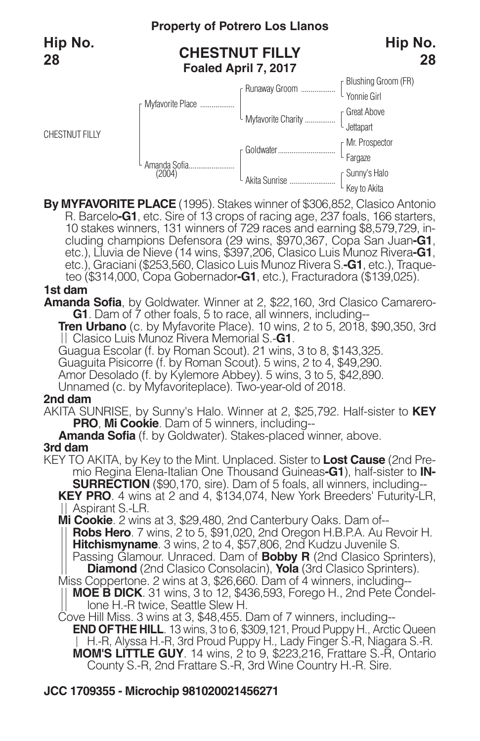

**By MYFAVORITE PLACE** (1995). Stakes winner of \$306,852, Clasico Antonio 10 stakes winners, 131 winners of 729 races and earning \$8,579,729, including champions Defensora (29 wins, \$970,367, Copa San Juan-G1, etc.), Lluvia de Nieve (14 wins, \$397,206, Clasico Luis Munoz Rivera-G1, etc.), Graciani (\$253,560, Clasico Luis Munoz Rivera S.**-G1**, etc.), Traqueteo (\$314,000, Copa Gobernador**-G1**, etc.), Fracturadora (\$139,025).

#### **1st dam**

**Amanda Sofia**, by Goldwater. Winner at 2, \$22,160, 3rd Clasico Camarero-**G1**. Dam of 7 other foals, 5 to race, all winners, including--

**Tren Urbano** (c. by Myfavorite Place). 10 wins, 2 to 5, 2018, \$90,350, 3rd Clasico Luis Munoz Rivera Memorial S.-**G1**.

Guagua Escolar (f. by Roman Scout). 21 wins, 3 to 8, \$143,325.

Guaguita Pisicorre (f. by Roman Scout). 5 wins, 2 to 4, \$49,290.

Amor Desolado (f. by Kylemore Abbey). 5 wins, 3 to 5, \$42,890.

Unnamed (c. by Myfavoriteplace). Two-year-old of 2018.

#### **2nd dam**

AKITA SUNRISE, by Sunny's Halo. Winner at 2, \$25,792. Half-sister to **KEY PRO**, **Mi Cookie**. Dam of 5 winners, including--

**Amanda Sofia** (f. by Goldwater). Stakes-placed winner, above. **3rd dam**

mio Regina Elena-Italian One Thousand Guineas-G1), half-sister to IN-<br>SURRECTION (\$90,170, sire). Dam of 5 foals, all winners, including--<br>KEY PRO. 4 wins at 2 and 4, \$134,074, New York Breeders' Futurity-LR,

Aspirant S.-LR.

**Mi Cookie**. 2 wins at 3, \$29,480, 2nd Canterbury Oaks. Dam of--

**Robs Hero**. 7 wins, 2 to 5, \$91,020, 2nd Oregon H.B.P.A. Au Revoir H. **Hitchismyname**. 3 wins, 2 to 4, \$57,806, 2nd Kudzu Juvenile S.

Passing Glamour. Unraced. Dam of **Bobby R** (2nd Clasico Sprinters), **Diamond** (2nd Clasico Consolacin), **Yola** (3rd Clasico Sprinters).

Miss Coppertone. 2 wins at 3, \$26,660. Dam of 4 winners, including--

**MOE B DICK**. 31 wins, 3 to 12, \$436,593, Forego H., 2nd Pete Condellone H.-R twice, Seattle Slew H.

Cove Hill Miss. 3 wins at 3, \$48,455. Dam of 7 winners, including-- **END OFTHE HILL**. 13 wins, 3 to 6, \$309,121, Proud Puppy H., Arctic Queen H.-R, Alyssa H.-R, 3rd Proud Puppy H., Lady Finger S.-R, Niagara S.-R. **MOM'S LITTLE GUY**. 14 wins, 2 to 9, \$223,216, Frattare S.-R, Ontario County S.-R, 2nd Frattare S.-R, 3rd Wine Country H.-R. Sire.

## **JCC 1709355 - Microchip 981020021456271**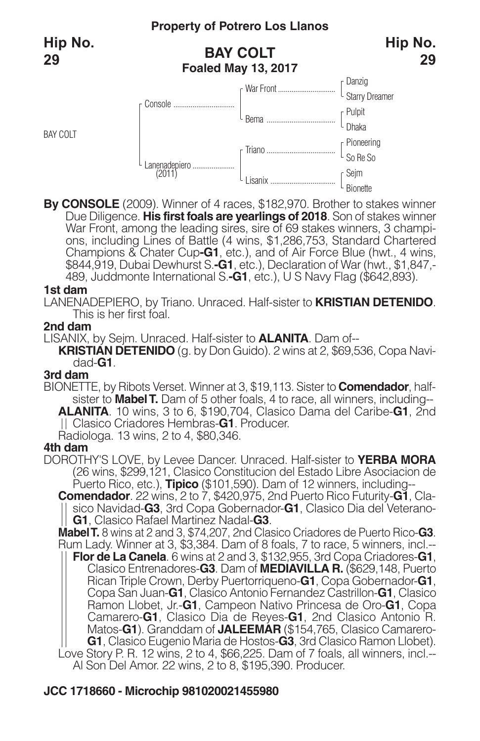BAY COLT



**By CONSOLE** (2009). Winner of 4 races, \$182,970. Brother to stakes winner Due Diligence. **His first foals are yearlings of 2018**. Son of stakes winner ons, including Lines of Battle (4 wins, \$1,286,753, Standard Chartered Champions & Chater Cup**-G1**, etc.), and of Air Force Blue (hwt., 4 wins, \$844,919, Dubai Dewhurst S.**-G1**, etc.), Declaration of War (hwt., \$1,847,- 489, Juddmonte International S.**-G1**, etc.), U S Navy Flag (\$642,893).

#### **1st dam**

LANENADEPIERO, by Triano. Unraced. Half-sister to **KRISTIAN DETENIDO**. This is her first foal.

#### **2nd dam**

LISANIX, by Sejm. Unraced. Half-sister to **ALANITA**. Dam of-- **KRISTIAN DETENIDO** (g. by Don Guido). 2 wins at 2, \$69,536, Copa Navidad-**G1**.

#### **3rd dam**

BIONETTE, by Ribots Verset. Winner at 3, \$19,113. Sister to **Comendador**, halfsister to **MabelT.** Dam of 5 other foals, 4 to race, all winners, including-- **ALANITA**. 10 wins, 3 to 6, \$190,704, Clasico Dama del Caribe-**G1**, 2nd Clasico Criadores Hembras-**G1**. Producer. Radiologa. 13 wins, 2 to 4, \$80,346.

#### **4th dam**

DOROTHY'S LOVE, by Levee Dancer. Unraced. Half-sister to **YERBA MORA** (26 wins, \$299,121, Clasico Constitucion del Estado Libre Asociacion de Puerto Rico, etc.), **Tipico** (\$101,590). Dam of 12 winners, including--

**Comendador**. 22 wins, 2 to 7, \$420,975, 2nd Puerto Rico Futurity-**G1**, Clasico Navidad-**G3**, 3rd Copa Gobernador-**G1**, Clasico Dia del Veterano-**G1**, Clasico Rafael Martinez Nadal-**G3**.

**MabelT.** 8 wins at 2 and 3, \$74,207, 2nd Clasico Criadores de Puerto Rico-**G3**. Rum Lady. Winner at 3, \$3,384. Dam of 8 foals, 7 to race, 5 winners, incl.--

**Flor de La Canela**. 6 wins at 2 and 3, \$132,955, 3rd Copa Criadores-**G1**, Clasico Entrenadores-**G3**. Dam of **MEDIAVILLA R.** (\$629,148, Puerto Rican Triple Crown, Derby Puertorriqueno-**G1**, Copa Gobernador-**G1**, Copa San Juan-**G1**, Clasico Antonio Fernandez Castrillon-**G1**, Clasico Ramon Llobet, Jr.-**G1**, Campeon Nativo Princesa de Oro-**G1**, Copa Camarero-**G1**, Clasico Dia de Reyes-**G1**, 2nd Clasico Antonio R. Matos-**G1**). Granddam of **JALEEMAR** (\$154,765, Clasico Camarero-**G1**, Clasico Eugenio Maria de Hostos-**G3**, 3rd Clasico Ramon Llobet). Love Story P. R. 12 wins, 2 to 4, \$66,225. Dam of 7 foals, all winners, incl.-- Al Son Del Amor. 22 wins, 2 to 8, \$195,390. Producer.

### **JCC 1718660 - Microchip 981020021455980**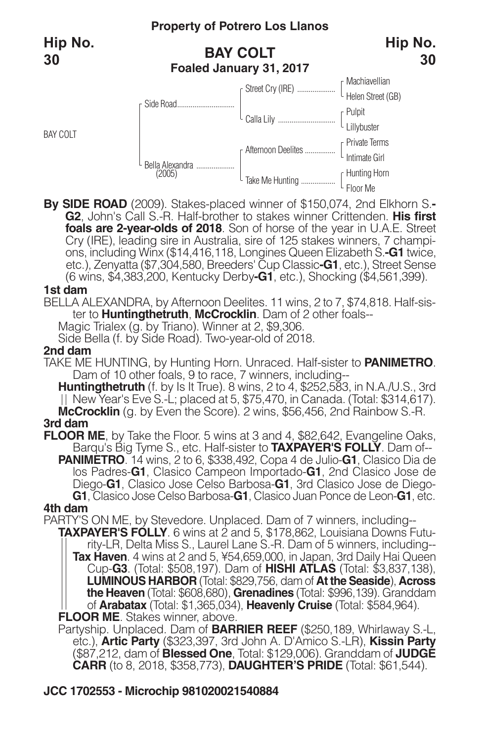BAY COLT

## **Property of Potrero Los Llanos**

## **BAY COLT Foaled January 31, 2017**



**By SIDE ROAD** (2009). Stakes-placed winner of \$150,074, 2nd Elkhorn S.**- G2**, John's Call S.-R. Half-brother to stakes winner Crittenden. **His first foals are 2-year-olds of 2018**. Son of horse of the year in U.A.E. Street ons, including Winx (\$14,416,118, Longines Queen Elizabeth S.-G1 twice, etc.), Zenyatta (\$7,304,580, Breeders' Cup Classic**-G1**, etc.), Street Sense (6 wins, \$4,383,200, Kentucky Derby**-G1**, etc.), Shocking (\$4,561,399).

#### **1st dam**

BELLA ALEXANDRA, by Afternoon Deelites. 11 wins, 2 to 7, \$74,818. Half-sister to **Huntingthetruth**, **McCrocklin**. Dam of 2 other foals--

Magic Trialex (g. by Triano). Winner at 2, \$9,306.

Side Bella (f. by Side Road). Two-year-old of 2018.

### **2nd dam**

TAKE ME HUNTING, by Hunting Horn. Unraced. Half-sister to **PANIMETRO**. Dam of 10 other foals, 9 to race, 7 winners, including--

**Huntingthetruth** (f. by Is It True). 8 wins, 2 to 4, \$252,583, in N.A./U.S., 3rd New Year's Eve S.-L; placed at 5, \$75,470, in Canada. (Total: \$314,617). **McCrocklin** (g. by Even the Score). 2 wins, \$56,456, 2nd Rainbow S.-R. **3rd dam**

**FLOOR ME**, by Take the Floor. <sup>5</sup> wins at <sup>3</sup> and 4, \$82,642, Evangeline Oaks, Barqu's Big Tyme S., etc. Half-sister to **TAXPAYER'S FOLLY**. Dam of-- **PANIMETRO**. 14 wins, 2 to 6, \$338,492, Copa 4 de Julio-**G1**, Clasico Dia de

los Padres-**G1**, Clasico Campeon Importado-**G1**, 2nd Clasico Jose de Diego-**G1**, Clasico Jose Celso Barbosa-**G1**, 3rd Clasico Jose de Diego- **G1**, Clasico Jose Celso Barbosa-**G1**, Clasico Juan Ponce de Leon-**G1**, etc.

### **4th dam**

PARTY'S ON ME, by Stevedore. Unplaced. Dam of 7 winners, including--

**TAXPAYER'S FOLLY**. 6 wins at 2 and 5, \$178,862, Louisiana Downs Futurity-LR, Delta Miss S., Laurel Lane S.-R. Dam of 5 winners, including-- **Tax Haven**. 4 wins at 2 and 5, ¥54,659,000, in Japan, 3rd Daily Hai Queen Cup-**G3**. (Total: \$508,197). Dam of **HISHI ATLAS** (Total: \$3,837,138), **LUMINOUS HARBOR** (Total: \$829,756, dam of **At the Seaside**), **Across the Heaven** (Total: \$608,680), **Grenadines** (Total: \$996,139). Granddam of **Arabatax** (Total: \$1,365,034), **Heavenly Cruise** (Total: \$584,964). **FLOOR ME**. Stakes winner, above.

Partyship. Unplaced. Dam of **BARRIER REEF** (\$250,189, Whirlaway S.-L, etc.), **Artic Party** (\$323,397, 3rd John A. D'Amico S.-LR), **Kissin Party** (\$87,212, dam of **Blessed One**, Total: \$129,006). Granddam of **JUDGE CARR** (to 8, 2018, \$358,773), **DAUGHTER'S PRIDE** (Total: \$61,544).

## **JCC 1702553 - Microchip 981020021540884**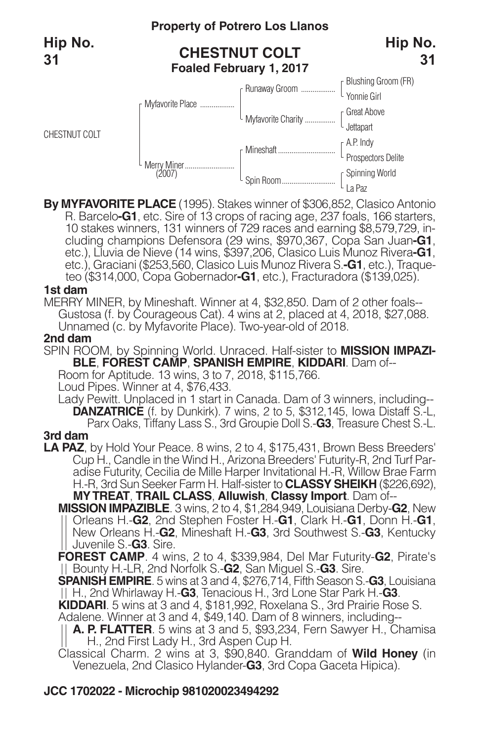

**By MYFAVORITE PLACE** (1995). Stakes winner of \$306,852, Clasico Antonio 10 stakes winners, 131 winners of 729 races and earning \$8,579,729, including champions Defensora (29 wins, \$970,367, Copa San Juan-G1, etc.), Lluvia de Nieve (14 wins, \$397,206, Clasico Luis Munoz Rivera-G1, etc.), Graciani (\$253,560, Clasico Luis Munoz Rivera S.**-G1**, etc.), Traqueteo (\$314,000, Copa Gobernador**-G1**, etc.), Fracturadora (\$139,025).

#### **1st dam**

MERRY MINER, by Mineshaft. Winner at 4, \$32,850. Dam of 2 other foals-- Gustosa (f. by Courageous Cat). 4 wins at 2, placed at 4, 2018, \$27,088. Unnamed (c. by Myfavorite Place). Two-year-old of 2018.

#### **2nd dam**

SPIN ROOM, by Spinning World. Unraced. Half-sister to **MISSION IMPAZI-BLE**, **FOREST CAMP**, **SPANISH EMPIRE**, **KIDDARI**. Dam of--

Room for Aptitude. 13 wins, 3 to 7, 2018, \$115,766.

Loud Pipes. Winner at 4, \$76,433.

Lady Pewitt. Unplaced in 1 start in Canada. Dam of 3 winners, including-- **DANZATRICE** (f. by Dunkirk). 7 wins, 2 to 5, \$312,145, Iowa Distaff S.-L, Parx Oaks, Tiffany Lass S., 3rd Groupie Doll S.-**G3**, Treasure Chest S.-L. **3rd dam**

**LA PAZ**, by Hold Your Peace. 8 wins, 2 to 4, \$175,431, Brown Bess Breeders' Cup H., Candle in the Wind H., Arizona Breeders' Futurity-R, 2nd Turf Paradise Futurity, Cecilia de Mille Harper Invitational H.-R, Willow Brae Farm

H.-R, 3rd Sun Seeker Farm H. Half-sister to **CLASSY SHEIKH** (\$226,692), **MYTREAT**, **TRAIL CLASS**, **Alluwish**, **Classy Import**. Dam of--

**MISSION IMPAZIBLE**. 3 wins, 2 to 4, \$1,284,949, Louisiana Derby-**G2**, New Orleans H.-**G2**, 2nd Stephen Foster H.-**G1**, Clark H.-**G1**, Donn H.-**G1**, New Orleans H.-**G2**, Mineshaft H.-**G3**, 3rd Southwest S.-**G3**, Kentucky Juvenile S.-**G3**. Sire.

**FOREST CAMP**. 4 wins, 2 to 4, \$339,984, Del Mar Futurity-**G2**, Pirate's Bounty H.-LR, 2nd Norfolk S.-**G2**, San Miguel S.-**G3**. Sire.

**SPANISH EMPIRE**. 5 wins at 3 and 4, \$276,714, Fifth Season S.-**G3**, Louisiana H., 2nd Whirlaway H.-**G3**, Tenacious H., 3rd Lone Star Park H.-**G3**.

**KIDDARI**. 5 wins at 3 and 4, \$181,992, Roxelana S., 3rd Prairie Rose S. Adalene. Winner at 3 and 4, \$49,140. Dam of 8 winners, including--

**A. P. FLATTER**. 5 wins at 3 and 5, \$93,234, Fern Sawyer H., Chamisa H., 2nd First Lady H., 3rd Aspen Cup H.

Classical Charm. 2 wins at 3, \$90,840. Granddam of **Wild Honey** (in Venezuela, 2nd Clasico Hylander-**G3**, 3rd Copa Gaceta Hipica).

#### **JCC 1702022 - Microchip 981020023494292**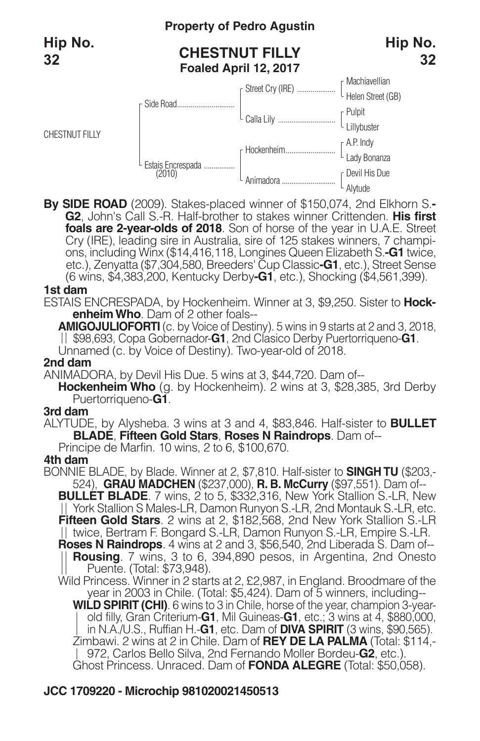CHESTNUT FILLY

## **Property of Pedro Agustin**

## **CHESTNUT FILLY Foaled April 12, 2017**





**By SIDE ROAD** (2009). Stakes-placed winner of \$150,074, 2nd Elkhorn S.**- G2**, John's Call S.-R. Half-brother to stakes winner Crittenden. **His first foals are 2-year-olds of 2018**. Son of horse of the year in U.A.E. Street ons, including Winx (\$14,416,118, Longines Queen Elizabeth S.-G1 twice, etc.), Zenyatta (\$7,304,580, Breeders' Cup Classic**-G1**, etc.), Street Sense (6 wins, \$4,383,200, Kentucky Derby**-G1**, etc.), Shocking (\$4,561,399).

#### **1st dam**

ESTAIS ENCRESPADA, by Hockenheim. Winner at 3, \$9,250. Sister to **HockenheimWho**. Dam of 2 other foals--

**AMIGOJULIOFORTI** (c. by Voice of Destiny). 5 wins in 9 starts at 2 and 3, 2018, \$98,693, Copa Gobernador-**G1**, 2nd Clasico Derby Puertorriqueno-**G1**. Unnamed (c. by Voice of Destiny). Two-year-old of 2018.

**2nd dam**

ANIMADORA, by Devil His Due. 5 wins at 3, \$44,720. Dam of--

**Hockenheim Who** (g. by Hockenheim). 2 wins at 3, \$28,385, 3rd Derby Puertorriqueno-**G1**.

#### **3rd dam**

ALYTUDE, by Alysheba. 3 wins at 3 and 4, \$83,846. Half-sister to **BULLET BLADE**, **Fifteen Gold Stars**, **Roses N Raindrops**. Dam of--

Principe de Marfin. 10 wins, 2 to 6, \$100,670.

#### **4th dam**

BONNIE BLADE, by Blade. Winner at 2, \$7,810. Half-sister to **SINGH TU** (\$203,- 524), **GRAU MADCHEN** (\$237,000), **R. B. McCurry** (\$97,551). Dam of--

**BULLET BLADE**. 7 wins, 2 to 5, \$332,316, New York Stallion S.-LR, New York Stallion S Males-LR, Damon Runyon S.-LR, 2nd Montauk S.-LR, etc. **Fifteen Gold Stars**. 2 wins at 2, \$182,568, 2nd New York Stallion S.-LR II twice, Bertram F. Bongard S.-LR, Damon Runyon S.-LR, Empire S.-LR.

**Roses N Raindrops**. 4 wins at 2 and 3, \$56,540, 2nd Liberada S. Dam of-- **Rousing**. 7 wins, 3 to 6, 394,890 pesos, in Argentina, 2nd Onesto Puente. (Total: \$73,948).

Wild Princess. Winner in 2 starts at 2, £2,987, in England. Broodmare of the year in 2003 in Chile. (Total: \$5,424). Dam of 5 winners, including-- **WILD SPIRIT (CHI)**. 6 wins to 3 in Chile, horse of the year, champion 3-yearold filly, Gran Criterium-**G1**, Mil Guineas-**G1**, etc.; 3 wins at 4, \$880,000, in N.A./U.S., Ruffian H.-**G1**, etc. Dam of **DIVA SPIRIT** (3 wins, \$90,565). Zimbawi. 2 wins at 2 in Chile. Dam of **REY DE LA PALMA** (Total: \$114,- 972, Carlos Bello Silva, 2nd Fernando Moller Bordeu-**G2**, etc.). Ghost Princess. Unraced. Dam of **FONDA ALEGRE** (Total: \$50,058).

## **JCC 1709220 - Microchip 981020021450513**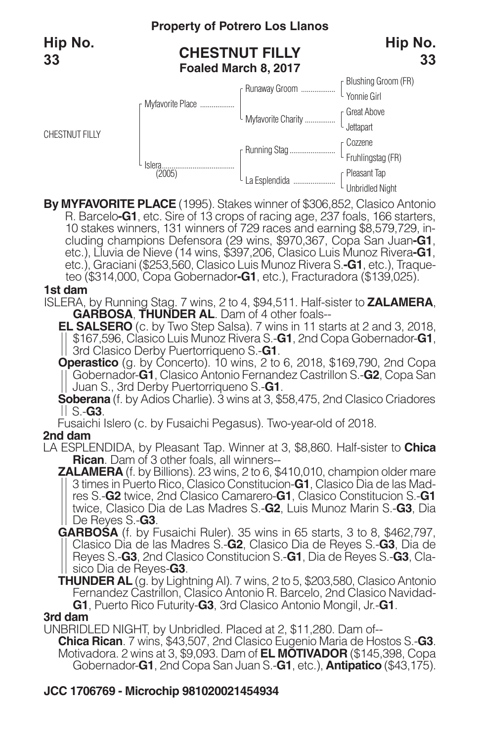CHESTNUT FILLY

## **Property of Potrero Los Llanos**

## **CHESTNUT FILLY Foaled March 8, 2017**



**By MYFAVORITE PLACE** (1995). Stakes winner of \$306,852, Clasico Antonio 10 stakes winners, 131 winners of 729 races and earning \$8,579,729, including champions Defensora (29 wins, \$970,367, Copa San Juan-G1, etc.), Lluvia de Nieve (14 wins, \$397,206, Clasico Luis Munoz Rivera-G1, etc.), Graciani (\$253,560, Clasico Luis Munoz Rivera S.**-G1**, etc.), Traqueteo (\$314,000, Copa Gobernador**-G1**, etc.), Fracturadora (\$139,025).

#### **1st dam**

ISLERA, by Running Stag. 7 wins, 2 to 4, \$94,511. Half-sister to **ZALAMERA**, **GARBOSA**, **THUNDER AL**. Dam of 4 other foals--

**EL SALSERO** (c. by Two Step Salsa). 7 wins in 11 starts at 2 and 3, 2018, \$167,596, Clasico Luis Munoz Rivera S.-**G1**, 2nd Copa Gobernador-**G1**, 3rd Clasico Derby Puertorriqueno S.-**G1**.

**Operastico** (g. by Concerto). 10 wins, 2 to 6, 2018, \$169,790, 2nd Copa Gobernador-**G1**, Clasico Antonio Fernandez Castrillon S.-**G2**, Copa San Juan S., 3rd Derby Puertorriqueno S.-**G1**.

**Soberana** (f. by Adios Charlie). 3 wins at 3, \$58,475, 2nd Clasico Criadores S.-**G3**.

Fusaichi Islero (c. by Fusaichi Pegasus). Two-year-old of 2018.

### **2nd dam**

LA ESPLENDIDA, by Pleasant Tap. Winner at 3, \$8,860. Half-sister to **Chica**

**ZALAMERA** (f. by Billions). 23 wins, 2 to 6, \$410,010, champion older mare <sup>3</sup> times in Puerto Rico, Clasico Constitucion-**G1**, Clasico Dia de las Mad- res S.-**G2** twice, 2nd Clasico Camarero-**G1**, Clasico Constitucion S.-**G1** twice, Clasico Dia de Las Madres S.-**G2**, Luis Munoz Marin S.-**G3**, Dia De Reyes S.-**G3**.

**GARBOSA** (f. by Fusaichi Ruler). 35 wins in 65 starts, 3 to 8, \$462,797, Clasico Dia de las Madres S.-**G2**, Clasico Dia de Reyes S.-**G3**, Dia de Reyes S.-**G3**, 2nd Clasico Constitucion S.-**G1**, Dia de Reyes S.-**G3**, Clasico Dia de Reyes-**G3**.

**THUNDER AL** (g. by Lightning Al). 7 wins, 2 to 5, \$203,580, Clasico Antonio Fernandez Castrillon, Clasico Antonio R. Barcelo, 2nd Clasico Navidad-**G1**, Puerto Rico Futurity-**G3**, 3rd Clasico Antonio Mongil, Jr.-**G1**.

#### **3rd dam**

UNBRIDLED NIGHT, by Unbridled. Placed at 2, \$11,280. Dam of--

**Chica Rican**. 7 wins, \$43,507, 2nd Clasico Eugenio Maria de Hostos S.-**G3**. Motivadora. 2 wins at 3, \$9,093. Dam of **EL MOTIVADOR** (\$145,398, Copa Gobernador-**G1**, 2nd Copa San Juan S.-**G1**, etc.), **Antipatico** (\$43,175).

## **JCC 1706769 - Microchip 981020021454934**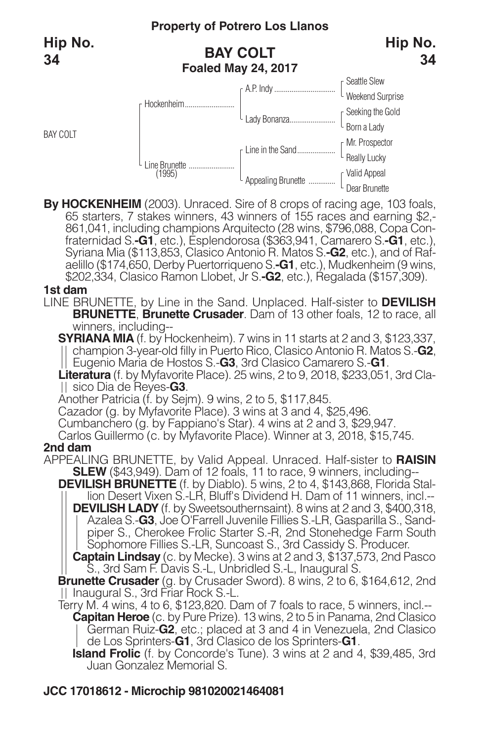

By HOCKENHEIM (2003). Unraced. Sire of 8 crops of racing age, 103 foals, 65 starters, 7 stakes winners, 43 winners of 155 races and earning \$2,-861,041, including champions Arquitecto (28 wins, \$796,088, Copa Confraternida aelillo (\$174,650, Derby Puertorriqueno S.**-G1**, etc.), Mudkenheim (9 wins, \$202,334, Clasico Ramon Llobet, Jr S.**-G2**, etc.), Regalada (\$157,309).

#### **1st dam**

BAY COLT

LINE BRUNETTE, by Line in the Sand. Unplaced. Half-sister to **DEVILISH BRUNETTE**, **Brunette Crusader**. Dam of 13 other foals, 12 to race, all winners, including--

**SYRIANA MIA** (f. by Hockenheim). 7 wins in 11 starts at 2 and 3, \$123,337, champion 3-year-old filly in Puerto Rico, Clasico Antonio R. Matos S.-**G2**, Eugenio Maria de Hostos S.-**G3**, 3rd Clasico Camarero S.-**G1**.

**Literatura** (f. by Myfavorite Place). 25 wins, 2 to 9, 2018, \$233,051, 3rd Clasico Dia de Reyes-**G3**.

Another Patricia (f. by Sejm). 9 wins, 2 to 5, \$117,845.

Cazador (g. by Myfavorite Place). 3 wins at 3 and 4, \$25,496.

Cumbanchero (g. by Fappiano's Star). 4 wins at 2 and 3, \$29,947.

Carlos Guillermo (c. by Myfavorite Place). Winner at 3, 2018, \$15,745.

#### **2nd dam**

APPEALING BRUNETTE, by Valid Appeal. Unraced. Half-sister to **RAISIN SLEW** (\$43,949). Dam of 12 foals, 11 to race, 9 winners, including--

**DEVILISH BRUNETTE** (f. by Diablo). 5 wins, 2 to 4, \$143,868, Florida Stallion Desert Vixen S.-LR, Bluff's Dividend H. Dam of 11 winners, incl.-- **DEVILISH LADY** (f. by Sweetsouthernsaint). 8 wins at 2 and 3, \$400,318,

Azalea S.-**G3**, Joe O'Farrell Juvenile Fillies S.-LR, Gasparilla S., Sandpiper S., Cherokee Frolic Starter S.-R, 2nd Stonehedge Farm South Sophomore Fillies S.-LR, Suncoast S., 3rd Cassidy S. Producer.

**Captain Lindsay** (c. by Mecke). 3 wins at 2 and 3, \$137,573, 2nd Pasco S., 3rd Sam F. Davis S.-L, Unbridled S.-L, Inaugural S.

**Brunette Crusader** (g. by Crusader Sword). 8 wins, 2 to 6, \$164,612, 2nd | Inaugural S., 3rd Friar Rock S.-L.

Terry M. 4 wins, 4 to 6, \$123,820. Dam of 7 foals to race, 5 winners, incl.-- **Capitan Heroe** (c. by Pure Prize). 13 wins, 2 to 5 in Panama, 2nd Clasico German Ruiz-**G2**, etc.; placed at 3 and 4 in Venezuela, 2nd Clasico de Los Sprinters-**G1**, 3rd Clasico de los Sprinters-**G1**.

**Island Frolic** (f. by Concorde's Tune). 3 wins at 2 and 4, \$39,485, 3rd Juan Gonzalez Memorial S.

## **JCC 17018612 - Microchip 981020021464081**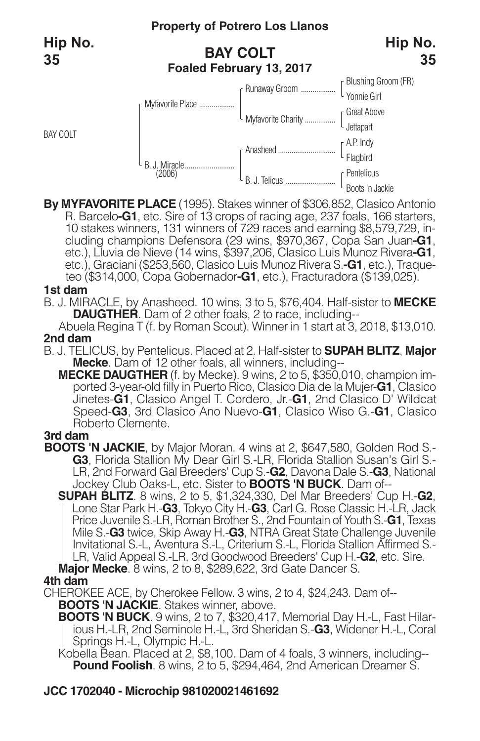BAY COLT

## **BAY COLT Foaled February 13, 2017**



**By MYFAVORITE PLACE** (1995). Stakes winner of \$306,852, Clasico Antonio 10 stakes winners, 131 winners of 729 races and earning \$8,579,729, in-<br>cluding champions Defensora (29 wins, \$970,367, Copa San Juan-G1,<br>etc.), Lluvia de Nieve (14 wins, \$397,206, Clasico Luis Munoz Rivera-G1, etc.), Graciani (\$253,560, Clasico Luis Munoz Rivera S.**-G1**, etc.), Traqueteo (\$314,000, Copa Gobernador**-G1**, etc.), Fracturadora (\$139,025).

#### **1st dam**

B. J. MIRACLE, by Anasheed. 10 wins, 3 to 5, \$76,404. Half-sister to **MECKE DAUGTHER.** Dam of 2 other foals, 2 to race, including--

Abuela Regina T (f. by Roman Scout). Winner in 1 start at 3, 2018, \$13,010. **2nd dam**

- B. J. TELICUS, by Pentelicus. Placed at 2. Half-sister to **SUPAH BLITZ**, **Major Mecke**. Dam of 12 other foals, all winners, including--
	- **MECKE DAUGTHER** (f. by Mecke). 9 wins, 2 to 5, \$350,010, champion imported 3-year-old filly in Puerto Rico, Clasico Dia de la Mujer-**G1**, Clasico Jinetes-**G1**, Clasico Angel T. Cordero, Jr.-**G1**, 2nd Clasico D' Wildcat Speed-**G3**, 3rd Clasico Ano Nuevo-**G1**, Clasico Wiso G.-**G1**, Clasico Roberto Clemente.

#### **3rd dam**

- **BOOTS 'N JACKIE**, by Major Moran. 4 wins at 2, \$647,580, Golden Rod S.-<br>-G3, Florida Stallion My Dear Girl S.-LR, Florida Stallion Susan's Girl S.-<br>LR, 2nd Forward Gal Breeders' Cup S.-G2, Davona Dale S.-G3, National Jockey Club Oaks-L, etc. Sister to **BOOTS 'N BUCK**. Dam of--
	- **SUPAH BLITZ**. 8 wins, 2 to 5, \$1,324,330, Del Mar Breeders' Cup H.-**G2**, Lone Star Park H.-**G3**, Tokyo City H.-**G3**, Carl G. Rose Classic H.-LR, Jack Price Juvenile S.-LR, Roman Brother S., 2nd Fountain of Youth S.-**G1**, Texas Mile S.-**G3** twice, Skip Away H.-**G3**, NTRA Great State Challenge Juvenile Invitational S.-L, Aventura S.-L, Criterium S.-L, Florida Stallion Affirmed S.- LR, Valid Appeal S.-LR, 3rd Goodwood Breeders' Cup H.-**G2**, etc. Sire.

**Major Mecke**. 8 wins, 2 to 8, \$289,622, 3rd Gate Dancer S.

#### **4th dam**

CHEROKEE ACE, by Cherokee Fellow. 3 wins, 2 to 4, \$24,243. Dam of-- **BOOTS 'N JACKIE**. Stakes winner, above.

**BOOTS 'N BUCK**. 9 wins, 2 to 7, \$320,417, Memorial Day H.-L, Fast Hilarious H.-LR, 2nd Seminole H.-L, 3rd Sheridan S.-**G3**, Widener H.-L, Coral Springs H.-L, Olympic H.-L.

Kobella Bean. Placed at 2, \$8,100. Dam of 4 foals, 3 winners, including-- **Pound Foolish**. 8 wins, 2 to 5, \$294,464, 2nd American Dreamer S.

### **JCC 1702040 - Microchip 981020021461692**

**35**

**Hip No.**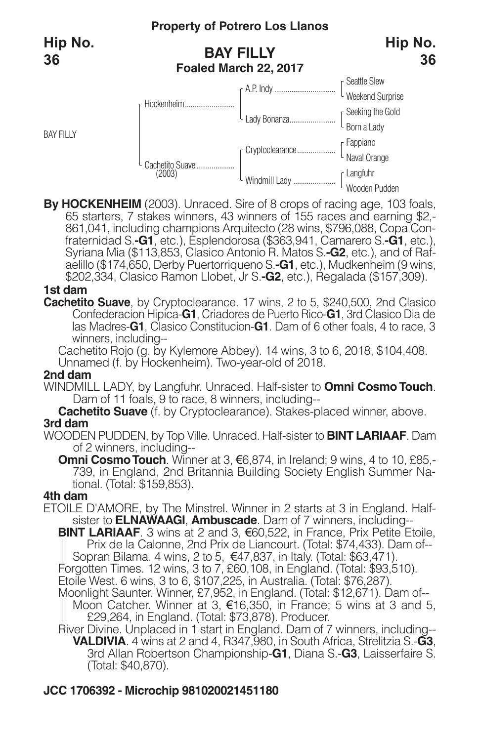

By HOCKENHEIM (2003). Unraced. Sire of 8 crops of racing age, 103 foals, 65 starters, 7 stakes winners, 43 winners of 155 races and earning \$2,-861,041, including champions Arquitecto (28 wins, \$796,088, Copa Confraternida aelillo (\$174,650, Derby Puertorriqueno S.**-G1**, etc.), Mudkenheim (9 wins, \$202,334, Clasico Ramon Llobet, Jr S.**-G2**, etc.), Regalada (\$157,309).

#### **1st dam**

**Cachetito Suave**, by Cryptoclearance. 17 wins, 2 to 5, \$240,500, 2nd Clasico Confederacion Hipica-**G1**, Criadores de Puerto Rico-**G1**, 3rd Clasico Dia de las Madres-**G1**, Clasico Constitucion-**G1**. Dam of 6 other foals, 4 to race, 3 winners, including--

Cachetito Rojo (g. by Kylemore Abbey). 14 wins, 3 to 6, 2018, \$104,408. Unnamed (f. by Hockenheim). Two-year-old of 2018.

#### **2nd dam**

WINDMILL LADY, by Langfuhr. Unraced. Half-sister to **Omni CosmoTouch**. Dam of 11 foals, 9 to race, 8 winners, including--

**Cachetito Suave** (f. by Cryptoclearance). Stakes-placed winner, above. **3rd dam**

WOODEN PUDDEN, by Top Ville. Unraced. Half-sister to **BINT LARIAAF**. Dam of 2 winners, including--

**Omni Cosmo Touch**. Winner at 3, €6,874, in Ireland; 9 wins, 4 to 10, £85,-<br>739, in England, 2nd Britannia Building Society English Summer Na-<br>tional. (Total: \$159,853).

#### **4th dam**

ETOILE D'AMORE, by The Minstrel. Winner in 2 starts at 3 in England. Halfsister to **ELNAWAAGI**, **Ambuscade**. Dam of 7 winners, including--

- **BINT LARIAAF**. 3 wins at 2 and 3, €60,522, in France, Prix Petite Etoile. Prix de la Calonne, 2nd Prix de Liancourt. (Total: \$74,433). Dam of-- Sopran Bilama. 4 wins, 2 to 5, €47,837, in Italy. (Total: \$63,471). Forgotten Times. 12 wins, 3 to 7, £60,108, in England. (Total: \$93,510).
- 
- Etoile West. 6 wins, 3 to 6, \$107,225, in Australia. (Total: \$76,287). Moonlight Saunter. Winner, £7,952, in England. (Total: \$12,671). Dam of--
	- Moon Catcher. Winner at 3, €16,350, in France; 5 wins at 3 and 5, £29,264, in England. (Total: \$73,878). Producer.
- River Divine. Unplaced in 1 start in England. Dam of 7 winners, including-- **VALDIVIA**. 4 wins at 2 and 4, R347,980, in South Africa, Strelitzia S.-**G3**, 3rd Allan Robertson Championship-**G1**, Diana S.-**G3**, Laisserfaire S. (Total: \$40,870).

### **JCC 1706392 - Microchip 981020021451180**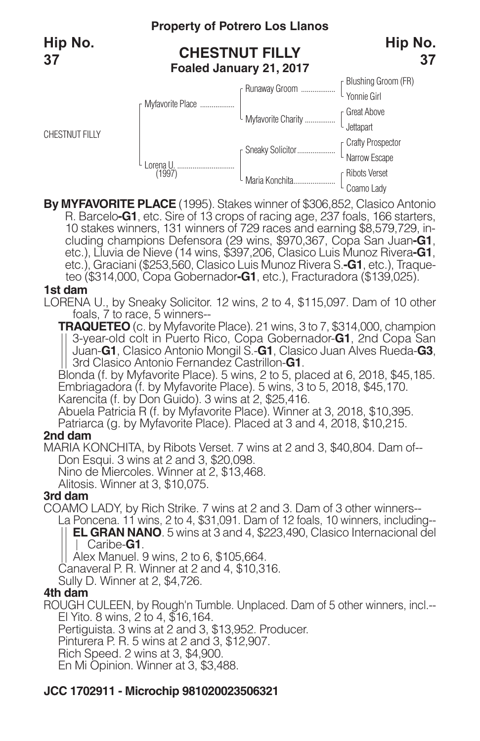CHESTNUT FILLY

## **Property of Potrero Los Llanos**

## **CHESTNUT FILLY Foaled January 21, 2017**



**By MYFAVORITE PLACE** (1995). Stakes winner of \$306,852, Clasico Antonio 10 stakes winners, 131 winners of 729 races and earning \$8,579,729, including champions Defensora (29 wins, \$970,367, Copa San Juan-G1, etc.), Lluvia de Nieve (14 wins, \$397,206, Clasico Luis Munoz Rivera-G1, etc.), Graciani (\$253,560, Clasico Luis Munoz Rivera S.**-G1**, etc.), Traqueteo (\$314,000, Copa Gobernador**-G1**, etc.), Fracturadora (\$139,025).

#### **1st dam**

LORENA U., by Sneaky Solicitor. 12 wins, 2 to 4, \$115,097. Dam of 10 other foals, 7 to race, 5 winners--

**TRAQUETEO** (c. by Myfavorite Place). 21 wins, 3 to 7, \$314,000, champion 3-year-old colt in Puerto Rico, Copa Gobernador-**G1**, 2nd Copa San Juan-**G1**, Clasico Antonio Mongil S.-**G1**, Clasico Juan Alves Rueda-**G3**, || Juan-**G1**, Clasico Antonio Mongil S.-**G1**, Clasico<br>|| 3rd Clasico Antonio Fernandez Castrillon-**G1**.

Blonda (f. by Myfavorite Place). 5 wins, 2 to 5, placed at 6, 2018, \$45,185. Embriagadora (f. by Myfavorite Place). 5 wins, 3 to 5, 2018, \$45,170. Karencita (f. by Don Guido). 3 wins at 2, \$25,416.

Abuela Patricia R (f. by Myfavorite Place). Winner at 3, 2018, \$10,395.

Patriarca (g. by Myfavorite Place). Placed at 3 and 4, 2018, \$10,215.

### **2nd dam**

MARIA KONCHITA, by Ribots Verset. 7 wins at 2 and 3, \$40,804. Dam of-- Don Esqui. 3 wins at 2 and 3, \$20,098.

Nino de Miercoles. Winner at 2, \$13,468.

Alitosis. Winner at 3, \$10,075.

### **3rd dam**

COAMO LADY, by Rich Strike. 7 wins at 2 and 3. Dam of 3 other winners-- La Poncena. 11 wins, 2 to 4, \$31,091. Dam of 12 foals, 10 winners, including--

**EL GRAN NANO**. 5 wins at 3 and 4, \$223,490, Clasico Internacional del Caribe-**G1**.

Alex Manuel. 9 wins, 2 to 6, \$105,664.

Canaveral P. R. Winner at 2 and 4, \$10,316.

Sully D. Winner at 2, \$4,726.

### **4th dam**

ROUGH CULEEN, by Rough'n Tumble. Unplaced. Dam of 5 other winners, incl.-- El Yito. 8 wins, 2 to 4, \$16,164.

Pertiguista. 3 wins at 2 and 3, \$13,952. Producer.

Pinturera P. R. 5 wins at 2 and 3, \$12,907.

Rich Speed. 2 wins at 3, \$4,900.

En Mi Opinion. Winner at 3, \$3,488.

## **JCC 1702911 - Microchip 981020023506321**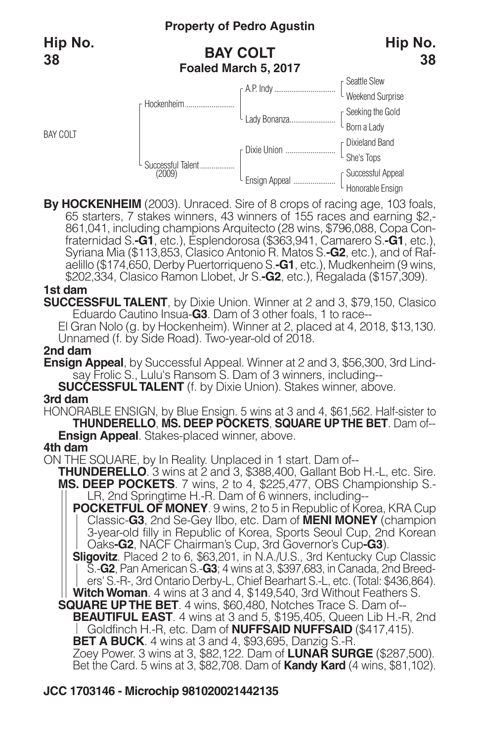BAY COLT

## **BAY COLT Foaled March 5, 2017**





By HOCKENHEIM (2003). Unraced. Sire of 8 crops of racing age, 103 foals, 65 starters, 7 stakes winners, 43 winners of 155 races and earning \$2,-861,041, including champions Arquitecto (28 wins, \$796,088, Copa Confraternida aelillo (\$174,650, Derby Puertorriqueno S.**-G1**, etc.), Mudkenheim (9 wins, \$202,334, Clasico Ramon Llobet, Jr S.**-G2**, etc.), Regalada (\$157,309).

#### **1st dam**

**SUCCESSFUL TALENT**, by Dixie Union. Winner at 2 and 3, \$79,150, Clasico Eduardo Cautino Insua-**G3**. Dam of 3 other foals, 1 to race--

El Gran Nolo (g. by Hockenheim). Winner at 2, placed at 4, 2018, \$13,130. Unnamed (f. by Side Road). Two-year-old of 2018.

#### **2nd dam**

**Ensign Appeal**, by Successful Appeal. Winner at 2 and 3, \$56,300, 3rd Lindsay Frolic S., Lulu's Ransom S. Dam of 3 winners, including--

**SUCCESSFUL TALENT** (f. by Dixie Union). Stakes winner, above.

#### **3rd dam**

HONORABLE ENSIGN, by Blue Ensign. 5 wins at 3 and 4, \$61,562. Half-sister to **THUNDERELLO**, **MS. DEEP POCKETS**, **SQUARE UPTHE BET**. Dam of-- **Ensign Appeal**. Stakes-placed winner, above. **4th dam**

- ON THE SQUARE, by In Reality. Unplaced in 1 start. Dam of--<br> **THUNDERELLO**. 3 wins at 2 and 3, \$388,400, Gallant Bob H.-L, etc. Sire. **MS. DEEP POCKETS**. 7 wins, 2 to 4, \$225,477, OBS Championship S.-<br>|| LR, 2nd Springtime H.-R. Dam of 6 winners, including--
	- **POCKETFUL OF MONEY**. 9 wins, 2 to 5 in Republic of Korea, KRA Cup Classic-**G3**, 2nd Se-Gey Ilbo, etc. Dam of **MENI MONEY** (champion 3-year-old filly in Republic of Korea, Sports Seoul Cup, 2nd Korean Oaks**-G2**, NACF Chairman's Cup, 3rd Governor's Cup**-G3**).
	- **Sligovitz**. Placed 2 to 6, \$63,201, in N.A./U.S., 3rd Kentucky Cup Classic S.-**G2**, Pan American S.-**G3**; 4 wins at 3, \$397,683, in Canada, 2nd Breeders' S.-R-, 3rd Ontario Derby-L, Chief Bearhart S.-L, etc. (Total: \$436,864). **WitchWoman**. 4 wins at 3 and 4, \$149,540, 3rd Without Feathers S.

**SQUARE UPTHE BET**. 4 wins, \$60,480, Notches Trace S. Dam of--

**BEAUTIFUL EAST**. 4 wins at 3 and 5, \$195,405, Queen Lib H.-R, 2nd Goldfinch H.-R, etc. Dam of **NUFFSAID NUFFSAID** (\$417,415).

**BET A BUCK**. 4 wins at 3 and 4, \$93,695, Danzig S.-R.

Zoey Power. 3 wins at 3, \$82,122. Dam of **LUNAR SURGE** (\$287,500). Bet the Card. 5 wins at 3, \$82,708. Dam of **Kandy Kard** (4 wins, \$81,102).

## **JCC 1703146 - Microchip 981020021442135**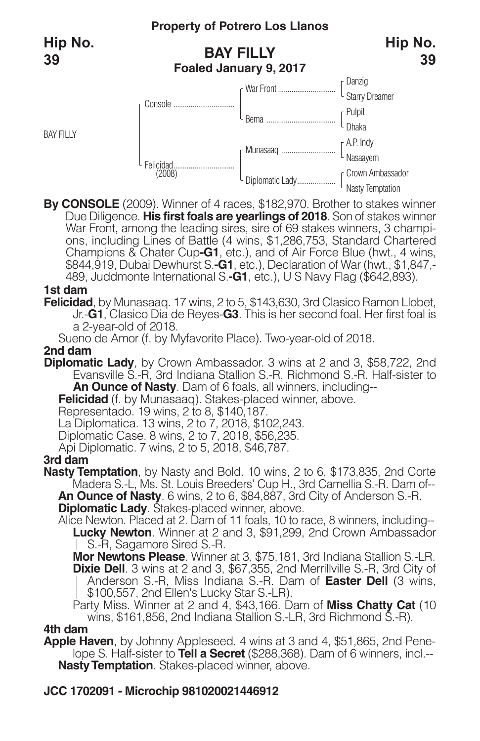BAY FILLY

## **BAY FILLY Foaled January 9, 2017**



**By CONSOLE** (2009). Winner of 4 races, \$182,970. Brother to stakes winner Due Diligence. **His first foals are yearlings of 2018**. Son of stakes winner War Front, among the leading sires, sire of 69 stakes winners, 3 champi-<br>ons, including Lines of Battle (4 wins, \$1,286,753, Standard Chartered Champions & Chater Cup**-G1**, etc.), and of Air Force Blue (hwt., 4 wins, \$844,919, Dubai Dewhurst S.**-G1**, etc.), Declaration of War (hwt., \$1,847,- 489, Juddmonte International S.**-G1**, etc.), U S Navy Flag (\$642,893).

#### **1st dam**

**Felicidad**, by Munasaaq. 17 wins, 2 to 5, \$143,630, 3rd Clasico Ramon Llobet, Jr.-**G1**, Clasico Dia de Reyes-**G3**. This is her second foal. Her first foal is a 2-year-old of 2018.

Sueno de Amor (f. by Myfavorite Place). Two-year-old of 2018.

#### **2nd dam**

**Diplomatic Lady**, by Crown Ambassador. 3 wins at 2 and 3, \$58,722, 2nd Evansville S.-R, 3rd Indiana Stallion S.-R, Richmond S.-R. Half-sister to **An Ounce of Nasty**. Dam of 6 foals, all winners, including--

**Felicidad** (f. by Munasaaq). Stakes-placed winner, above.

Representado. 19 wins, 2 to 8, \$140,187.

La Diplomatica. 13 wins, 2 to 7, 2018, \$102,243.

Diplomatic Case. 8 wins, 2 to 7, 2018, \$56,235.

Api Diplomatic. 7 wins, 2 to 5, 2018, \$46,787.

### **3rd dam**

**Nasty Temptation**, by Nasty and Bold. 10 wins, 2 to 6, \$173,835, 2nd Corte Madera S.-L, Ms. St. Louis Breeders' Cup H., 3rd Camellia S.-R. Dam of-- **An Ounce of Nasty**. 6 wins, 2 to 6, \$84,887, 3rd City of Anderson S.-R. **Diplomatic Lady**. Stakes-placed winner, above.

Alice Newton. Placed at 2. Dam of 11 foals, 10 to race, 8 winners, including-- **Lucky Newton**. Winner at 2 and 3, \$91,299, 2nd Crown Ambassador S.-R, Sagamore Sired S.-R.

**Mor Newtons Please**. Winner at 3, \$75,181, 3rd Indiana Stallion S.-LR. **Dixie Dell**. 3 wins at 2 and 3, \$67,355, 2nd Merrillville S.-R, 3rd City of Anderson S.-R, Miss Indiana S.-R. Dam of **Easter Dell** (3 wins, \$100,557, 2nd Ellen's Lucky Star S.-LR).

Party Miss. Winner at 2 and 4, \$43,166. Dam of **Miss Chatty Cat** (10 wins, \$161,856, 2nd Indiana Stallion S.-LR, 3rd Richmond S.-R).

#### **4th dam**

**Apple Haven**, by Johnny Appleseed. 4 wins at 3 and 4, \$51,865, 2nd Penelope S. Half-sister to **Tell a Secret** (\$288,368). Dam of 6 winners, incl.-- **Nasty Temptation**. Stakes-placed winner, above.

## **JCC 1702091 - Microchip 981020021446912**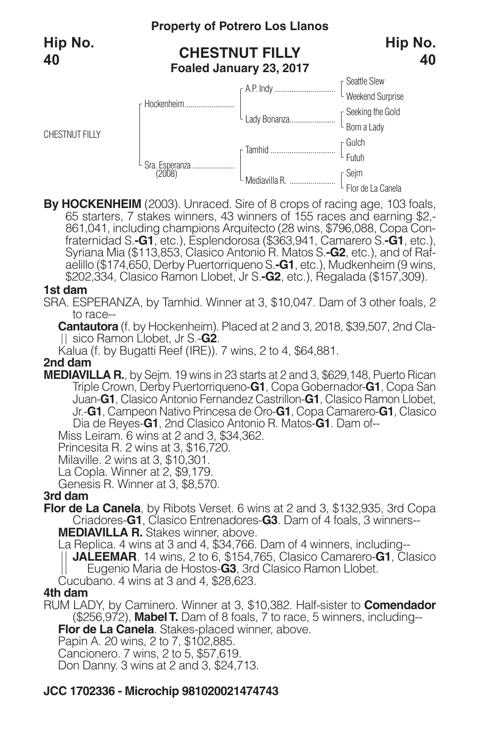

By HOCKENHEIM (2003). Unraced. Sire of 8 crops of racing age, 103 foals, 65 starters, 7 stakes winners, 43 winners of 155 races and earning \$2,-861,041, including champions Arquitecto (28 wins, \$796,088, Copa Confraternida aelillo (\$174,650, Derby Puertorriqueno S.**-G1**, etc.), Mudkenheim (9 wins, \$202,334, Clasico Ramon Llobet, Jr S.**-G2**, etc.), Regalada (\$157,309).

#### **1st dam**

SRA. ESPERANZA, by Tamhid. Winner at 3, \$10,047. Dam of 3 other foals, 2 to race--

**Cantautora** (f. by Hockenheim). Placed at 2 and 3, 2018, \$39,507, 2nd Clasico Ramon Llobet, Jr S.-**G2**.

Kalua (f. by Bugatti Reef (IRE)). 7 wins, 2 to 4, \$64,881.

#### **2nd dam**

**MEDIAVILLA R.**, by Sejm. 19 wins in 23 starts at 2 and 3, \$629,148, Puerto Rican Triple Crown, Derby Puertorriqueno-**G1**, Copa Gobernador-**G1**, Copa San Juan-**G1**, Clasico Antonio Fernandez Castrillon-**G1**, Clasico Ramon Llobet, Jr.-**G1**, Campeon Nativo Princesa de Oro-**G1**, Copa Camarero-**G1**, Clasico Dia de Reyes-**G1**, 2nd Clasico Antonio R. Matos-**G1**. Dam of--

Miss Leiram. <sup>6</sup> wins at <sup>2</sup> and 3, \$34,362. Princesita R. <sup>2</sup> wins at 3, \$16,720. Milaville. <sup>2</sup> wins at 3, \$10,301. La Copla. Winner at 2, \$9,179. Genesis R. Winner at 3, \$8,570.

#### **3rd dam**

**Flor de La Canela**, by Ribots Verset. 6 wins at 2 and 3, \$132,935, 3rd Copa Criadores-**G1**, Clasico Entrenadores-**G3**. Dam of 4 foals, 3 winners-- **MEDIAVILLA R.** Stakes winner, above.

La Replica. 4 wins at 3 and 4, \$34,766. Dam of 4 winners, including--

**JALEEMAR**. 14 wins, 2 to 6, \$154,765, Clasico Camarero-**G1**, Clasico Eugenio Maria de Hostos-**G3**, 3rd Clasico Ramon Llobet.

Cucubano. 4 wins at 3 and 4, \$28,623.

#### **4th dam**

RUM LADY, by Caminero. Winner at 3, \$10,382. Half-sister to **Comendador** (\$256,972), **MabelT.** Dam of 8 foals, 7 to race, 5 winners, including--

**Flor de La Canela**. Stakes-placed winner, above.

Papin A. 20 wins, 2 to 7, \$102,885.

Cancionero. 7 wins, 2 to 5, \$57,619.

Don Danny. 3 wins at 2 and 3, \$24,713.

#### **JCC 1702336 - Microchip 981020021474743**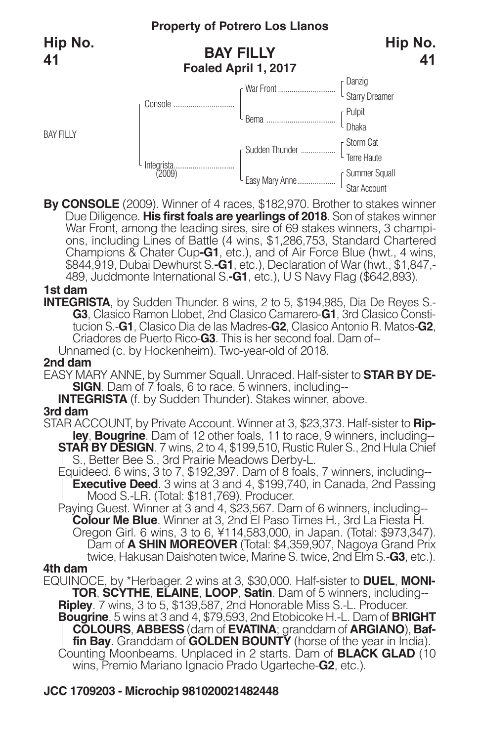BAY FILLY

## **BAY FILLY Foaled April 1, 2017**



**By CONSOLE** (2009). Winner of 4 races, \$182,970. Brother to stakes winner Due Diligence. **His first foals are yearlings of 2018**. Son of stakes winner War Front, among the leading sires, sire of 69 stakes winners, 3 champi-<br>ons, including Lines of Battle (4 wins, \$1,286,753, Standard Chartered Champions & Chater Cup**-G1**, etc.), and of Air Force Blue (hwt., 4 wins, \$844,919, Dubai Dewhurst S.**-G1**, etc.), Declaration of War (hwt., \$1,847,- 489, Juddmonte International S.**-G1**, etc.), U S Navy Flag (\$642,893).

### **1st dam**

**INTEGRISTA**, by Sudden Thunder. 8 wins, 2 to 5, \$194,985, Dia De Reyes S.- **G3**, Clasico Ramon Llobet, 2nd Clasico Camarero-**G1**, 3rd Clasico Constitucion S.-**G1**, Clasico Dia de las Madres-**G2**, Clasico Antonio R. Matos-**G2**, Criadores de Puerto Rico-**G3**. This is her second foal. Dam of-- Unnamed (c. by Hockenheim). Two-year-old of 2018.

**2nd dam**

EASY MARY ANNE, by Summer Squall. Unraced. Half-sister to **STAR BY DE-SIGN**. Dam of 7 foals, 6 to race, 5 winners, including--

**INTEGRISTA** (f. by Sudden Thunder). Stakes winner, above.

### **3rd dam**

STAR ACCOUNT, by Private Account. Winner at 3, \$23,373. Half-sister to **Rip-**<br>--**ley, Bougrine**. Dam of 12 other foals, 11 to race, 9 winners, including **STAR BY DESIGN**. 7 wins, 2 to 4, \$199,510, Rustic Ruler S., 2nd Hula Chief <br>|| S., Better Bee S., 3rd Prairie Meadows Derby-L.

Equideed. 6 wins, 3 to 7, \$192,397. Dam of 8 foals, 7 winners, including--**Executive Deed**. 3 wins at 3 and 4, \$199,740, in Canada, 2nd Passing Mood S.-LR. (Total: \$181,769). Producer.

Paying Guest. Winner at 3 and 4, \$23,567. Dam of 6 winners, including-- **Colour Me Blue**. Winner at 3, 2nd El Paso Times H., 3rd La Fiesta H. Oregon Girl. 6 wins, 3 to 6, ¥114,583,000, in Japan. (Total: \$973,347). Dam of **A SHIN MOREOVER** (Total: \$4,359,907, Nagoya Grand Prix twice, Hakusan Daishoten twice, Marine S. twice, 2nd Elm S.-**G3**, etc.).

### **4th dam**

EQUINOCE, by \*Herbager. 2 wins at 3, \$30,000. Half-sister to **DUEL**, **MONI-TOR**, **SCYTHE**, **ELAINE**, **LOOP**, **Satin**. Dam of 5 winners, including-- **Ripley**. 7 wins, 3 to 5, \$139,587, 2nd Honorable Miss S.-L. Producer. **Bougrine**. 5 wins at 3 and 4, \$79,593, 2nd Etobicoke H.-L. Dam of **BRIGHT COLOURS**, **ABBESS** (dam of **EVATINA**; granddam of **ARGIANO**), **Baffin Bay**. Granddam of **GOLDEN BOUNTY** (horse of the year in India). Counting Moonbeams. Unplaced in 2 starts. Dam of **BLACK GLAD** (10 wins, Premio Mariano Ignacio Prado Ugarteche-**G2**, etc.).

## **JCC 1709203 - Microchip 981020021482448**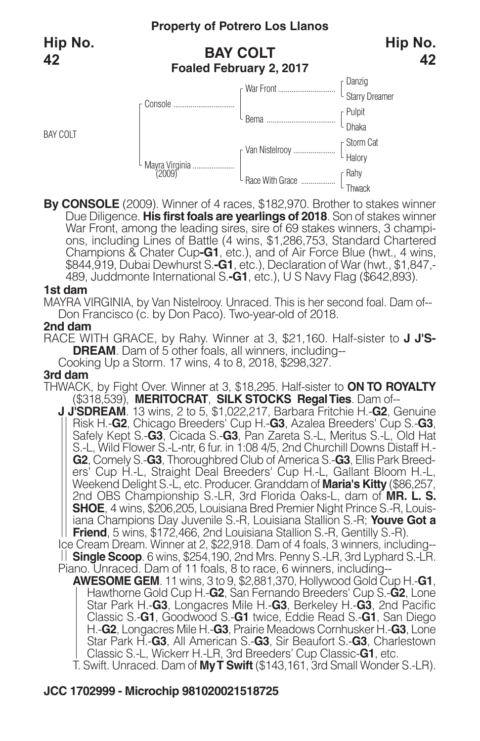BAY COLT

## **BAY COLT Foaled February 2, 2017**



**By CONSOLE** (2009). Winner of 4 races, \$182,970. Brother to stakes winner Due Diligence. **His first foals are yearlings of 2018**. Son of stakes winner War Front, among the leading sires, sire of 69 stakes winners, 3 champi-<br>ons, including Lines of Battle (4 wins, \$1,286,753, Standard Chartered Champions & Chater Cup**-G1**, etc.), and of Air Force Blue (hwt., 4 wins, \$844,919, Dubai Dewhurst S.**-G1**, etc.), Declaration of War (hwt., \$1,847,- 489, Juddmonte International S.**-G1**, etc.), U S Navy Flag (\$642,893).

#### **1st dam**

MAYRA VIRGINIA, by Van Nistelrooy. Unraced. This is her second foal. Dam of-- Don Francisco (c. by Don Paco). Two-year-old of 2018.

#### **2nd dam**

RACE WITH GRACE, by Rahy. Winner at 3, \$21,160. Half-sister to **J J'S-DREAM**. Dam of 5 other foals, all winners, including--

Cooking Up a Storm. 17 wins, 4 to 8, 2018, \$298,327.

#### **3rd dam**

THWACK, by Fight Over. Winner at 3, \$18,295. Half-sister to **ON TO ROYALTY** (\$318,539), **MERITOCRAT**, **SILK STOCKS RegalTies**. Dam of--

**J J'SDREAM**. 13 wins, 2 to 5, \$1,022,217, Barbara Fritchie H.-**G2**, Genuine Risk H.-**G2**, Chicago Breeders' Cup H.-**G3**, Azalea Breeders' Cup S.-**G3**, Safely Kept S.-**G3**, Cicada S.-**G3**, Pan Zareta S.-L, Meritus S.-L, Old Hat S.-L, Wild Flower S.-L-ntr, 6 fur. in 1:08 4/5, 2nd Churchill Downs Distaff H.- **G2**, Comely S.-**G3**, Thoroughbred Club of America S.-**G3**, Ellis Park Breed ers' Cup H.-L, Straight Deal Breeders' Cup H.-L, Gallant Bloom H.-L, Weekend Delight S.-L, etc. Producer. Granddam of **Maria's Kitty** (\$86,257, 2nd OBS Championship S.-LR, 3rd Florida Oaks-L, dam of **MR. L. S. SHOE**, 4 wins, \$206,205, Louisiana Bred Premier Night Prince S.-R, Louis iana Champions Day Juvenile S.-R, Louisiana Stallion S.-R; **Youve Got a Friend**, 5 wins, \$172,466, 2nd Louisiana Stallion S.-R, Gentilly S.-R).

Ice Cream Dream. Winner at 2, \$22,918. Dam of 4 foals, 3 winners, including-- **Single Scoop**. 6 wins, \$254,190, 2nd Mrs. Penny S.-LR, 3rd Lyphard S.-LR. Piano. Unraced. Dam of 11 foals, 8 to race, 6 winners, including--

**AWESOME GEM**. 11 wins, 3 to 9, \$2,881,370, Hollywood Gold Cup H.-**G1**, Hawthorne Gold Cup H.-**G2**, San Fernando Breeders' Cup S.-**G2**, Lone Star Park H.-**G3**, Longacres Mile H.-**G3**, Berkeley H.-**G3**, 2nd Pacific Classic S.-**G1**, Goodwood S.-**G1** twice, Eddie Read S.-**G1**, San Diego H.-**G2**, Longacres Mile H.-**G3**, Prairie Meadows Cornhusker H.-**G3**, Lone Star Park H.-**G3**, All American S.-**G3**, Sir Beaufort S.-**G3**, Charlestown Classic S.-L, Wickerr H.-LR, 3rd Breeders' Cup Classic-**G1**, etc.

T. Swift. Unraced. Dam of **MyT Swift** (\$143,161, 3rd Small Wonder S.-LR).

## **JCC 1702999 - Microchip 981020021518725**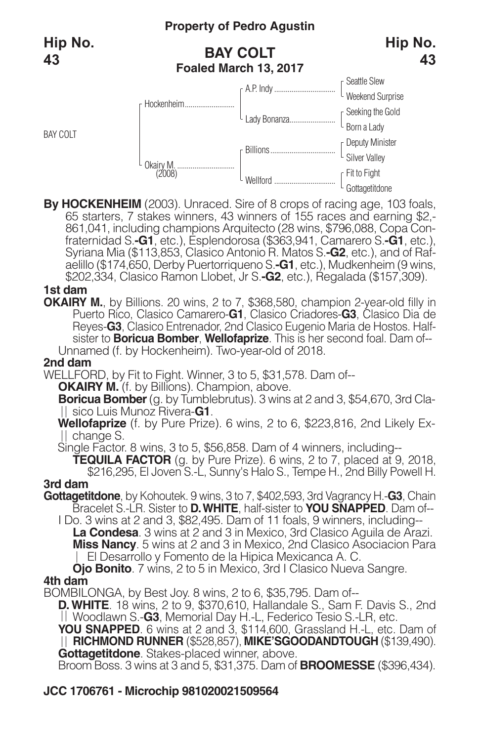



By HOCKENHEIM (2003). Unraced. Sire of 8 crops of racing age, 103 foals, 65 starters, 7 stakes winners, 43 winners of 155 races and earning \$2,-861,041, including champions Arquitecto (28 wins, \$796,088, Copa Confraternida aelillo (\$174,650, Derby Puertorriqueno S.**-G1**, etc.), Mudkenheim (9 wins, \$202,334, Clasico Ramon Llobet, Jr S.**-G2**, etc.), Regalada (\$157,309).

#### **1st dam**

**OKAIRY M.**, by Billions. 20 wins, 2 to 7, \$368,580, champion 2-year-old filly in Puerto Rico, Clasico Camarero-**G1**, Clasico Criadores-**G3**, Clasico Dia de Reyes-**G3**, Clasico Entrenador, 2nd Clasico Eugenio Maria de Hostos. Halfsister to **Boricua Bomber**, **Wellofaprize**. This is her second foal. Dam of-- Unnamed (f. by Hockenheim). Two-year-old of 2018.

#### **2nd dam**

WELLFORD, by Fit to Fight. Winner, 3 to 5, \$31,578. Dam of--

**OKAIRY M.** (f. by Billions). Champion, above.

**Boricua Bomber**(g. by Tumblebrutus). 3 wins at 2 and 3, \$54,670, 3rd Clasico Luis Munoz Rivera-**G1**.

**Wellofaprize** (f. by Pure Prize). 6 wins, 2 to 6, \$223,816, 2nd Likely Ex-II change S.

Single Factor. 8 wins, 3 to 5, \$56,858. Dam of 4 winners, including--

**TEQUILA FACTOR** (g. by Pure Prize). 6 wins, 2 to 7, placed at 9, 2018, \$216,295, El Joven S.-L, Sunny's Halo S., Tempe H., 2nd Billy Powell H.

### **3rd dam**

- **Gottagetitdone**, by Kohoutek. 9 wins, 3 to 7, \$402,593, 3rd Vagrancy H.-**G3**, Chain Bracelet S.-LR. Sister to **D.WHITE**, half-sister to **YOU SNAPPED**. Dam of--
	- I Do. 3 wins at 2 and 3, \$82,495. Dam of 11 foals, 9 winners, including-- **La Condesa**. 3 wins at 2 and 3 in Mexico, 3rd Clasico Aguila de Arazi. **Miss Nancy**. 5 wins at 2 and 3 in Mexico, 2nd Clasico Asociacion Para El Desarrollo y Fomento de la Hipica Mexicanca A. C.

**Ojo Bonito**. 7 wins, 2 to 5 in Mexico, 3rd I Clasico Nueva Sangre. **4th dam**

BOMBILONGA, by Best Joy. 8 wins, 2 to 6, \$35,795. Dam of--

**D.WHITE**. 18 wins, 2 to 9, \$370,610, Hallandale S., Sam F. Davis S., 2nd Woodlawn S.-**G3**, Memorial Day H.-L, Federico Tesio S.-LR, etc.

**YOU SNAPPED**. 6 wins at 2 and 3, \$114,600, Grassland H.-L, etc. Dam of **RICHMOND RUNNER** (\$528,857), **MIKE'SGOODANDTOUGH** (\$139,490). **Gottagetitdone**. Stakes-placed winner, above.

Broom Boss. 3 wins at 3 and 5, \$31,375. Dam of **BROOMESSE** (\$396,434).

## **JCC 1706761 - Microchip 981020021509564**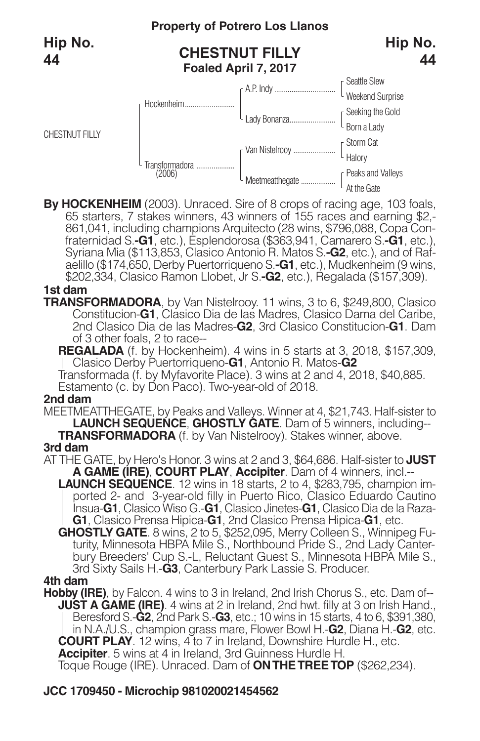

By HOCKENHEIM (2003). Unraced. Sire of 8 crops of racing age, 103 foals, 65 starters, 7 stakes winners, 43 winners of 155 races and earning \$2,-861,041, including champions Arquitecto (28 wins, \$796,088, Copa Confraternida aelillo (\$174,650, Derby Puertorriqueno S.**-G1**, etc.), Mudkenheim (9 wins, \$202,334, Clasico Ramon Llobet, Jr S.**-G2**, etc.), Regalada (\$157,309).

#### **1st dam**

**TRANSFORMADORA**, by Van Nistelrooy. 11 wins, 3 to 6, \$249,800, Clasico Constitucion-**G1**, Clasico Dia de las Madres, Clasico Dama del Caribe, 2nd Clasico Dia de las Madres-**G2**, 3rd Clasico Constitucion-**G1**. Dam of 3 other foals, 2 to race--

**REGALADA** (f. by Hockenheim). 4 wins in 5 starts at 3, 2018, \$157,309, Clasico Derby Puertorriqueno-**G1**, Antonio R. Matos-**G2**

Transformada (f. by Myfavorite Place). 3 wins at 2 and 4, 2018, \$40,885. Estamento (c. by Don Paco). Two-year-old of 2018.

#### **2nd dam**

MEETMEATTHEGATE, by Peaks and Valleys. Winner at 4, \$21,743. Half-sister to **LAUNCH SEQUENCE**, **GHOSTLY GATE**. Dam of 5 winners, including-- **TRANSFORMADORA** (f. by Van Nistelrooy). Stakes winner, above. **3rd dam**

AT THE GATE, by Hero's Honor. 3 wins at 2 and 3, \$64,686. Half-sister to **JUST A GAME (IRE)**, **COURT PLAY**, **Accipiter**. Dam of 4 winners, incl.--

- **LAUNCH SEQUENCE**. 12 wins in 18 starts, 2 to 4, \$283,795, champion im ported 2- and 3-year-old filly in Puerto Rico, Clasico Eduardo Cautino Insua-**G1**, Clasico Wiso G.-**G1**, Clasico Jinetes-**G1**, Clasico Dia de la Raza- **G1**, Clasico Prensa Hipica-**G1**, 2nd Clasico Prensa Hipica-**G1**, etc.
- **GHOSTLY GATE**. 8 wins, 2 to 5, \$252,095, Merry Colleen S., Winnipeg Futurity, Minnesota HBPA Mile S., Northbound Pride S., 2nd Lady Canterbury Breeders' Cup S.-L, Reluctant Guest S., Minnesota HBPA Mile S., 3rd Sixty Sails H.-**G3**, Canterbury Park Lassie S. Producer.

#### **4th dam**

**Hobby (IRE)**, by Falcon. 4 wins to 3 in Ireland, 2nd Irish Chorus S., etc. Dam of-- **JUST A GAME (IRE)**. 4 wins at 2 in Ireland, 2nd hwt. filly at 3 on Irish Hand., Beresford S.-**G2**, 2nd Park S.-**G3**, etc.; 10 wins in 15 starts, 4 to 6, \$391,380, in N.A./U.S., champion grass mare, Flower Bowl H.-**G2**, Diana H.-**G2**, etc. **COURT PLAY**. 12 wins, 4 to 7 in Ireland, Downshire Hurdle H., etc. **Accipiter**. 5 wins at 4 in Ireland, 3rd Guinness Hurdle H.

Toque Rouge (IRE). Unraced. Dam of **ONTHETREETOP** (\$262,234).

### **JCC 1709450 - Microchip 981020021454562**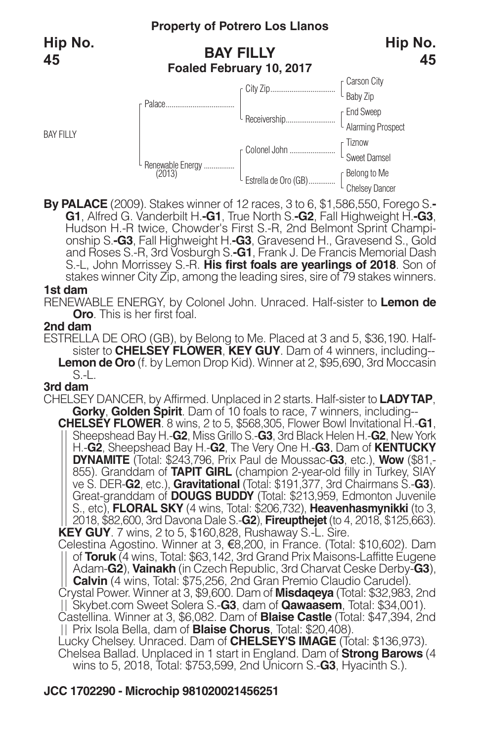BAY FILLY

# **BAY FILLY Foaled February 10, 2017**



**By PALACE** (2009). Stakes winner of 12 races, 3 to 6, \$1,586,550, Forego S.-<br> **G1**, Alfred G. Vanderbilt H.-G1, True North S.-G2, Fall Highweight H.-G3, Hudson H.-R twice, Chowder's First S.-R, 2nd Belmont Sprint Champion and Roses S.-R, 3rd Vosburgh S.**-G1**, Frank J. De Francis Memorial Dash S.-L, John Morrissey S.-R. **His first foals are yearlings of 2018**. Son of stakes winner City Zip, among the leading sires, sire of 79 stakes winners.

#### **1st dam**

RENEWABLE ENERGY, by Colonel John. Unraced. Half-sister to **Lemon de Oro**. This is her first foal.

#### **2nd dam**

ESTRELLA DE ORO (GB), by Belong to Me. Placed at 3 and 5, \$36,190. Halfsister to **CHELSEY FLOWER**, **KEY GUY**. Dam of 4 winners, including-- **Lemon de Oro** (f. by Lemon Drop Kid). Winner at 2, \$95,690, 3rd Moccasin S.-L.

#### **3rd dam**

CHELSEY DANCER, by Affirmed. Unplaced in 2 starts. Half-sister to **LADYTAP**, **Gorky**, **Golden Spirit**. Dam of 10 foals to race, 7 winners, including-- **CHELSEY FLOWER**. 8 wins, 2 to 5, \$568,305, Flower Bowl Invitational H.-**G1**, Sheepshead Bay H.-**G2**, Miss Grillo S.-**G3**, 3rd Black Helen H.-**G2**, New York

H.-**G2**, Sheepshead Bay H.-**G2**, The Very One H.-**G3**. Dam of **KENTUCKY DYNAMITE** (Total: \$243,796, Prix Paul de Moussac-**G3**, etc.), **Wow** (\$81,- 855). Granddam of **TAPIT GIRL** (champion 2-year-old filly in Turkey, SIAY ve S. DER-**G2**, etc.), **Gravitational** (Total: \$191,377, 3rd Chairmans S.-**G3**). Great-granddam of **DOUGS BUDDY** (Total: \$213,959, Edmonton Juvenile S., etc), **FLORAL SKY** (4 wins, Total: \$206,732), **Heavenhasmynikki** (to 3, 2018, \$82,600, 3rd Davona Dale S.-**G2**), **Fireupthejet** (to 4, 2018, \$125,663). **KEY GUY**. 7 wins, 2 to 5, \$160,828, Rushaway S.-L. Sire.

Celestina Agostino. Winner at 3, €8,200, in France. (Total: \$10,602). Dam of **Toruk** (4 wins, Total: \$63,142, 3rd Grand Prix Maisons-Laffitte Eugene Adam-**G2**), **Vainakh** (in Czech Republic, 3rd Charvat Ceske Derby-**G3**), **Calvin** (4 wins, Total: \$75,256, 2nd Gran Premio Claudio Carudel).

Crystal Power. Winner at 3, \$9,600. Dam of **Misdaqeya** (Total: \$32,983, 2nd Skybet.com Sweet Solera S.-**G3**, dam of **Qawaasem**, Total: \$34,001).

Castellina. Winner at 3, \$6,082. Dam of **Blaise Castle** (Total: \$47,394, 2nd Prix Isola Bella, dam of **Blaise Chorus**, Total: \$20,408).

Lucky Chelsey. Unraced. Dam of **CHELSEY'S IMAGE** (Total: \$136,973). Chelsea Ballad. Unplaced in 1 start in England. Dam of **Strong Barows** (4 wins to 5, 2018, Total: \$753,599, 2nd Unicorn S.-**G3**, Hyacinth S.).

## **JCC 1702290 - Microchip 981020021456251**

**45**

**Hip No.**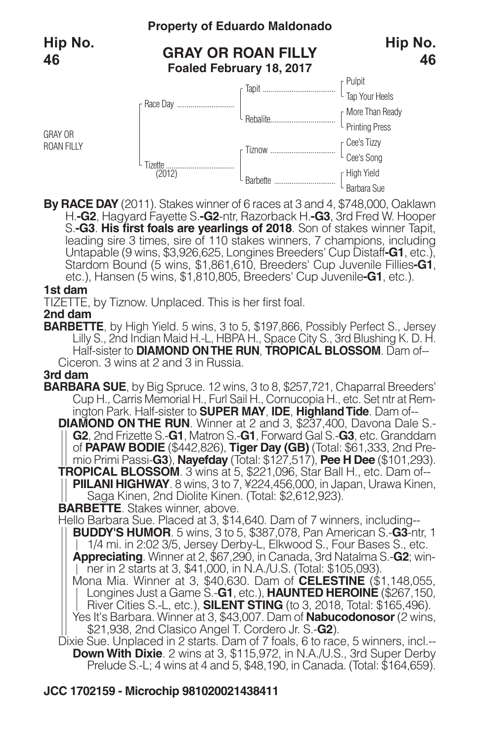

**By RACE DAY** (2011). Stakes winner of 6 races at 3 and 4, \$748,000, Oaklawn H.**-G2**, Hagyard Fayette S.**-G2**-ntr, Razorback H.**-G3**, 3rd Fred W. Hooper leading sire 3 times, sire of 110 stakes winners, 7 champions, including Untapable (9 wins, \$3,926,625, Longines Breeders' Cup Distaff**-G1**, etc.), Stardom Bound (5 wins, \$1,861,610, Breeders' Cup Juvenile Fillies**-G1**, etc.), Hansen (5 wins, \$1,810,805, Breeders' Cup Juvenile**-G1**, etc.).

#### **1st dam**

TIZETTE, by Tiznow. Unplaced. This is her first foal.

#### **2nd dam**

**BARBETTE**, by High Yield. 5 wins, 3 to 5, \$197,866, Possibly Perfect S., Jersey Lilly S., 2nd Indian Maid H.-L, HBPA H., Space City S., 3rd Blushing K. D. H. Half-sister to **DIAMOND ONTHE RUN**, **TROPICAL BLOSSOM**. Dam of-- Ciceron. 3 wins at 2 and 3 in Russia.

#### **3rd dam**

**BARBARA SUE**, by Big Spruce. 12 wins, 3 to 8, \$257,721, Chaparral Breeders' Cup H., Carris Memorial H., Furl Sail H., Cornucopia H., etc. Set ntr at Rem ington Park. Half-sister to **SUPER MAY**, **IDE**, **HighlandTide**. Dam of--

**DIAMOND ON THE RUN**. Winner at 2 and 3, \$237,400, Davona Dale S.- **G2**, 2nd Frizette S.-**G1**, Matron S.-**G1**, Forward Gal S.-**G3**, etc. Granddam

mio Primi Passi-G3), Nayefday (Total: \$127,517), Pee H Dee (\$101,293).<br>
TROPICAL BLOSSOM. 3 wins at 5, \$221,096, Star Ball H., etc. Dam of-<br>
|| PIILANI HIGHWAY. 8 wins, 3 to 7, \times 224,456,000, in Japan, Urawa Kinen,<br>
S

**BARBETTE**. Stakes winner, above.

Hello Barbara Sue. Placed at 3, \$14,640. Dam of 7 winners, including-- **BUDDY'S HUMOR**. 5 wins, 3 to 5, \$387,078, Pan American S.-**G3**-ntr, 1 1/4 mi. in 2:02 3/5, Jersey Derby-L, Elkwood S., Four Bases S., etc. **Appreciating**. Winner at 2, \$67,290, in Canada, 3rd Natalma S.-**G2**; winner in 2 starts at 3, \$41,000, in N.A./U.S. (Total: \$105,093). Mona Mia. Winner at 3, \$40,630. Dam of **CELESTINE** (\$1,148,055, Longines Just a Game S.-**G1**, etc.), **HAUNTED HEROINE** (\$267,150, River Cities S.-L, etc.), **SILENT STING** (to 3, 2018, Total: \$165,496). Yes It's Barbara. Winner at 3, \$43,007. Dam of **Nabucodonosor**(2 wins, \$21,938, 2nd Clasico Angel T. Cordero Jr. S.-**G2**).

Dixie Sue. Unplaced in 2 starts. Dam of 7 foals, 6 to race, 5 winners, incl.--**Down With Dixie**. 2 wins at 3, \$115,972, in N.A./U.S., 3rd Super Derby Prelude S.-L; 4 wins at 4 and 5, \$48,190, in Canada. (Total: \$164,659).

## **JCC 1702159 - Microchip 981020021438411**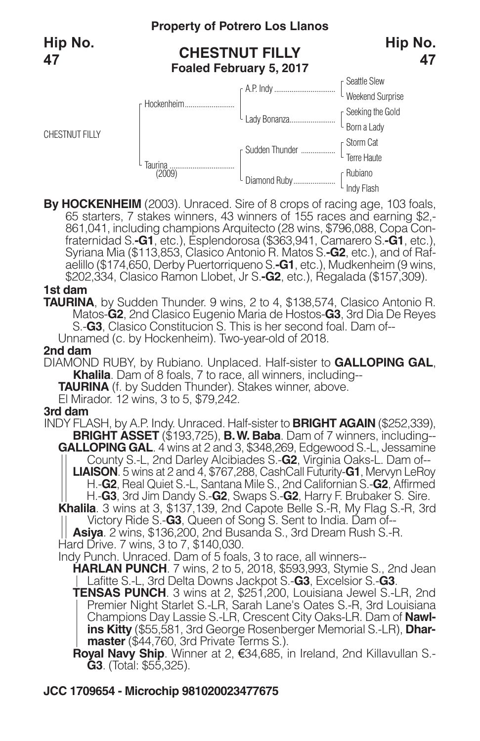

By HOCKENHEIM (2003). Unraced. Sire of 8 crops of racing age, 103 foals, 65 starters, 7 stakes winners, 43 winners of 155 races and earning \$2,-861,041, including champions Arquitecto (28 wins, \$796,088, Copa Confraternida aelillo (\$174,650, Derby Puertorriqueno S.**-G1**, etc.), Mudkenheim (9 wins, \$202,334, Clasico Ramon Llobet, Jr S.**-G2**, etc.), Regalada (\$157,309).

#### **1st dam**

**TAURINA**, by Sudden Thunder. 9 wins, 2 to 4, \$138,574, Clasico Antonio R. Matos-**G2**, 2nd Clasico Eugenio Maria de Hostos-**G3**, 3rd Dia De Reyes S.-**G3**, Clasico Constitucion S. This is her second foal. Dam of--

Unnamed (c. by Hockenheim). Two-year-old of 2018.

#### **2nd dam**

DIAMOND RUBY, by Rubiano. Unplaced. Half-sister to **GALLOPING GAL**, **Khalila**. Dam of 8 foals, 7 to race, all winners, including--

**TAURINA** (f. by Sudden Thunder). Stakes winner, above.

El Mirador. 12 wins, 3 to 5, \$79,242.

#### **3rd dam**

INDY FLASH, by A.P. Indy. Unraced. Half-sister to **BRIGHT AGAIN** (\$252,339), **BRIGHT ASSET** (\$193,725), **B.W. Baba**. Dam of 7 winners, including-- **GALLOPING GAL**. 4 wins at 2 and 3, \$348,269, Edgewood S.-L, Jessamine County S.-L, 2nd Darley Alcibiades S.-**G2**, Virginia Oaks-L. Dam of-- **LIAISON**. 5 wins at 2 and 4, \$767,288, CashCall Futurity-**G1**, Mervyn LeRoy H.-**G2**, Real Quiet S.-L, Santana Mile S., 2nd Californian S.-**G2**, Affirmed H.-**G3**, 3rd Jim Dandy S.-**G2**, Swaps S.-**G2**, Harry F. Brubaker S. Sire. **Khalila**. 3 wins at 3, \$137,139, 2nd Capote Belle S.-R, My Flag S.-R, 3rd Victory Ride S.-**G3**, Queen of Song S. Sent to India. Dam of-- VICTORY HIGE S.-**G.**, Grading Busanda S., 3rd Dream Rush S.-R.<br>**Asiya**. 2 wins, \$136,200, 2nd Busanda S., 3rd Dream Rush S.-R. Hard Drive. 7 wins, 3 to 7, \$140,030. Indy Punch. Unraced. Dam of 5 foals, 3 to race, all winners-- **HARLAN PUNCH**. 7 wins, 2 to 5, 2018, \$593,993, Stymie S., 2nd Jean Lafitte S.-L, 3rd Delta Downs Jackpot S.-**G3**, Excelsior S.-**G3**. **TENSAS PUNCH**. 3 wins at 2, \$251,200, Louisiana Jewel S.-LR, 2nd Premier Night Starlet S.-LR, Sarah Lane's Oates S.-R, 3rd Louisiana Champions Day Lassie S.-LR, Crescent City Oaks-LR. Dam of **Nawlins Kitty** (\$55,581, 3rd George Rosenberger Memorial S.-LR), **Dhar-**

**master** (\$44,760, 3rd Private Terms S.).

**Royal Navy Ship**. Winner at 2, €34,685, in Ireland, 2nd Killavullan S.- **G3**. (Total: \$55,325).

### **JCC 1709654 - Microchip 981020023477675**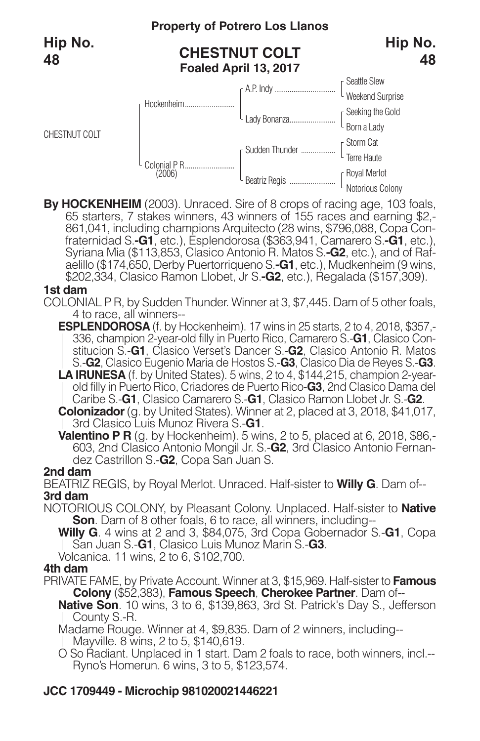

By HOCKENHEIM (2003). Unraced. Sire of 8 crops of racing age, 103 foals, 65 starters, 7 stakes winners, 43 winners of 155 races and earning \$2,-861,041, including champions Arquitecto (28 wins, \$796,088, Copa Confraternida aelillo (\$174,650, Derby Puertorriqueno S.**-G1**, etc.), Mudkenheim (9 wins, \$202,334, Clasico Ramon Llobet, Jr S.**-G2**, etc.), Regalada (\$157,309).

#### **1st dam**

COLONIAL P R, by Sudden Thunder. Winner at 3, \$7,445. Dam of 5 other foals, 4 to race, all winners--

**ESPLENDOROSA** (f. by Hockenheim). 17 wins in 25 starts, 2 to 4, 2018, \$357,-336, champion 2-year-old filly in Puerto Rico, Camarero S.-**G1**, Clasico Constitucion S.-**G1**, Clasico Verset's Dancer S.-**G2**, Clasico Antonio R. Matos S.-**G2**, Clasico Eugenio Maria de Hostos S.-**G3**, Clasico Dia de Reyes S.-**G3**. **LA IRUNESA** (f. by United States). 5 wins, 2 to 4, \$144,215, champion 2-yearold filly in Puerto Rico, Criadores de Puerto Rico-**G3**, 2nd Clasico Dama del Caribe S.-**G1**, Clasico Camarero S.-**G1**, Clasico Ramon Llobet Jr. S.-**G2**.

**Colonizador** (g. by United States). Winner at 2, placed at 3, 2018, \$41,017, 3rd Clasico Luis Munoz Rivera S.-**G1**.

**Valentino P R** (g. by Hockenheim). 5 wins, 2 to 5, placed at 6, 2018, \$86,- 603, 2nd Clasico Antonio Mongil Jr. S.-**G2**, 3rd Clasico Antonio Fernandez Castrillon S.-**G2**, Copa San Juan S.

#### **2nd dam**

BEATRIZ REGIS, by Royal Merlot. Unraced. Half-sister to **Willy G**. Dam of-- **3rd dam**

NOTORIOUS COLONY, by Pleasant Colony. Unplaced. Half-sister to **Native Son**. Dam of 8 other foals, 6 to race, all winners, including--

**Willy G**. 4 wins at 2 and 3, \$84,075, 3rd Copa Gobernador S.-**G1**, Copa San Juan S.-**G1**, Clasico Luis Munoz Marin S.-**G3**.

Volcanica. 11 wins, 2 to 6, \$102,700.

#### **4th dam**

PRIVATE FAME, by Private Account. Winner at 3, \$15,969. Half-sister to **Famous Colony** (\$52,383), **Famous Speech**, **Cherokee Partner**. Dam of--

**Native Son**. 10 wins, 3 to 6, \$139,863, 3rd St. Patrick's Day S., Jefferson County S.-R.

- Madame Rouge. Winner at 4, \$9,835. Dam of 2 winners, including--
- Mayville. 8 wins, 2 to 5, \$140,619.
- O So Radiant. Unplaced in 1 start. Dam 2 foals to race, both winners, incl.-- Ryno's Homerun. 6 wins, 3 to 5, \$123,574.

## **JCC 1709449 - Microchip 981020021446221**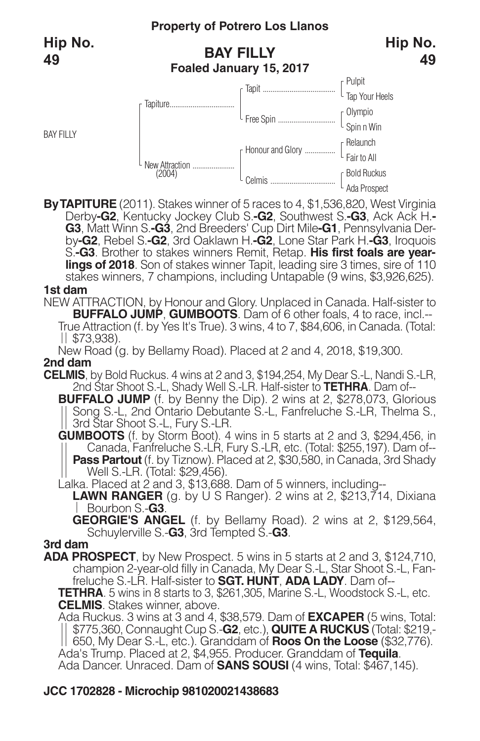BAY FILLY

## **BAY FILLY Foaled January 15, 2017**



**ByTAPITURE** (2011). Stakes winner of 5 races to 4, \$1,536,820, West Virginia Derby-G2, Kentucky Jockey Club S.-G2, Southwest S.-G3, Ack Ack H.-G3, Matt Winn S.-G3, 2nd Breeders' Cup Dirt Mile-G1, Pennsylvania Derby-G2, Rebel S.-G2, 3rd Oaklawn H.-G2, Lone Star Park H.-G3, Iroquois S.**-G3**. Brother to stakes winners Remit, Retap. **His first foals are yearlings of 2018**. Son of stakes winner Tapit, leading sire 3 times, sire of 110 stakes winners, 7 champions, including Untapable (9 wins, \$3,926,625).

#### **1st dam**

NEW ATTRACTION, by Honour and Glory. Unplaced in Canada. Half-sister to **BUFFALO JUMP**, **GUMBOOTS**. Dam of 6 other foals, 4 to race, incl.-- True Attraction (f. by Yes It's True). 3 wins, 4 to 7, \$84,606, in Canada. (Total:  $||$  \$73,938).

New Road (g. by Bellamy Road). Placed at 2 and 4, 2018, \$19,300.

### **2nd dam**

**CELMIS**, by Bold Ruckus. 4 wins at 2 and 3, \$194,254, My Dear S.-L, Nandi S.-LR, 2nd Star Shoot S.-L, Shady Well S.-LR. Half-sister to **TETHRA**. Dam of--

**BUFFALO JUMP** (f. by Benny the Dip). 2 wins at 2, \$278,073, Glorious Song S.-L, 2nd Ontario Debutante S.-L, Fanfreluche S.-LR, Thelma S., 3rd Star Shoot S.-L, Fury S.-LR.

**GUMBOOTS** (f. by Storm Boot). 4 wins in 5 starts at 2 and 3, \$294,456, in Canada, Fanfreluche S.-LR, Fury S.-LR, etc. (Total: \$255,197). Dam of-- **Pass Partout** (f. by Tiznow). Placed at 2, \$30,580, in Canada, 3rd Shady<br>Well S.-LR. (Total: \$29,456).

Lalka. Placed at 2 and 3, \$13,688. Dam of 5 winners, including--

**LAWN RANGER** (g. by U S Ranger). 2 wins at 2, \$213,714, Dixiana Bourbon S.-**G3**.

**GEORGIE'S ANGEL** (f. by Bellamy Road). 2 wins at 2, \$129,564, Schuylerville S.-**G3**, 3rd Tempted S.-**G3**.

#### **3rd dam**

**ADA PROSPECT**, by New Prospect. 5 wins in 5 starts at 2 and 3, \$124,710, champion 2-year-old filly in Canada, My Dear S.-L, Star Shoot S.-L, Fanfreluche S.-LR. Half-sister to **SGT. HUNT**, **ADA LADY**. Dam of--

**TETHRA**. 5 wins in 8 starts to 3, \$261,305, Marine S.-L, Woodstock S.-L, etc. **CELMIS**. Stakes winner, above.

Ada Ruckus. 3 wins at 3 and 4, \$38,579. Dam of **EXCAPER** (5 wins, Total: \$775,360, Connaught Cup S.-**G2**, etc.), **QUITE A RUCKUS** (Total: \$219,- 650, My Dear S.-L, etc.). Granddam of **Roos On the Loose** (\$32,776). Ada's Trump. Placed at 2, \$4,955. Producer. Granddam of **Tequila**. Ada Dancer. Unraced. Dam of **SANS SOUSI** (4 wins, Total: \$467,145).

## **JCC 1702828 - Microchip 981020021438683**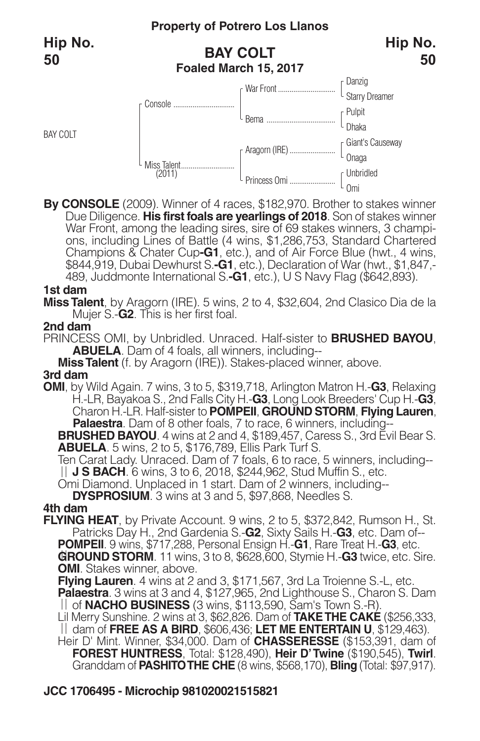BAY COLT

## **BAY COLT Foaled March 15, 2017**



**By CONSOLE** (2009). Winner of 4 races, \$182,970. Brother to stakes winner Due Diligence. **His first foals are yearlings of 2018**. Son of stakes winner War Front, among the leading sires, sire of 69 stakes winners, 3 champi-<br>ons, including Lines of Battle (4 wins, \$1,286,753, Standard Chartered Champions & Chater Cup**-G1**, etc.), and of Air Force Blue (hwt., 4 wins, \$844,919, Dubai Dewhurst S.**-G1**, etc.), Declaration of War (hwt., \$1,847,- 489, Juddmonte International S.**-G1**, etc.), U S Navy Flag (\$642,893).

#### **1st dam**

**MissTalent**, by Aragorn (IRE). 5 wins, 2 to 4, \$32,604, 2nd Clasico Dia de la Mujer S.-**G2**. This is her first foal.

#### **2nd dam**

PRINCESS OMI, by Unbridled. Unraced. Half-sister to **BRUSHED BAYOU**, **ABUELA**. Dam of 4 foals, all winners, including--

**MissTalent** (f. by Aragorn (IRE)). Stakes-placed winner, above.

#### **3rd dam**

**OMI**, by Wild Again. 7 wins, 3 to 5, \$319,718, Arlington Matron H.-**G3**, Relaxing H.-LR, Bayakoa S., 2nd Falls City H.-**G3**, Long Look Breeders' Cup H.-**G3**, Charon H.-LR. Half-sister to **POMPEII**, **GROUND STORM**, **Flying Lauren**, **Palaestra**. Dam of 8 other foals, 7 to race, 6 winners, including--**BRUSHED BAYOU**. 4 wins at 2 and 4, \$189,457, Caress S., 3rd Evil Bear S.

**ABUELA**. 5 wins, 2 to 5, \$176,789, Ellis Park Turf S.<br>Ten Carat Lady. Unraced. Dam of 7 foals, 6 to race, 5 winners, including--<br>|| **J S BACH**. 6 wins, 3 to 6, 2018, \$244,962, Stud Muffin S., etc.

**Omi Diamond. Unplaced in 1 start. Dam of 2 winners, including--**

**DYSPROSIUM**. 3 wins at 3 and 5, \$97,868, Needles S.

#### **4th dam**

**FLYING HEAT**, by Private Account. 9 wins, 2 to 5, \$372,842, Rumson H., St. Patricks Day H., 2nd Gardenia S.-**G2**, Sixty Sails H.-**G3**, etc. Dam of-- **POMPEII**. 9 wins, \$717,288, Personal Ensign H.-**G1**, Rare Treat H.-**G3**, etc. **GROUND STORM**. 11 wins, 3 to 8, \$628,600, Stymie H.-**G3** twice, etc. Sire. **OMI.** Stakes winner, above.

**Flying Lauren**. 4 wins at 2 and 3, \$171,567, 3rd La Troienne S.-L, etc.

**Palaestra**. 3 wins at 3 and 4, \$127,965, 2nd Lighthouse S., Charon S. Dam of **NACHO BUSINESS** (3 wins, \$113,590, Sam's Town S.-R).

Lil Merry Sunshine. 2 wins at 3, \$62,826. Dam of **TAKETHE CAKE** (\$256,333, dam of **FREE AS A BIRD**, \$606,436; **LET ME ENTERTAIN U**, \$129,463).

Heir D' Mint. Winner, \$34,000. Dam of **CHASSERESSE** (\$153,391, dam of **FOREST HUNTRESS**, Total: \$128,490), **Heir D'Twine** (\$190,545), **Twirl**. Granddam of **PASHITOTHE CHE** (8 wins, \$568,170), **Bling** (Total: \$97,917).

## **JCC 1706495 - Microchip 981020021515821**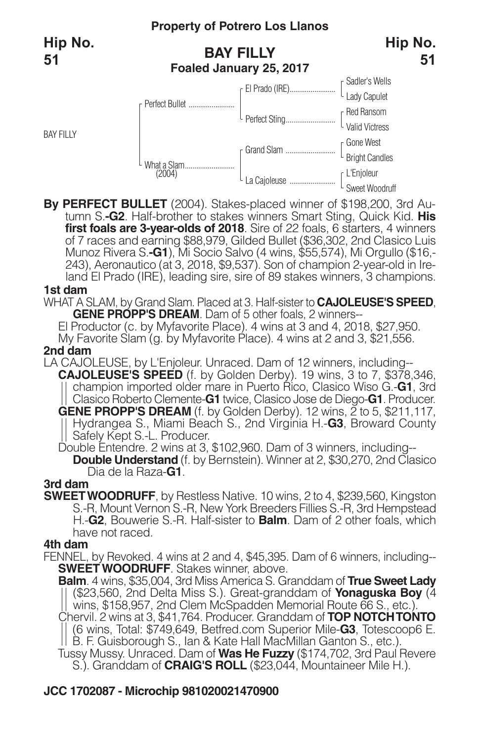BAY FILLY

## **BAY FILLY Foaled January 25, 2017**



**By PERFECT BULLET** (2004). Stakes-placed winner of \$198,200, 3rd Au- tumn S.**-G2**. Half-brother to stakes winners Smart Sting, Quick Kid. **His first foals are 3-year-olds of 2018**. Sire of 22 foals, 6 starters, 4 winners of 7 races and earning \$88,979, Gilded Bullet (\$36,302, 2nd Clasico Luis Munoz Rivera S.**-G1**), Mi Socio Salvo (4 wins, \$55,574), Mi Orgullo (\$16,- 243), Aeronautico (at 3, 2018, \$9,537). Son of champion 2-year-old in Ireland El Prado (IRE), leading sire, sire of 89 stakes winners, 3 champions.

#### **1st dam**

WHAT A SLAM, by Grand Slam. Placed at 3. Half-sister to **CAJOLEUSE'S SPEED**, **GENE PROPP'S DREAM**. Dam of 5 other foals, 2 winners--

El Productor (c. by Myfavorite Place). 4 wins at 3 and 4, 2018, \$27,950.

My Favorite Slam (g. by Myfavorite Place). 4 wins at 2 and 3, \$21,556.

#### **2nd dam**

LA CAJOLEUSE, by L'Enjoleur. Unraced. Dam of 12 winners, including-- **CAJOLEUSE'S SPEED** (f. by Golden Derby). 19 wins, 3 to 7, \$378,346, champion imported older mare in Puerto Rico, Clasico Wiso G.-**G1**, 3rd Clasico Roberto Clemente-**G1** twice, Clasico Jose de Diego-**G1**. Producer. **GENE PROPP'S DREAM** (f. by Golden Derby). 12 wins, 2 to 5, \$211,117, Hydrangea S., Miami Beach S., 2nd Virginia H.-**G3**, Broward County Hydrangea S., will be been<br>Safely Kept S.-L. Producer.

Double Entendre. 2 wins at 3, \$102,960. Dam of 3 winners, including--

**Double Understand** (f. by Bernstein). Winner at 2, \$30,270, 2nd Clasico Dia de la Raza-**G1**.

### **3rd dam**

**SWEETWOODRUFF**, by Restless Native. 10 wins, 2 to 4, \$239,560, Kingston S.-R, Mount Vernon S.-R, New York Breeders Fillies S.-R, 3rd Hempstead H.-**G2**, Bouwerie S.-R. Half-sister to **Balm**. Dam of 2 other foals, which have not raced.

#### **4th dam**

FENNEL, by Revoked. 4 wins at 2 and 4, \$45,395. Dam of 6 winners, including-- **SWEET WOODRUFF**. Stakes winner, above.

**Balm**. 4 wins, \$35,004, 3rd Miss America S. Granddam of **True Sweet Lady** (\$23,560, 2nd Delta Miss S.). Great-granddam of **Yonaguska Boy** (4 wins, \$158,957, 2nd Clem McSpadden Memorial Route 66 S., etc.). Chervil. 2 wins at 3, \$41,764. Producer. Granddam of **TOP NOTCHTONTO**

(6 wins, Total: \$749,649, Betfred.com Superior Mile-**G3**, Totescoop6 E. B. F. Guisborough S., Ian & Kate Hall MacMillan Ganton S., etc.).

Tussy Mussy. Unraced. Dam of **Was He Fuzzy** (\$174,702, 3rd Paul Revere S.). Granddam of **CRAIG'S ROLL** (\$23,044, Mountaineer Mile H.).

### **JCC 1702087 - Microchip 981020021470900**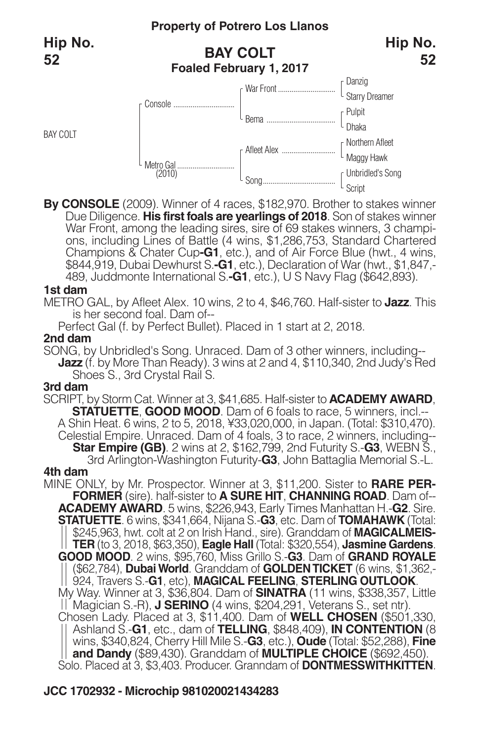BAY COLT

## **BAY COLT Foaled February 1, 2017**



**By CONSOLE** (2009). Winner of 4 races, \$182,970. Brother to stakes winner Due Diligence. **His first foals are yearlings of 2018**. Son of stakes winner War Front, among the leading sires, sire of 69 stakes winners, 3 champi-<br>ons, including Lines of Battle (4 wins, \$1,286,753, Standard Chartered Champions & Chater Cup**-G1**, etc.), and of Air Force Blue (hwt., 4 wins, \$844,919, Dubai Dewhurst S.**-G1**, etc.), Declaration of War (hwt., \$1,847,- 489, Juddmonte International S.**-G1**, etc.), U S Navy Flag (\$642,893).

#### **1st dam**

METRO GAL, by Afleet Alex. 10 wins, 2 to 4, \$46,760. Half-sister to **Jazz**. This is her second foal. Dam of--

Perfect Gal (f. by Perfect Bullet). Placed in 1 start at 2, 2018.

#### **2nd dam**

SONG, by Unbridled's Song. Unraced. Dam of 3 other winners, including-- **Jazz** (f. by More Than Ready). 3 wins at 2 and 4, \$110,340, 2nd Judy's Red Shoes S., 3rd Crystal Rail S.

#### **3rd dam**

SCRIPT, by Storm Cat. Winner at 3, \$41,685. Half-sister to **ACADEMY AWARD**, **STATUETTE**, **GOOD MOOD**. Dam of 6 foals to race, 5 winners, incl.-- A Shin Heat. 6 wins, 2 to 5, 2018, ¥33,020,000, in Japan. (Total: \$310,470). Celestial Empire. Unraced. Dam of 4 foals, 3 to race, 2 winners, including-- **Star Empire (GB)**. <sup>2</sup> wins at 2, \$162,799, 2nd Futurity S.-**G3**, WEBN S., 3rd Arlington-Washington Futurity-**G3**, John Battaglia Memorial S.-L. **4th dam**

MINE ONLY, by Mr. Prospector. Winner at 3, \$11,200. Sister to **RARE PER-FORMER** (sire). half-sister to **A SURE HIT**, **CHANNING ROAD**. Dam of-- **ACADEMY AWARD**. 5 wins, \$226,943, Early Times Manhattan H.-**G2**. Sire. **STATUETTE**. 6 wins, \$341,664, Nijana S.-**G3**, etc. Dam of **TOMAHAWK** (Total: \$245,963, hwt. colt at 2 on Irish Hand., sire). Granddam of **MAGICALMEIS-TER** (to 3, 2018, \$63,350), **Eagle Hall** (Total: \$320,554), **Jasmine Gardens**. **GOOD MOOD**. 2 wins, \$95,760, Miss Grillo S.-**G3**. Dam of **GRAND ROYALE** (\$62,784), **Dubai World**. Granddam of **GOLDENTICKET** (6 wins, \$1,362,- 924, Travers S.-**G1**, etc), **MAGICAL FEELING**, **STERLING OUTLOOK**. My Way. Winner at 3, \$36,804. Dam of **SINATRA** (11 wins, \$338,357, Little Magician S.-R), **J SERINO** (4 wins, \$204,291, Veterans S., set ntr). Chosen Lady. Placed at 3, \$11,400. Dam of **WELL CHOSEN** (\$501,330, Ashland S.-**G1**, etc., dam of **TELLING**, \$848,409), **IN CONTENTION** (8 wins, \$340,824, Cherry Hill Mile S.-**G3**, etc.), **Oude** (Total: \$52,288), **Fine and Dandy** (\$89,430). Granddam of **MULTIPLE CHOICE** (\$692,450). Solo. Placed at 3, \$3,403. Producer. Granndam of **DONTMESSWITHKITTEN**.

## **JCC 1702932 - Microchip 981020021434283**